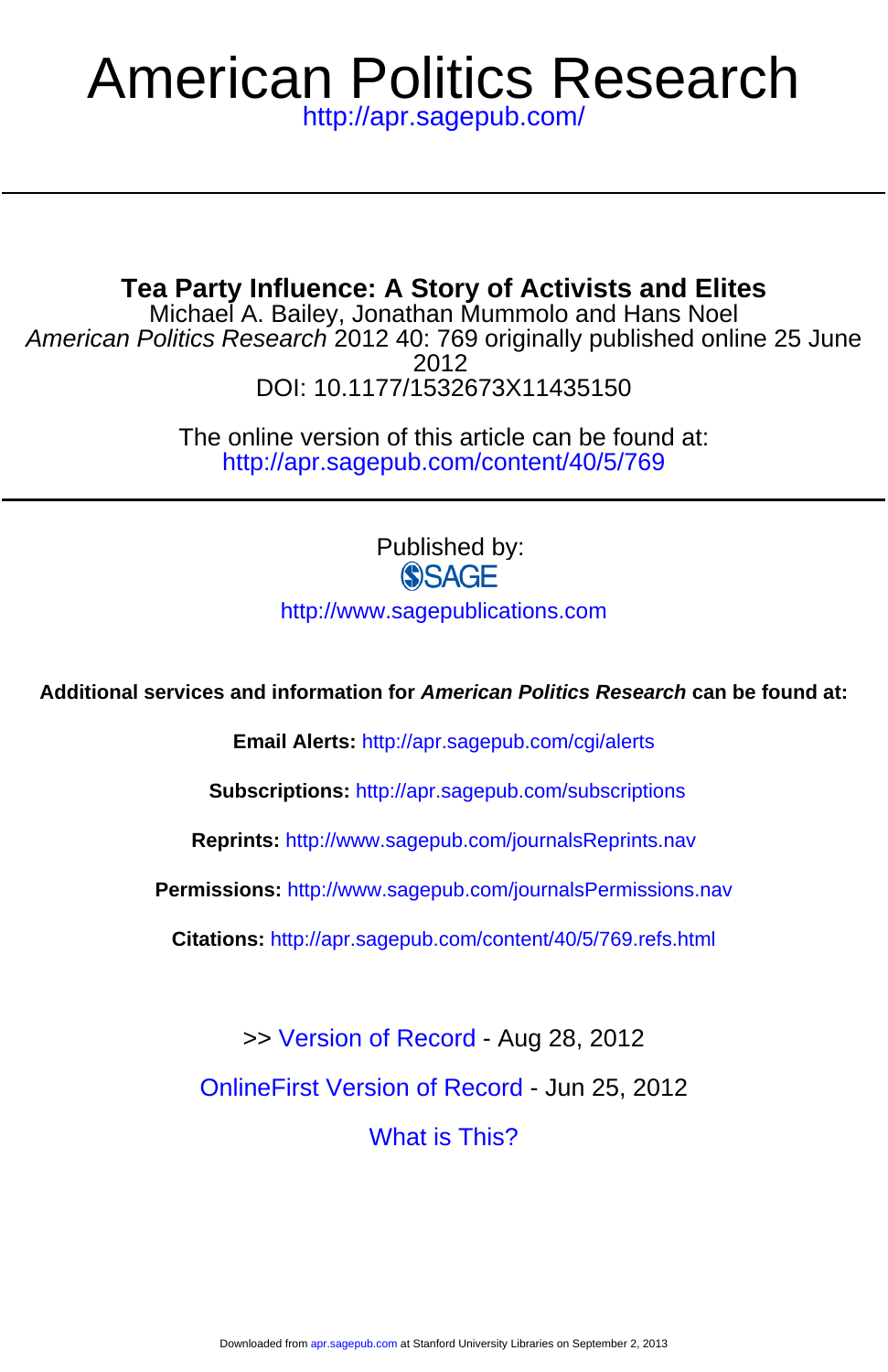# <http://apr.sagepub.com/> American Politics Research

**Tea Party Influence: A Story of Activists and Elites**

DOI: 10.1177/1532673X11435150 2012 American Politics Research 2012 40: 769 originally published online 25 June Michael A. Bailey, Jonathan Mummolo and Hans Noel

> <http://apr.sagepub.com/content/40/5/769> The online version of this article can be found at:

> > Published by: **SSAGE** <http://www.sagepublications.com>

**Additional services and information for American Politics Research can be found at:**

**Email Alerts:** <http://apr.sagepub.com/cgi/alerts>

**Subscriptions:** <http://apr.sagepub.com/subscriptions>

**Reprints:** <http://www.sagepub.com/journalsReprints.nav>

**Permissions:** <http://www.sagepub.com/journalsPermissions.nav>

**Citations:** <http://apr.sagepub.com/content/40/5/769.refs.html>

>> [Version of Record -](http://apr.sagepub.com/content/40/5/769.full.pdf) Aug 28, 2012

[OnlineFirst Version of Record -](http://apr.sagepub.com/content/early/2012/06/06/1532673X11435150.full.pdf) Jun 25, 2012

[What is This?](http://online.sagepub.com/site/sphelp/vorhelp.xhtml)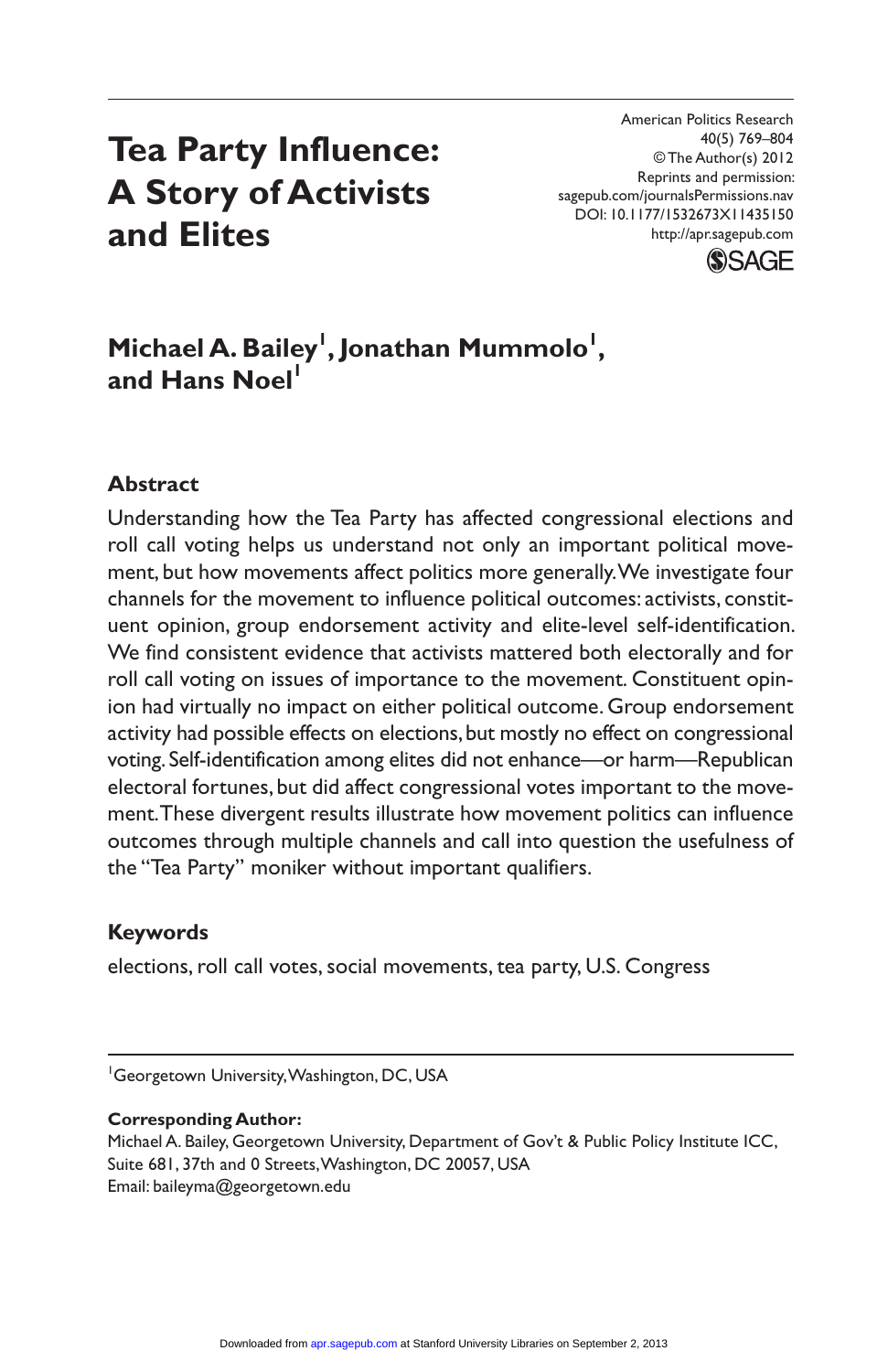# **Tea Party Influence: A Story of Activists and Elites**

American Politics Research 40(5) 769–804 © The Author(s) 2012 Reprints and permission: sagepub.com/journalsPermissions.nav DOI: 10.1177/1532673X11435150 http://apr.sagepub.com



# Michael A. Bailey<sup>1</sup>, Jonathan Mummolo<sup>1</sup>, and Hans Noel<sup>1</sup>

### **Abstract**

Understanding how the Tea Party has affected congressional elections and roll call voting helps us understand not only an important political movement, but how movements affect politics more generally. We investigate four channels for the movement to influence political outcomes: activists, constituent opinion, group endorsement activity and elite-level self-identification. We find consistent evidence that activists mattered both electorally and for roll call voting on issues of importance to the movement. Constituent opinion had virtually no impact on either political outcome. Group endorsement activity had possible effects on elections, but mostly no effect on congressional voting. Self-identification among elites did not enhance—or harm—Republican electoral fortunes, but did affect congressional votes important to the movement. These divergent results illustrate how movement politics can influence outcomes through multiple channels and call into question the usefulness of the "Tea Party'' moniker without important qualifiers.

### **Keywords**

elections, roll call votes, social movements, tea party, U.S. Congress

#### **Corresponding Author:**

Michael A. Bailey, Georgetown University, Department of Gov't & Public Policy Institute ICC, Suite 681, 37th and 0 Streets, Washington, DC 20057, USA Email: baileyma@georgetown.edu

<sup>&</sup>lt;sup>1</sup>Georgetown University, Washington, DC, USA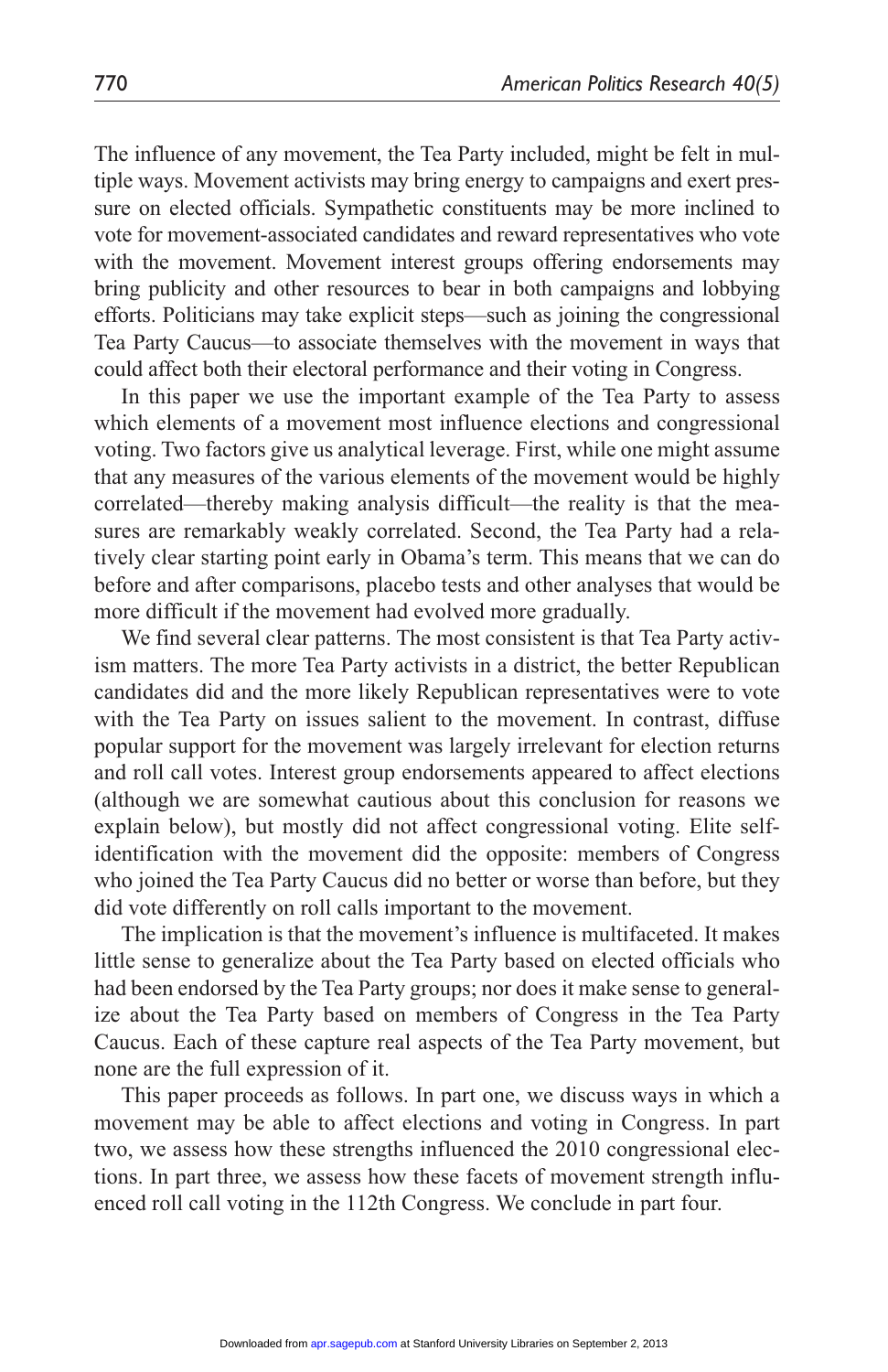The influence of any movement, the Tea Party included, might be felt in multiple ways. Movement activists may bring energy to campaigns and exert pressure on elected officials. Sympathetic constituents may be more inclined to vote for movement-associated candidates and reward representatives who vote with the movement. Movement interest groups offering endorsements may bring publicity and other resources to bear in both campaigns and lobbying efforts. Politicians may take explicit steps—such as joining the congressional Tea Party Caucus—to associate themselves with the movement in ways that could affect both their electoral performance and their voting in Congress.

In this paper we use the important example of the Tea Party to assess which elements of a movement most influence elections and congressional voting. Two factors give us analytical leverage. First, while one might assume that any measures of the various elements of the movement would be highly correlated—thereby making analysis difficult—the reality is that the measures are remarkably weakly correlated. Second, the Tea Party had a relatively clear starting point early in Obama's term. This means that we can do before and after comparisons, placebo tests and other analyses that would be more difficult if the movement had evolved more gradually.

We find several clear patterns. The most consistent is that Tea Party activism matters. The more Tea Party activists in a district, the better Republican candidates did and the more likely Republican representatives were to vote with the Tea Party on issues salient to the movement. In contrast, diffuse popular support for the movement was largely irrelevant for election returns and roll call votes. Interest group endorsements appeared to affect elections (although we are somewhat cautious about this conclusion for reasons we explain below), but mostly did not affect congressional voting. Elite selfidentification with the movement did the opposite: members of Congress who joined the Tea Party Caucus did no better or worse than before, but they did vote differently on roll calls important to the movement.

The implication is that the movement's influence is multifaceted. It makes little sense to generalize about the Tea Party based on elected officials who had been endorsed by the Tea Party groups; nor does it make sense to generalize about the Tea Party based on members of Congress in the Tea Party Caucus. Each of these capture real aspects of the Tea Party movement, but none are the full expression of it.

This paper proceeds as follows. In part one, we discuss ways in which a movement may be able to affect elections and voting in Congress. In part two, we assess how these strengths influenced the 2010 congressional elections. In part three, we assess how these facets of movement strength influenced roll call voting in the 112th Congress. We conclude in part four.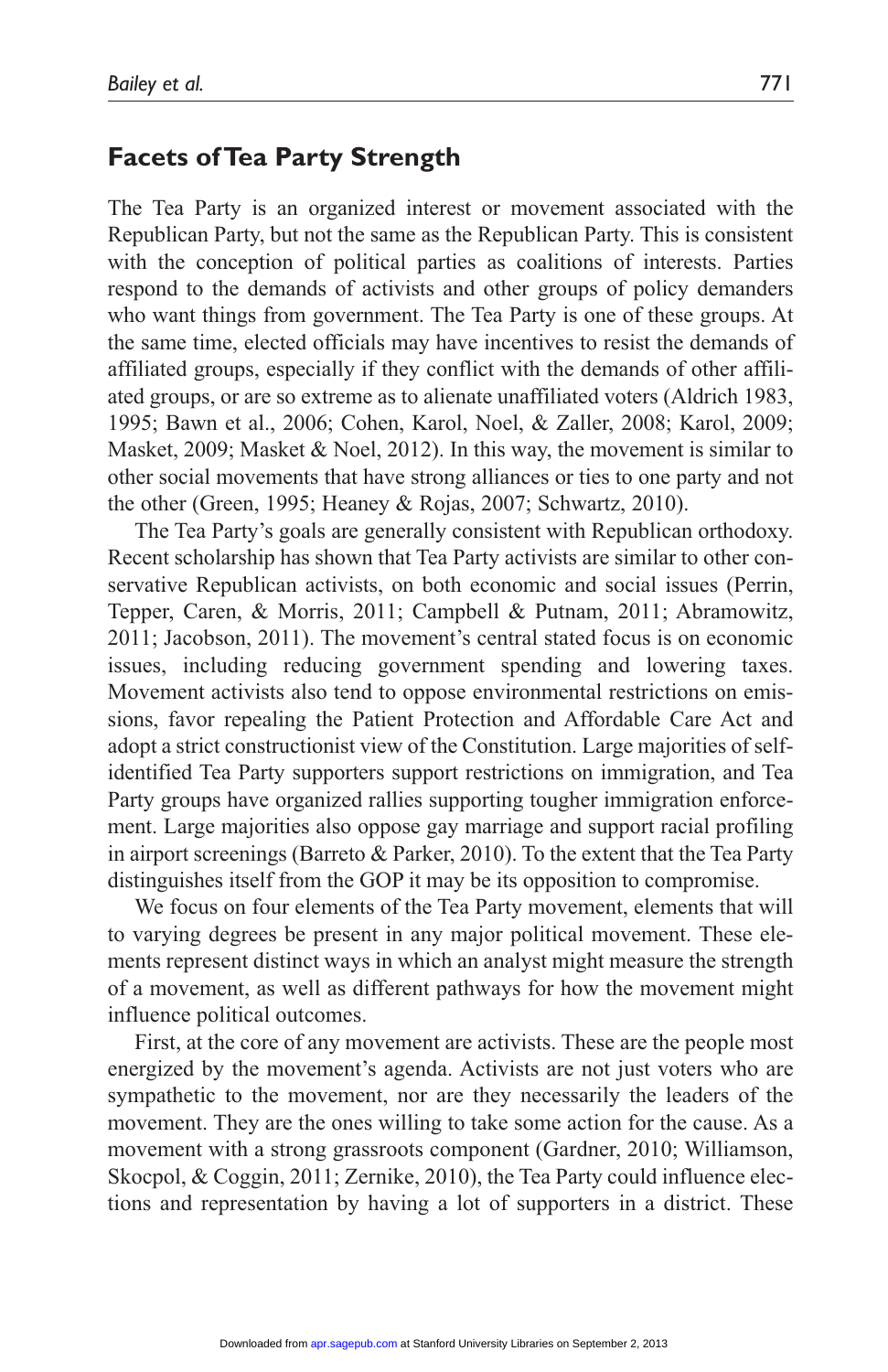# **Facets of Tea Party Strength**

The Tea Party is an organized interest or movement associated with the Republican Party, but not the same as the Republican Party. This is consistent with the conception of political parties as coalitions of interests. Parties respond to the demands of activists and other groups of policy demanders who want things from government. The Tea Party is one of these groups. At the same time, elected officials may have incentives to resist the demands of affiliated groups, especially if they conflict with the demands of other affiliated groups, or are so extreme as to alienate unaffiliated voters (Aldrich 1983, 1995; Bawn et al., 2006; Cohen, Karol, Noel, & Zaller, 2008; Karol, 2009; Masket, 2009; Masket & Noel, 2012). In this way, the movement is similar to other social movements that have strong alliances or ties to one party and not the other (Green, 1995; Heaney & Rojas, 2007; Schwartz, 2010).

The Tea Party's goals are generally consistent with Republican orthodoxy. Recent scholarship has shown that Tea Party activists are similar to other conservative Republican activists, on both economic and social issues (Perrin, Tepper, Caren, & Morris, 2011; Campbell & Putnam, 2011; Abramowitz, 2011; Jacobson, 2011). The movement's central stated focus is on economic issues, including reducing government spending and lowering taxes. Movement activists also tend to oppose environmental restrictions on emissions, favor repealing the Patient Protection and Affordable Care Act and adopt a strict constructionist view of the Constitution. Large majorities of selfidentified Tea Party supporters support restrictions on immigration, and Tea Party groups have organized rallies supporting tougher immigration enforcement. Large majorities also oppose gay marriage and support racial profiling in airport screenings (Barreto & Parker, 2010). To the extent that the Tea Party distinguishes itself from the GOP it may be its opposition to compromise.

We focus on four elements of the Tea Party movement, elements that will to varying degrees be present in any major political movement. These elements represent distinct ways in which an analyst might measure the strength of a movement, as well as different pathways for how the movement might influence political outcomes.

First, at the core of any movement are activists. These are the people most energized by the movement's agenda. Activists are not just voters who are sympathetic to the movement, nor are they necessarily the leaders of the movement. They are the ones willing to take some action for the cause. As a movement with a strong grassroots component (Gardner, 2010; Williamson, Skocpol, & Coggin, 2011; Zernike, 2010), the Tea Party could influence elections and representation by having a lot of supporters in a district. These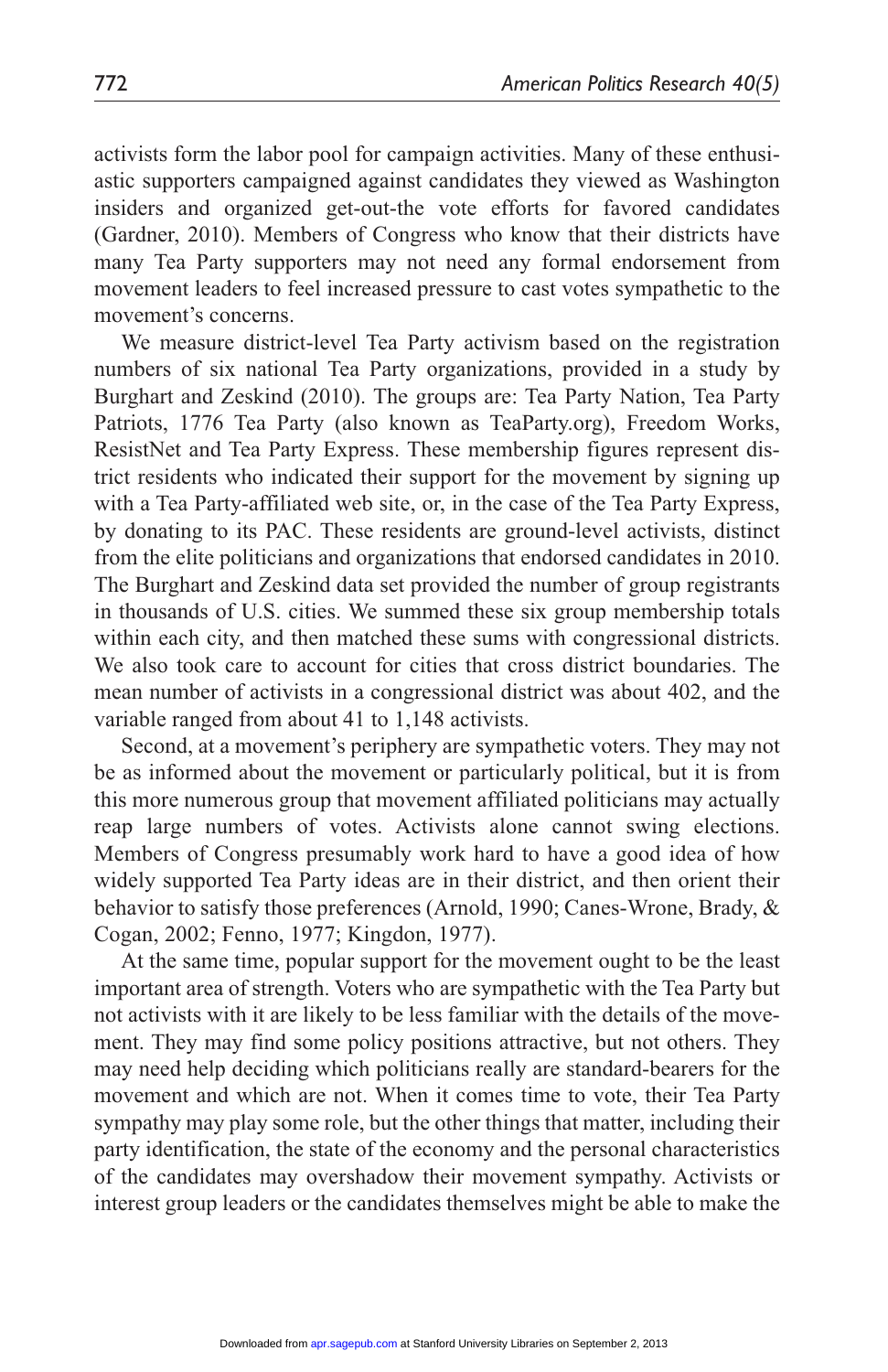activists form the labor pool for campaign activities. Many of these enthusiastic supporters campaigned against candidates they viewed as Washington insiders and organized get-out-the vote efforts for favored candidates (Gardner, 2010). Members of Congress who know that their districts have many Tea Party supporters may not need any formal endorsement from movement leaders to feel increased pressure to cast votes sympathetic to the movement's concerns.

We measure district-level Tea Party activism based on the registration numbers of six national Tea Party organizations, provided in a study by Burghart and Zeskind (2010). The groups are: Tea Party Nation, Tea Party Patriots, 1776 Tea Party (also known as TeaParty.org), Freedom Works, ResistNet and Tea Party Express. These membership figures represent district residents who indicated their support for the movement by signing up with a Tea Party-affiliated web site, or, in the case of the Tea Party Express, by donating to its PAC. These residents are ground-level activists, distinct from the elite politicians and organizations that endorsed candidates in 2010. The Burghart and Zeskind data set provided the number of group registrants in thousands of U.S. cities. We summed these six group membership totals within each city, and then matched these sums with congressional districts. We also took care to account for cities that cross district boundaries. The mean number of activists in a congressional district was about 402, and the variable ranged from about 41 to 1,148 activists.

Second, at a movement's periphery are sympathetic voters. They may not be as informed about the movement or particularly political, but it is from this more numerous group that movement affiliated politicians may actually reap large numbers of votes. Activists alone cannot swing elections. Members of Congress presumably work hard to have a good idea of how widely supported Tea Party ideas are in their district, and then orient their behavior to satisfy those preferences (Arnold, 1990; Canes-Wrone, Brady, & Cogan, 2002; Fenno, 1977; Kingdon, 1977).

At the same time, popular support for the movement ought to be the least important area of strength. Voters who are sympathetic with the Tea Party but not activists with it are likely to be less familiar with the details of the movement. They may find some policy positions attractive, but not others. They may need help deciding which politicians really are standard-bearers for the movement and which are not. When it comes time to vote, their Tea Party sympathy may play some role, but the other things that matter, including their party identification, the state of the economy and the personal characteristics of the candidates may overshadow their movement sympathy. Activists or interest group leaders or the candidates themselves might be able to make the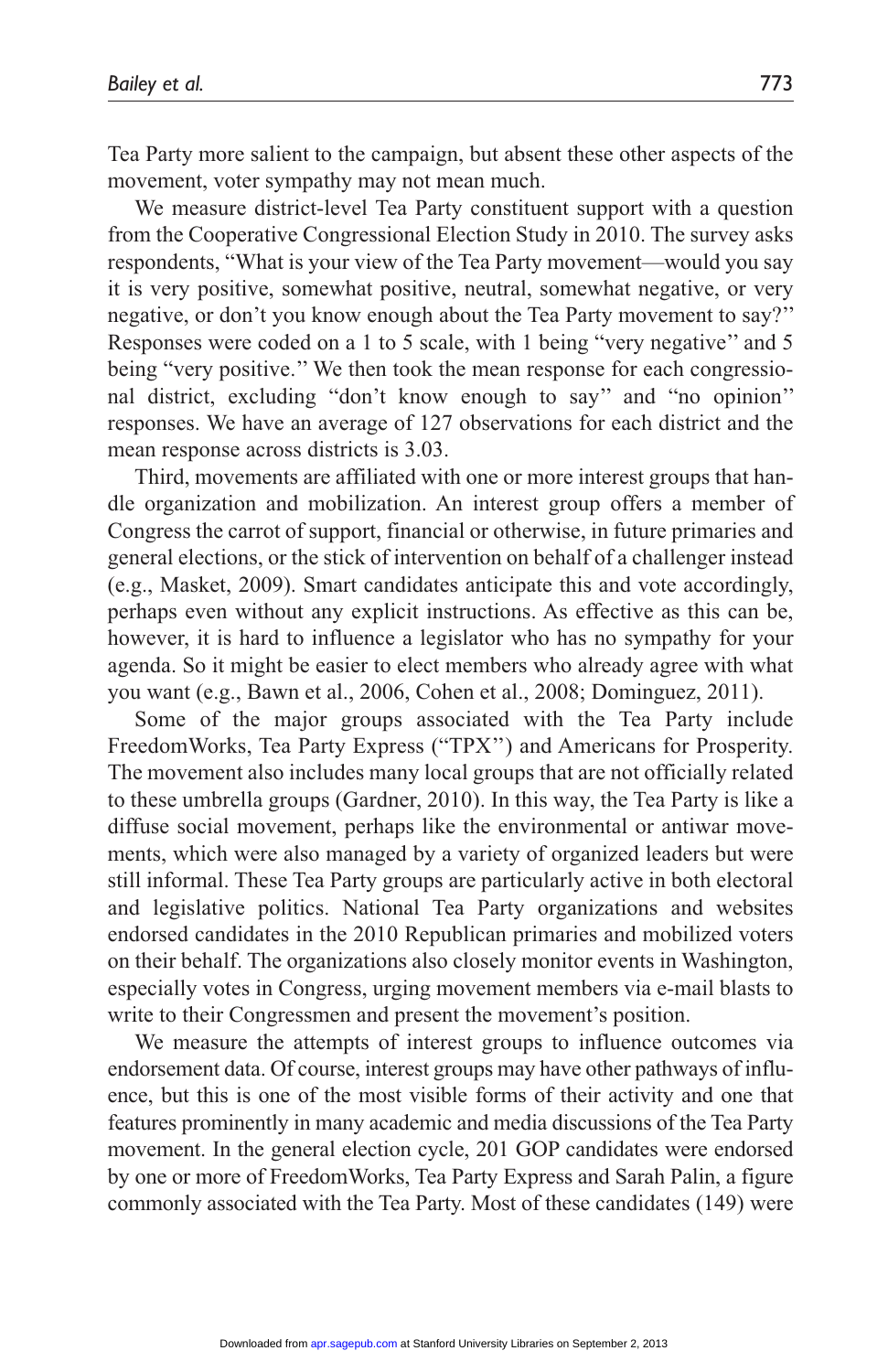Tea Party more salient to the campaign, but absent these other aspects of the movement, voter sympathy may not mean much.

We measure district-level Tea Party constituent support with a question from the Cooperative Congressional Election Study in 2010. The survey asks respondents, "What is your view of the Tea Party movement—would you say it is very positive, somewhat positive, neutral, somewhat negative, or very negative, or don't you know enough about the Tea Party movement to say?'' Responses were coded on a 1 to 5 scale, with 1 being "very negative'' and 5 being "very positive.'' We then took the mean response for each congressional district, excluding "don't know enough to say'' and "no opinion'' responses. We have an average of 127 observations for each district and the mean response across districts is 3.03.

Third, movements are affiliated with one or more interest groups that handle organization and mobilization. An interest group offers a member of Congress the carrot of support, financial or otherwise, in future primaries and general elections, or the stick of intervention on behalf of a challenger instead (e.g., Masket, 2009). Smart candidates anticipate this and vote accordingly, perhaps even without any explicit instructions. As effective as this can be, however, it is hard to influence a legislator who has no sympathy for your agenda. So it might be easier to elect members who already agree with what you want (e.g., Bawn et al., 2006, Cohen et al., 2008; Dominguez, 2011).

Some of the major groups associated with the Tea Party include FreedomWorks, Tea Party Express ("TPX'') and Americans for Prosperity. The movement also includes many local groups that are not officially related to these umbrella groups (Gardner, 2010). In this way, the Tea Party is like a diffuse social movement, perhaps like the environmental or antiwar movements, which were also managed by a variety of organized leaders but were still informal. These Tea Party groups are particularly active in both electoral and legislative politics. National Tea Party organizations and websites endorsed candidates in the 2010 Republican primaries and mobilized voters on their behalf. The organizations also closely monitor events in Washington, especially votes in Congress, urging movement members via e-mail blasts to write to their Congressmen and present the movement's position.

We measure the attempts of interest groups to influence outcomes via endorsement data. Of course, interest groups may have other pathways of influence, but this is one of the most visible forms of their activity and one that features prominently in many academic and media discussions of the Tea Party movement. In the general election cycle, 201 GOP candidates were endorsed by one or more of FreedomWorks, Tea Party Express and Sarah Palin, a figure commonly associated with the Tea Party. Most of these candidates (149) were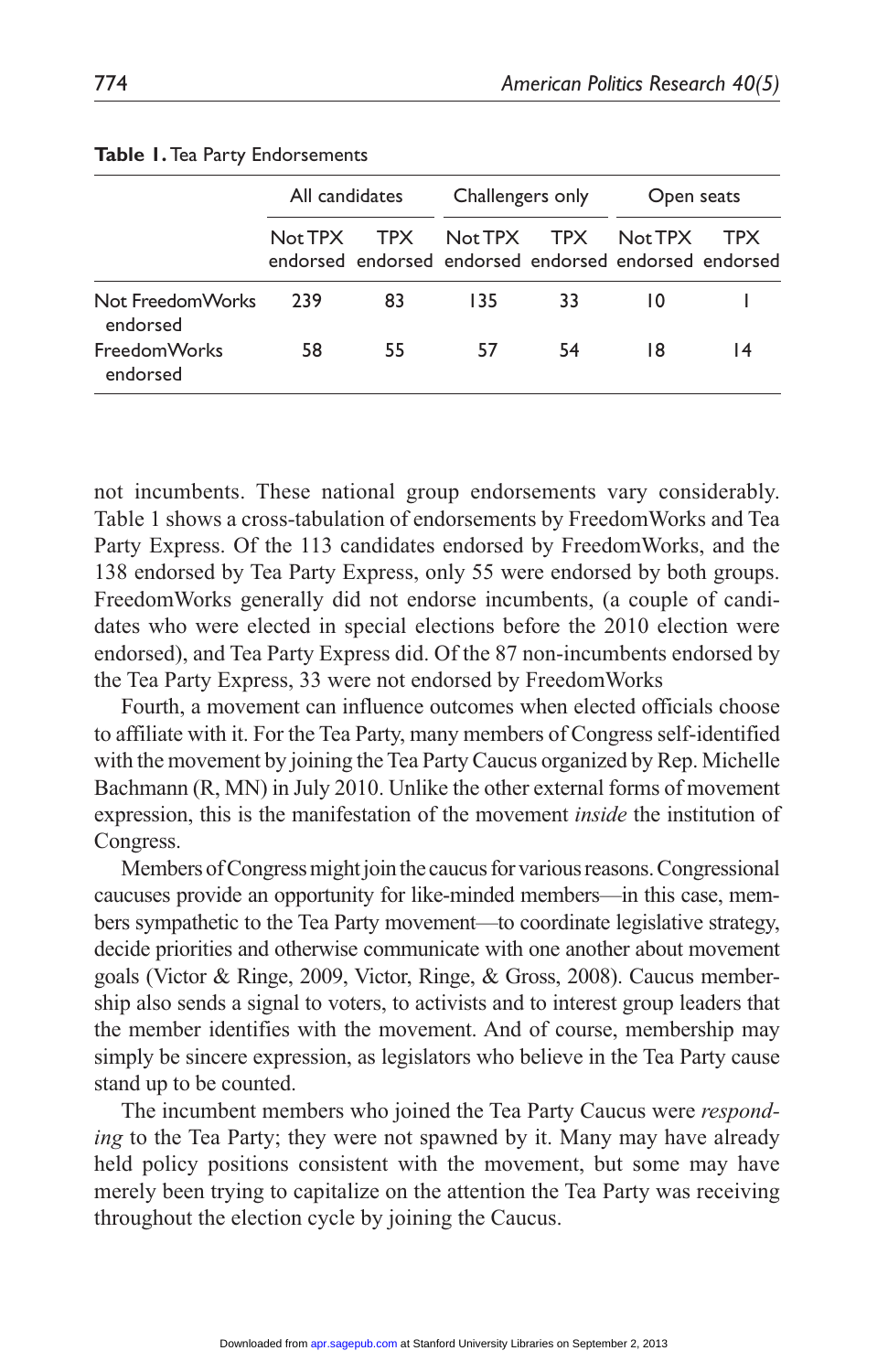|                                 | All candidates |                                                              |                     | Challengers only | Open seats |            |
|---------------------------------|----------------|--------------------------------------------------------------|---------------------|------------------|------------|------------|
|                                 | Not TPX        | TPX<br>endorsed endorsed endorsed endorsed endorsed endorsed | Not TPX TPX Not TPX |                  |            | <b>TPX</b> |
| Not FreedomWorks<br>endorsed    | 239            | 83                                                           | 135.                | 33               | 10         |            |
| <b>FreedomWorks</b><br>endorsed | 58             | 55                                                           | -57                 | 54               | 18         | 14         |

**Table 1.** Tea Party Endorsements

not incumbents. These national group endorsements vary considerably. Table 1 shows a cross-tabulation of endorsements by FreedomWorks and Tea Party Express. Of the 113 candidates endorsed by FreedomWorks, and the 138 endorsed by Tea Party Express, only 55 were endorsed by both groups. FreedomWorks generally did not endorse incumbents, (a couple of candidates who were elected in special elections before the 2010 election were endorsed), and Tea Party Express did. Of the 87 non-incumbents endorsed by the Tea Party Express, 33 were not endorsed by FreedomWorks

Fourth, a movement can influence outcomes when elected officials choose to affiliate with it. For the Tea Party, many members of Congress self-identified with the movement by joining the Tea Party Caucus organized by Rep. Michelle Bachmann (R, MN) in July 2010. Unlike the other external forms of movement expression, this is the manifestation of the movement *inside* the institution of Congress.

Members of Congress might join the caucus for various reasons. Congressional caucuses provide an opportunity for like-minded members—in this case, members sympathetic to the Tea Party movement—to coordinate legislative strategy, decide priorities and otherwise communicate with one another about movement goals (Victor & Ringe, 2009, Victor, Ringe, & Gross, 2008). Caucus membership also sends a signal to voters, to activists and to interest group leaders that the member identifies with the movement. And of course, membership may simply be sincere expression, as legislators who believe in the Tea Party cause stand up to be counted.

The incumbent members who joined the Tea Party Caucus were *responding* to the Tea Party; they were not spawned by it. Many may have already held policy positions consistent with the movement, but some may have merely been trying to capitalize on the attention the Tea Party was receiving throughout the election cycle by joining the Caucus.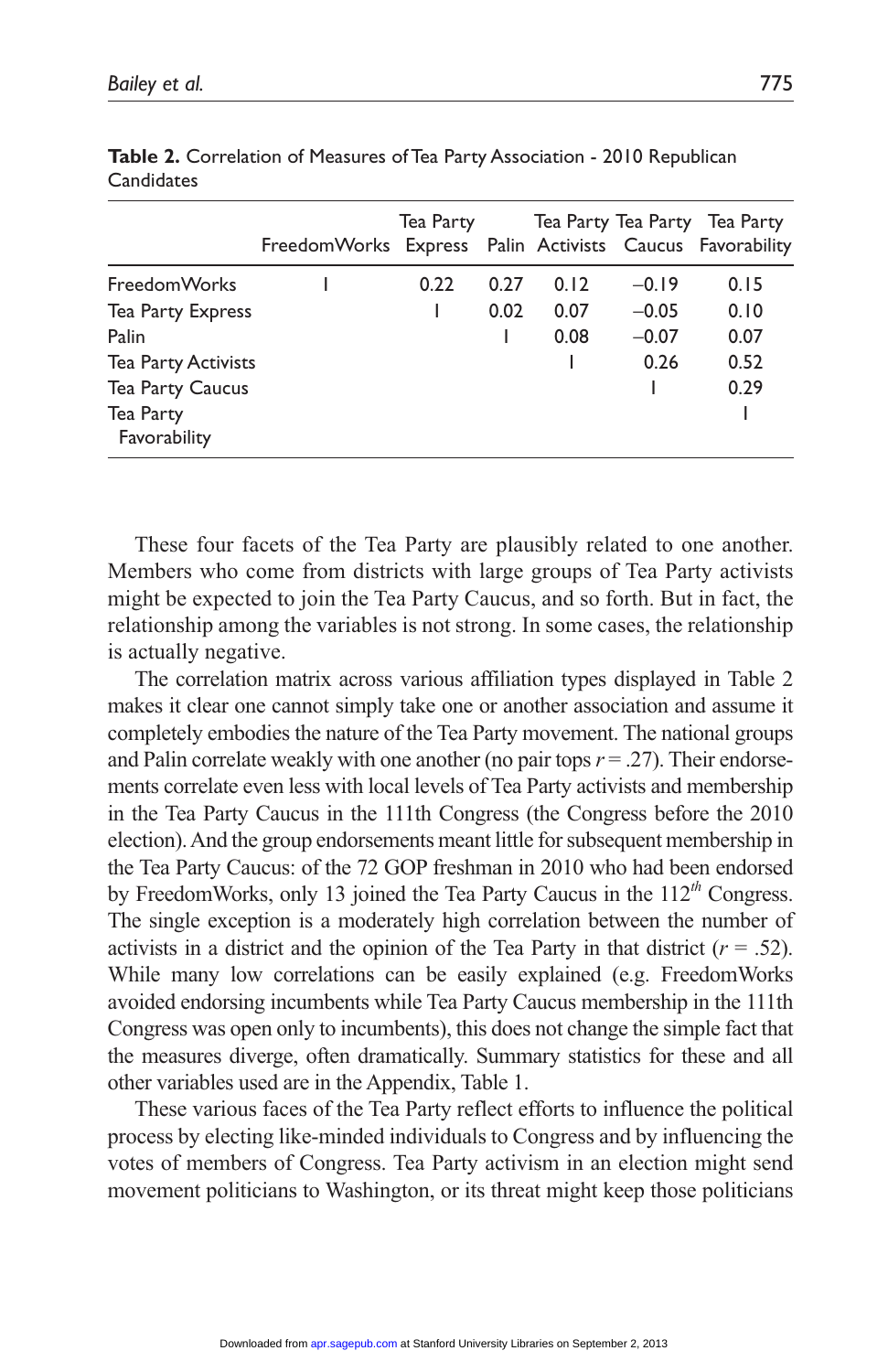|                     |                                                           | Tea Party |      |      |         | Tea Party Tea Party Tea Party |
|---------------------|-----------------------------------------------------------|-----------|------|------|---------|-------------------------------|
|                     | Freedom Works Express Palin Activists Caucus Favorability |           |      |      |         |                               |
| <b>FreedomWorks</b> |                                                           | 0.22      | 0.27 | 0.12 | $-0.19$ | 0.15                          |
| Tea Party Express   |                                                           |           | 0.02 | 0.07 | $-0.05$ | 0.10                          |
| Palin               |                                                           |           |      | 0.08 | $-0.07$ | 0.07                          |
| Tea Party Activists |                                                           |           |      |      | 0.26    | 0.52                          |
| Tea Party Caucus    |                                                           |           |      |      |         | 0.29                          |
| Tea Party           |                                                           |           |      |      |         |                               |
| Favorability        |                                                           |           |      |      |         |                               |

**Table 2.** Correlation of Measures of Tea Party Association - 2010 Republican **Candidates** 

These four facets of the Tea Party are plausibly related to one another. Members who come from districts with large groups of Tea Party activists might be expected to join the Tea Party Caucus, and so forth. But in fact, the relationship among the variables is not strong. In some cases, the relationship is actually negative.

The correlation matrix across various affiliation types displayed in Table 2 makes it clear one cannot simply take one or another association and assume it completely embodies the nature of the Tea Party movement. The national groups and Palin correlate weakly with one another (no pair tops  $r = .27$ ). Their endorsements correlate even less with local levels of Tea Party activists and membership in the Tea Party Caucus in the 111th Congress (the Congress before the 2010 election). And the group endorsements meant little for subsequent membership in the Tea Party Caucus: of the 72 GOP freshman in 2010 who had been endorsed by FreedomWorks, only 13 joined the Tea Party Caucus in the 112*th* Congress. The single exception is a moderately high correlation between the number of activists in a district and the opinion of the Tea Party in that district  $(r = .52)$ . While many low correlations can be easily explained (e.g. FreedomWorks avoided endorsing incumbents while Tea Party Caucus membership in the 111th Congress was open only to incumbents), this does not change the simple fact that the measures diverge, often dramatically. Summary statistics for these and all other variables used are in the Appendix, Table 1.

These various faces of the Tea Party reflect efforts to influence the political process by electing like-minded individuals to Congress and by influencing the votes of members of Congress. Tea Party activism in an election might send movement politicians to Washington, or its threat might keep those politicians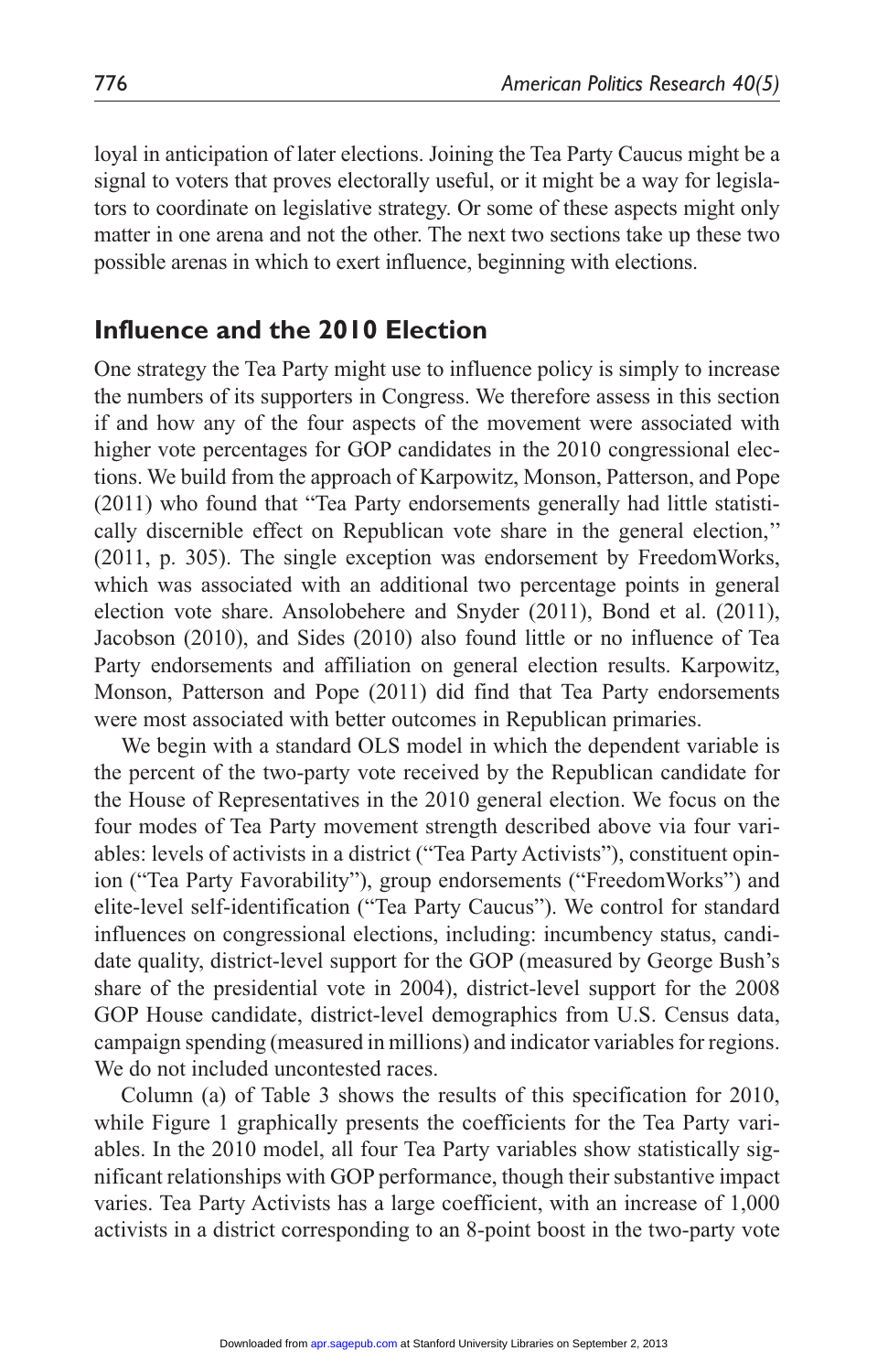loyal in anticipation of later elections. Joining the Tea Party Caucus might be a signal to voters that proves electorally useful, or it might be a way for legislators to coordinate on legislative strategy. Or some of these aspects might only matter in one arena and not the other. The next two sections take up these two possible arenas in which to exert influence, beginning with elections.

# **Influence and the 2010 Election**

One strategy the Tea Party might use to influence policy is simply to increase the numbers of its supporters in Congress. We therefore assess in this section if and how any of the four aspects of the movement were associated with higher vote percentages for GOP candidates in the 2010 congressional elections. We build from the approach of Karpowitz, Monson, Patterson, and Pope (2011) who found that "Tea Party endorsements generally had little statistically discernible effect on Republican vote share in the general election,'' (2011, p. 305). The single exception was endorsement by FreedomWorks, which was associated with an additional two percentage points in general election vote share. Ansolobehere and Snyder (2011), Bond et al. (2011), Jacobson (2010), and Sides (2010) also found little or no influence of Tea Party endorsements and affiliation on general election results. Karpowitz, Monson, Patterson and Pope (2011) did find that Tea Party endorsements were most associated with better outcomes in Republican primaries.

We begin with a standard OLS model in which the dependent variable is the percent of the two-party vote received by the Republican candidate for the House of Representatives in the 2010 general election. We focus on the four modes of Tea Party movement strength described above via four variables: levels of activists in a district ("Tea Party Activists"), constituent opinion ("Tea Party Favorability"), group endorsements ("FreedomWorks") and elite-level self-identification ("Tea Party Caucus"). We control for standard influences on congressional elections, including: incumbency status, candidate quality, district-level support for the GOP (measured by George Bush's share of the presidential vote in 2004), district-level support for the 2008 GOP House candidate, district-level demographics from U.S. Census data, campaign spending (measured in millions) and indicator variables for regions. We do not included uncontested races.

Column (a) of Table 3 shows the results of this specification for 2010, while Figure 1 graphically presents the coefficients for the Tea Party variables. In the 2010 model, all four Tea Party variables show statistically significant relationships with GOP performance, though their substantive impact varies. Tea Party Activists has a large coefficient, with an increase of 1,000 activists in a district corresponding to an 8-point boost in the two-party vote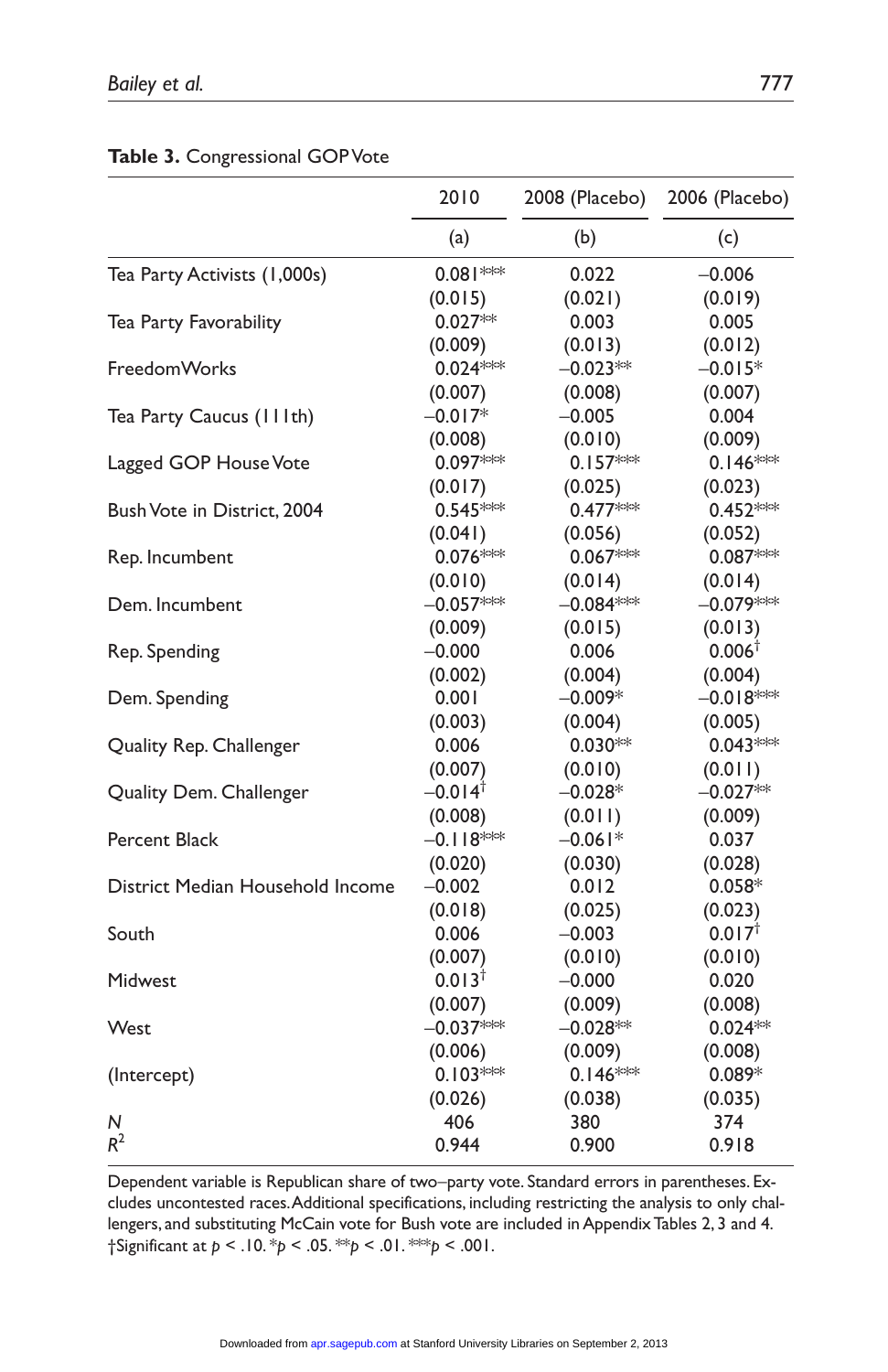| (a)<br>(b)<br>(c)<br>Tea Party Activists (1,000s)<br>$0.081***$<br>0.022<br>$-0.006$<br>(0.015)<br>(0.021)<br>(0.019)<br>$0.027**$<br>0.003<br>0.005<br>Tea Party Favorability<br>(0.013)<br>(0.012)<br>(0.009)<br>$-0.023**$<br>$0.024***$<br>$-0.015*$<br><b>FreedomWorks</b><br>(0.008)<br>(0.007)<br>(0.007)<br>Tea Party Caucus (IIIth)<br>$-0.017*$<br>$-0.005$<br>0.004<br>(0.010)<br>(0.009)<br>(0.008)<br>$0.097***$<br>$0.157***$<br>$0.146***$<br>Lagged GOP House Vote<br>(0.023)<br>(0.017)<br>(0.025)<br>Bush Vote in District, 2004<br>$0.545***$<br>$0.477***$<br>$0.452***$<br>(0.052)<br>(0.041)<br>(0.056)<br>$0.076***$<br>0.067***<br>$0.087***$<br>Rep. Incumbent | 2010 | 2008 (Placebo) | 2006 (Placebo) |
|-----------------------------------------------------------------------------------------------------------------------------------------------------------------------------------------------------------------------------------------------------------------------------------------------------------------------------------------------------------------------------------------------------------------------------------------------------------------------------------------------------------------------------------------------------------------------------------------------------------------------------------------------------------------------------------------|------|----------------|----------------|
|                                                                                                                                                                                                                                                                                                                                                                                                                                                                                                                                                                                                                                                                                         |      |                |                |
|                                                                                                                                                                                                                                                                                                                                                                                                                                                                                                                                                                                                                                                                                         |      |                |                |
|                                                                                                                                                                                                                                                                                                                                                                                                                                                                                                                                                                                                                                                                                         |      |                |                |
|                                                                                                                                                                                                                                                                                                                                                                                                                                                                                                                                                                                                                                                                                         |      |                |                |
|                                                                                                                                                                                                                                                                                                                                                                                                                                                                                                                                                                                                                                                                                         |      |                |                |
|                                                                                                                                                                                                                                                                                                                                                                                                                                                                                                                                                                                                                                                                                         |      |                |                |
|                                                                                                                                                                                                                                                                                                                                                                                                                                                                                                                                                                                                                                                                                         |      |                |                |
|                                                                                                                                                                                                                                                                                                                                                                                                                                                                                                                                                                                                                                                                                         |      |                |                |
|                                                                                                                                                                                                                                                                                                                                                                                                                                                                                                                                                                                                                                                                                         |      |                |                |
|                                                                                                                                                                                                                                                                                                                                                                                                                                                                                                                                                                                                                                                                                         |      |                |                |
|                                                                                                                                                                                                                                                                                                                                                                                                                                                                                                                                                                                                                                                                                         |      |                |                |
|                                                                                                                                                                                                                                                                                                                                                                                                                                                                                                                                                                                                                                                                                         |      |                |                |
|                                                                                                                                                                                                                                                                                                                                                                                                                                                                                                                                                                                                                                                                                         |      |                |                |
|                                                                                                                                                                                                                                                                                                                                                                                                                                                                                                                                                                                                                                                                                         |      |                |                |
| (0.010)<br>(0.014)<br>(0.014)                                                                                                                                                                                                                                                                                                                                                                                                                                                                                                                                                                                                                                                           |      |                |                |
| $-0.057***$<br>$-0.084***$<br>$-0.079***$<br>Dem. Incumbent                                                                                                                                                                                                                                                                                                                                                                                                                                                                                                                                                                                                                             |      |                |                |
| (0.009)<br>(0.015)<br>(0.013)                                                                                                                                                                                                                                                                                                                                                                                                                                                                                                                                                                                                                                                           |      |                |                |
| $0.006^{\dagger}$<br>$-0.000$<br>0.006<br>Rep. Spending                                                                                                                                                                                                                                                                                                                                                                                                                                                                                                                                                                                                                                 |      |                |                |
| (0.002)<br>(0.004)<br>(0.004)                                                                                                                                                                                                                                                                                                                                                                                                                                                                                                                                                                                                                                                           |      |                |                |
| $-0.009*$<br>$-0.018***$<br>0.001<br>Dem. Spending                                                                                                                                                                                                                                                                                                                                                                                                                                                                                                                                                                                                                                      |      |                |                |
| (0.003)<br>(0.004)<br>(0.005)                                                                                                                                                                                                                                                                                                                                                                                                                                                                                                                                                                                                                                                           |      |                |                |
| 0.006<br>$0.030**$<br>$0.043***$<br>Quality Rep. Challenger                                                                                                                                                                                                                                                                                                                                                                                                                                                                                                                                                                                                                             |      |                |                |
| (0.007)<br>(0.010)<br>(0.011)                                                                                                                                                                                                                                                                                                                                                                                                                                                                                                                                                                                                                                                           |      |                |                |
| $-0.014^{\dagger}$<br>$-0.028*$<br>$-0.027**$<br>Quality Dem. Challenger                                                                                                                                                                                                                                                                                                                                                                                                                                                                                                                                                                                                                |      |                |                |
| (0.008)<br>(0.011)<br>(0.009)                                                                                                                                                                                                                                                                                                                                                                                                                                                                                                                                                                                                                                                           |      |                |                |
| $-0.118***$<br>Percent Black<br>$-0.061*$<br>0.037                                                                                                                                                                                                                                                                                                                                                                                                                                                                                                                                                                                                                                      |      |                |                |
| (0.020)<br>(0.030)<br>(0.028)                                                                                                                                                                                                                                                                                                                                                                                                                                                                                                                                                                                                                                                           |      |                |                |
| District Median Household Income<br>$-0.002$<br>0.012<br>$0.058*$                                                                                                                                                                                                                                                                                                                                                                                                                                                                                                                                                                                                                       |      |                |                |
| (0.018)<br>(0.025)<br>(0.023)                                                                                                                                                                                                                                                                                                                                                                                                                                                                                                                                                                                                                                                           |      |                |                |
| $0.017^{\dagger}$<br>$-0.003$<br>South<br>0.006                                                                                                                                                                                                                                                                                                                                                                                                                                                                                                                                                                                                                                         |      |                |                |
| (0.007)<br>(0.010)<br>(0.010)                                                                                                                                                                                                                                                                                                                                                                                                                                                                                                                                                                                                                                                           |      |                |                |
| $0.013^{\dagger}$<br>$-0.000$<br>0.020<br>Midwest                                                                                                                                                                                                                                                                                                                                                                                                                                                                                                                                                                                                                                       |      |                |                |
| (0.007)<br>(0.009)<br>(0.008)                                                                                                                                                                                                                                                                                                                                                                                                                                                                                                                                                                                                                                                           |      |                |                |
| $-0.037***$<br>$0.024**$<br>$-0.028**$<br>West                                                                                                                                                                                                                                                                                                                                                                                                                                                                                                                                                                                                                                          |      |                |                |
| (0.006)<br>(0.009)<br>(0.008)                                                                                                                                                                                                                                                                                                                                                                                                                                                                                                                                                                                                                                                           |      |                |                |
| $0.103***$<br>$0.146***$<br>$0.089*$<br>(Intercept)                                                                                                                                                                                                                                                                                                                                                                                                                                                                                                                                                                                                                                     |      |                |                |
| (0.026)<br>(0.035)<br>(0.038)                                                                                                                                                                                                                                                                                                                                                                                                                                                                                                                                                                                                                                                           |      |                |                |
| 406<br>380<br>374<br>Ν                                                                                                                                                                                                                                                                                                                                                                                                                                                                                                                                                                                                                                                                  |      |                |                |
| $R^2$<br>0.944<br>0.918<br>0.900                                                                                                                                                                                                                                                                                                                                                                                                                                                                                                                                                                                                                                                        |      |                |                |

### **Table 3.** Congressional GOP Vote

Dependent variable is Republican share of two-party vote. Standard errors in parentheses. Excludes uncontested races. Additional specifications, including restricting the analysis to only challengers, and substituting McCain vote for Bush vote are included in Appendix Tables 2, 3 and 4. †Significant at *p* < .10. \**p* < .05. \*\**p* < .01. \*\*\**p* < .001.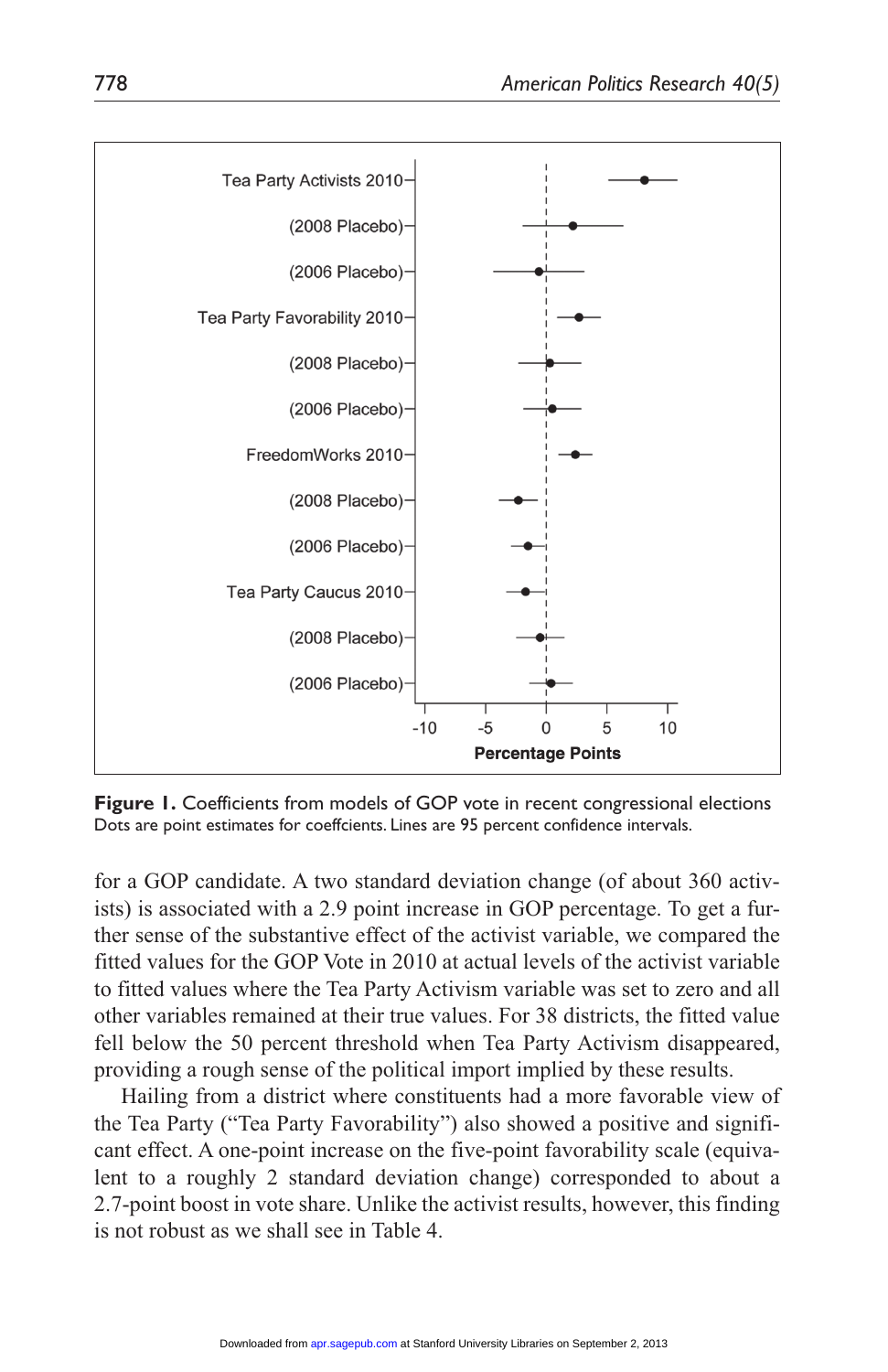

**Figure 1.** Coefficients from models of GOP vote in recent congressional elections Dots are point estimates for coeffcients. Lines are 95 percent confidence intervals.

for a GOP candidate. A two standard deviation change (of about 360 activists) is associated with a 2.9 point increase in GOP percentage. To get a further sense of the substantive effect of the activist variable, we compared the fitted values for the GOP Vote in 2010 at actual levels of the activist variable to fitted values where the Tea Party Activism variable was set to zero and all other variables remained at their true values. For 38 districts, the fitted value fell below the 50 percent threshold when Tea Party Activism disappeared, providing a rough sense of the political import implied by these results.

Hailing from a district where constituents had a more favorable view of the Tea Party ("Tea Party Favorability") also showed a positive and significant effect. A one-point increase on the five-point favorability scale (equivalent to a roughly 2 standard deviation change) corresponded to about a 2.7-point boost in vote share. Unlike the activist results, however, this finding is not robust as we shall see in Table 4.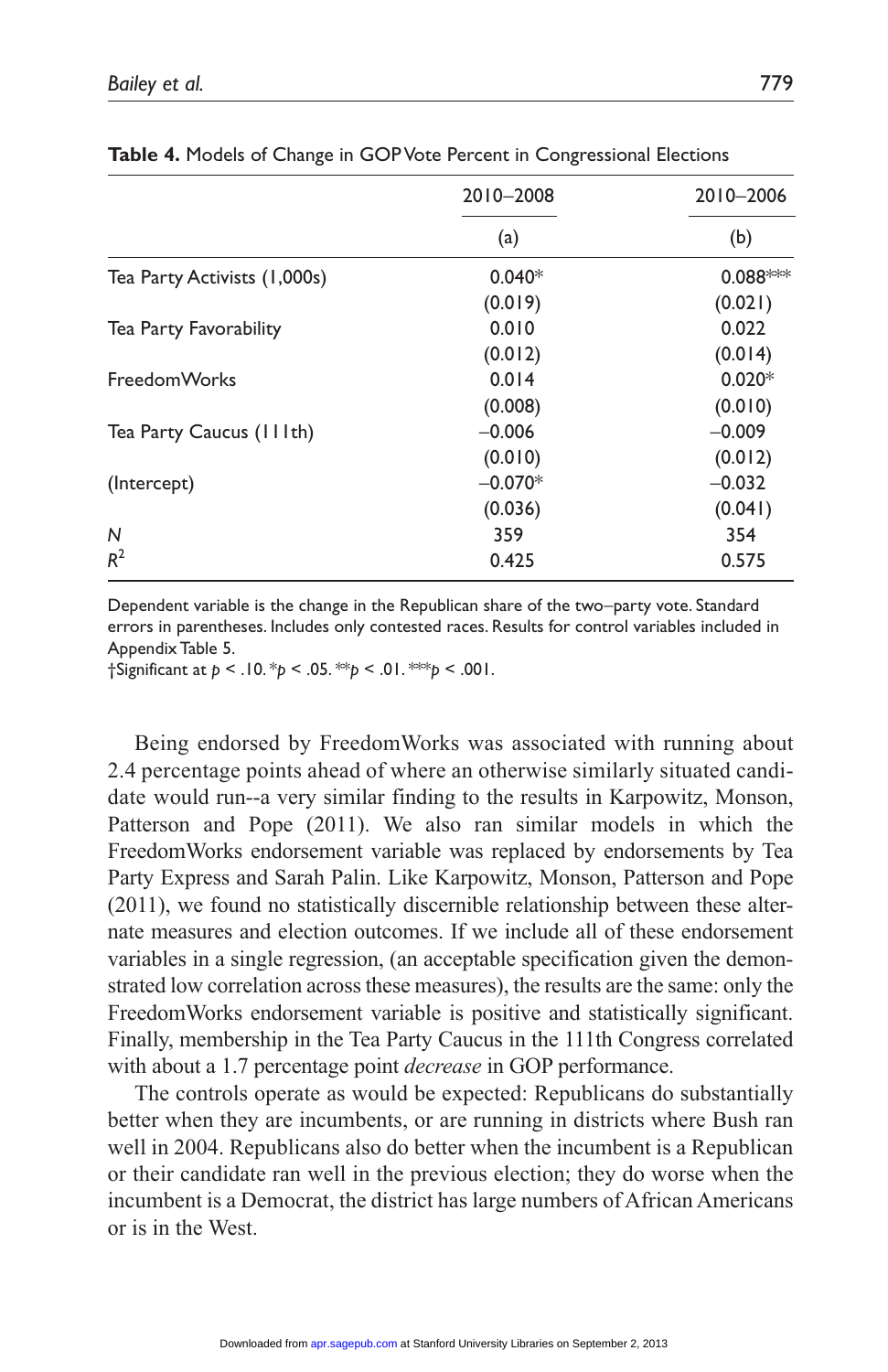|                              | 2010-2008 | 2010-2006  |
|------------------------------|-----------|------------|
|                              | (a)       | (b)        |
| Tea Party Activists (1,000s) | $0.040*$  | $0.088***$ |
|                              | (0.019)   | (0.021)    |
| Tea Party Favorability       | 0.010     | 0.022      |
|                              | (0.012)   | (0.014)    |
| <b>FreedomWorks</b>          | 0.014     | $0.020*$   |
|                              | (0.008)   | (0.010)    |
| Tea Party Caucus (111th)     | $-0.006$  | $-0.009$   |
|                              | (0.010)   | (0.012)    |
| (Intercept)                  | $-0.070*$ | $-0.032$   |
|                              | (0.036)   | (0.041)    |
| N                            | 359       | 354        |
| $R^2$                        | 0.425     | 0.575      |

**Table 4.** Models of Change in GOP Vote Percent in Congressional Elections

Dependent variable is the change in the Republican share of the two-party vote. Standard errors in parentheses. Includes only contested races. Results for control variables included in Appendix Table 5.

†Significant at *p* < .10. \**p* < .05. \*\**p* < .01. \*\*\**p* < .001.

Being endorsed by FreedomWorks was associated with running about 2.4 percentage points ahead of where an otherwise similarly situated candidate would run--a very similar finding to the results in Karpowitz, Monson, Patterson and Pope (2011). We also ran similar models in which the FreedomWorks endorsement variable was replaced by endorsements by Tea Party Express and Sarah Palin. Like Karpowitz, Monson, Patterson and Pope (2011), we found no statistically discernible relationship between these alternate measures and election outcomes. If we include all of these endorsement variables in a single regression, (an acceptable specification given the demonstrated low correlation across these measures), the results are the same: only the FreedomWorks endorsement variable is positive and statistically significant. Finally, membership in the Tea Party Caucus in the 111th Congress correlated with about a 1.7 percentage point *decrease* in GOP performance.

The controls operate as would be expected: Republicans do substantially better when they are incumbents, or are running in districts where Bush ran well in 2004. Republicans also do better when the incumbent is a Republican or their candidate ran well in the previous election; they do worse when the incumbent is a Democrat, the district has large numbers of African Americans or is in the West.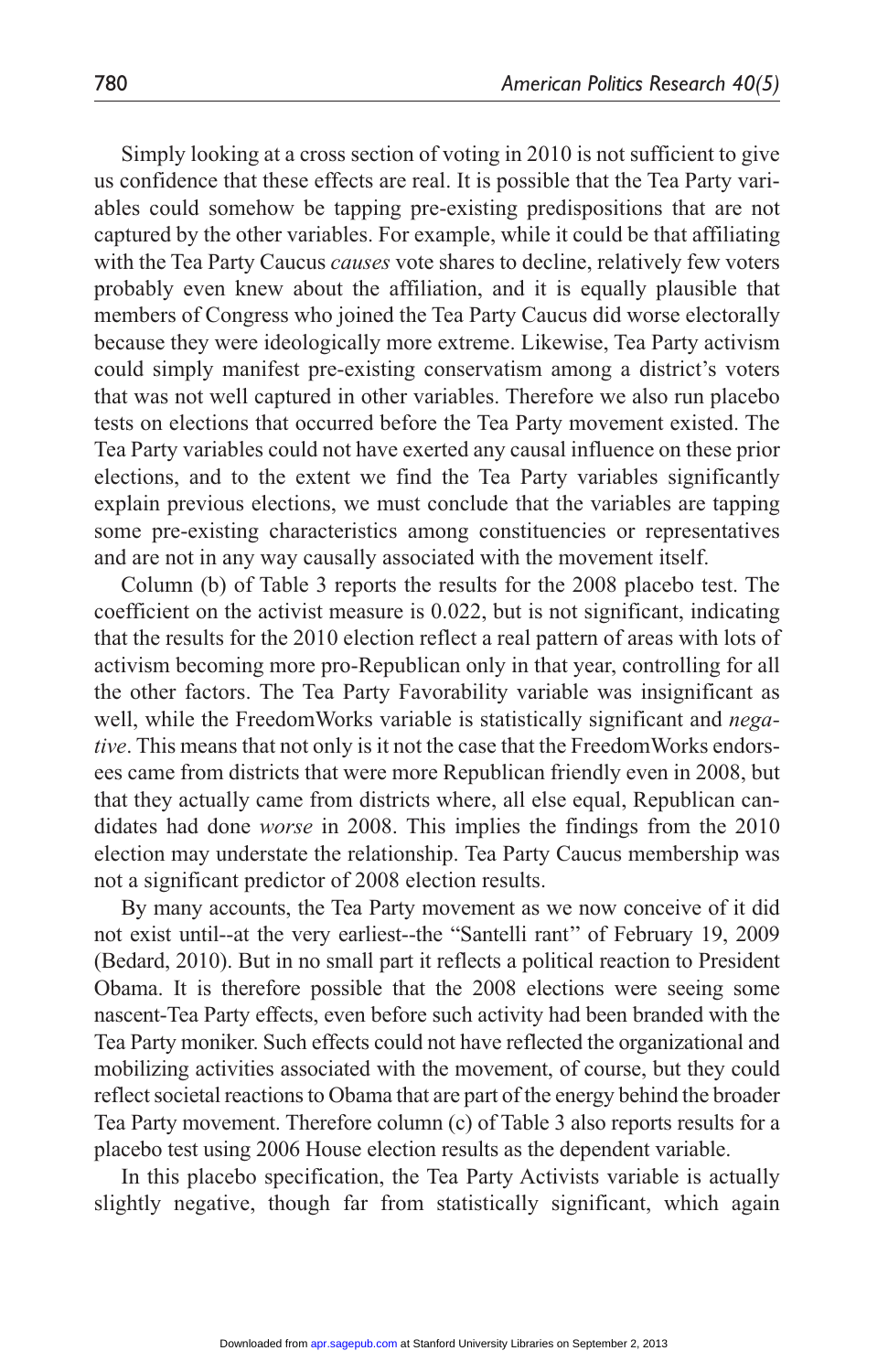Simply looking at a cross section of voting in 2010 is not sufficient to give us confidence that these effects are real. It is possible that the Tea Party variables could somehow be tapping pre-existing predispositions that are not captured by the other variables. For example, while it could be that affiliating with the Tea Party Caucus *causes* vote shares to decline, relatively few voters probably even knew about the affiliation, and it is equally plausible that members of Congress who joined the Tea Party Caucus did worse electorally because they were ideologically more extreme. Likewise, Tea Party activism could simply manifest pre-existing conservatism among a district's voters that was not well captured in other variables. Therefore we also run placebo tests on elections that occurred before the Tea Party movement existed. The Tea Party variables could not have exerted any causal influence on these prior elections, and to the extent we find the Tea Party variables significantly explain previous elections, we must conclude that the variables are tapping some pre-existing characteristics among constituencies or representatives and are not in any way causally associated with the movement itself.

Column (b) of Table 3 reports the results for the 2008 placebo test. The coefficient on the activist measure is 0.022, but is not significant, indicating that the results for the 2010 election reflect a real pattern of areas with lots of activism becoming more pro-Republican only in that year, controlling for all the other factors. The Tea Party Favorability variable was insignificant as well, while the FreedomWorks variable is statistically significant and *negative*. This means that not only is it not the case that the FreedomWorks endorsees came from districts that were more Republican friendly even in 2008, but that they actually came from districts where, all else equal, Republican candidates had done *worse* in 2008. This implies the findings from the 2010 election may understate the relationship. Tea Party Caucus membership was not a significant predictor of 2008 election results.

By many accounts, the Tea Party movement as we now conceive of it did not exist until--at the very earliest--the "Santelli rant'' of February 19, 2009 (Bedard, 2010). But in no small part it reflects a political reaction to President Obama. It is therefore possible that the 2008 elections were seeing some nascent-Tea Party effects, even before such activity had been branded with the Tea Party moniker. Such effects could not have reflected the organizational and mobilizing activities associated with the movement, of course, but they could reflect societal reactions to Obama that are part of the energy behind the broader Tea Party movement. Therefore column (c) of Table 3 also reports results for a placebo test using 2006 House election results as the dependent variable.

In this placebo specification, the Tea Party Activists variable is actually slightly negative, though far from statistically significant, which again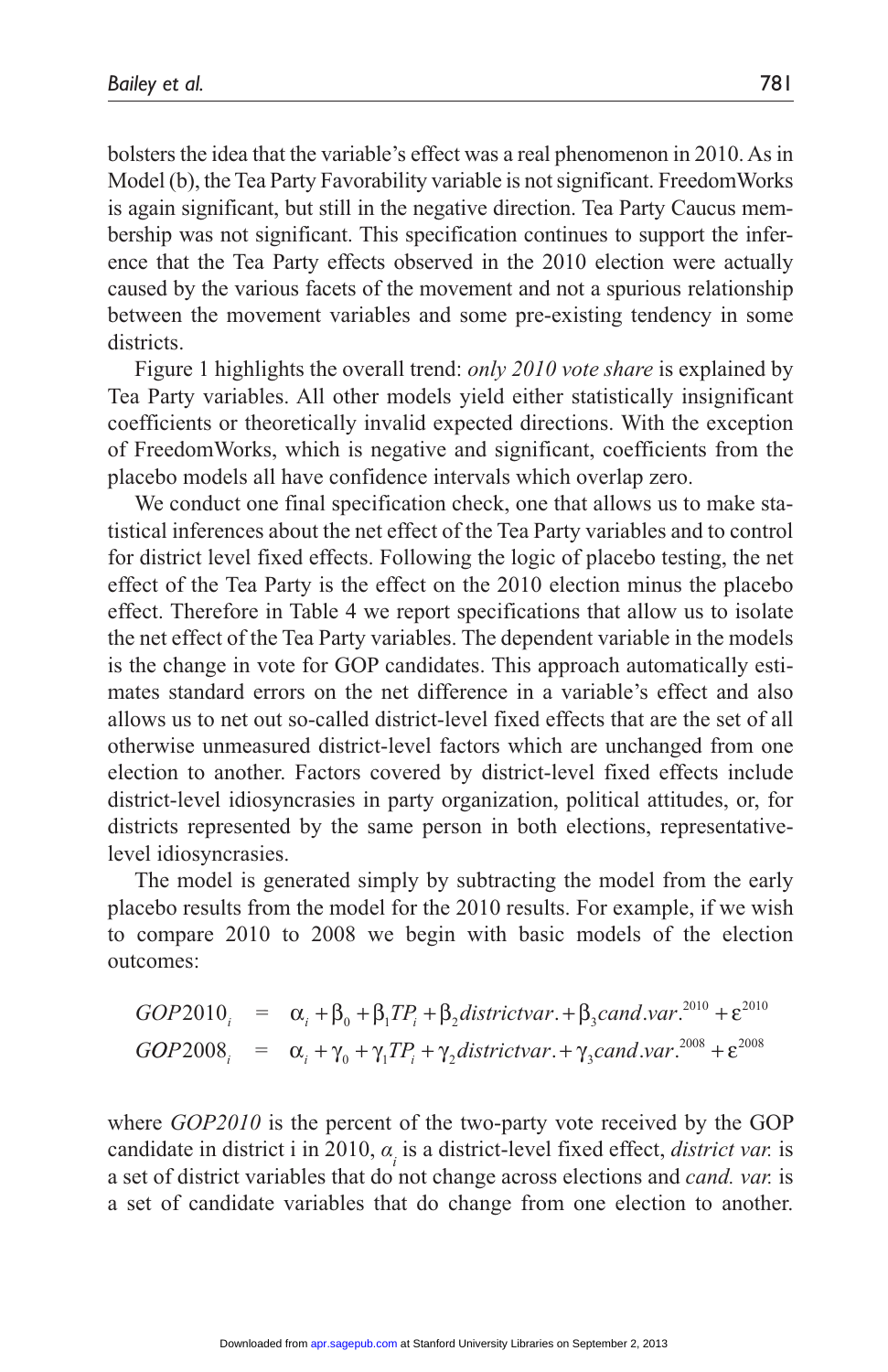bolsters the idea that the variable's effect was a real phenomenon in 2010. As in Model (b), the Tea Party Favorability variable is not significant. FreedomWorks is again significant, but still in the negative direction. Tea Party Caucus membership was not significant. This specification continues to support the inference that the Tea Party effects observed in the 2010 election were actually caused by the various facets of the movement and not a spurious relationship between the movement variables and some pre-existing tendency in some districts.

Figure 1 highlights the overall trend: *only 2010 vote share* is explained by Tea Party variables. All other models yield either statistically insignificant coefficients or theoretically invalid expected directions. With the exception of FreedomWorks, which is negative and significant, coefficients from the placebo models all have confidence intervals which overlap zero.

We conduct one final specification check, one that allows us to make statistical inferences about the net effect of the Tea Party variables and to control for district level fixed effects. Following the logic of placebo testing, the net effect of the Tea Party is the effect on the 2010 election minus the placebo effect. Therefore in Table 4 we report specifications that allow us to isolate the net effect of the Tea Party variables. The dependent variable in the models is the change in vote for GOP candidates. This approach automatically estimates standard errors on the net difference in a variable's effect and also allows us to net out so-called district-level fixed effects that are the set of all otherwise unmeasured district-level factors which are unchanged from one election to another. Factors covered by district-level fixed effects include district-level idiosyncrasies in party organization, political attitudes, or, for districts represented by the same person in both elections, representativelevel idiosyncrasies.

The model is generated simply by subtracting the model from the early placebo results from the model for the 2010 results. For example, if we wish to compare 2010 to 2008 we begin with basic models of the election outcomes:

$$
GOP2010_i = \alpha_i + \beta_0 + \beta_1 TP_i + \beta_2 \text{districtvar.} + \beta_3 \text{cand.} \text{var.}^{2010} + \varepsilon^{2010}
$$
  

$$
GOP2008_i = \alpha_i + \gamma_0 + \gamma_1 TP_i + \gamma_2 \text{districtvar.} + \gamma_3 \text{cand.} \text{var.}^{2008} + \varepsilon^{2008}
$$

where *GOP2010* is the percent of the two-party vote received by the GOP candidate in district i in 2010,  $\alpha$ <sub>i</sub> is a district-level fixed effect, *district var.* is a set of district variables that do not change across elections and *cand. var.* is a set of candidate variables that do change from one election to another.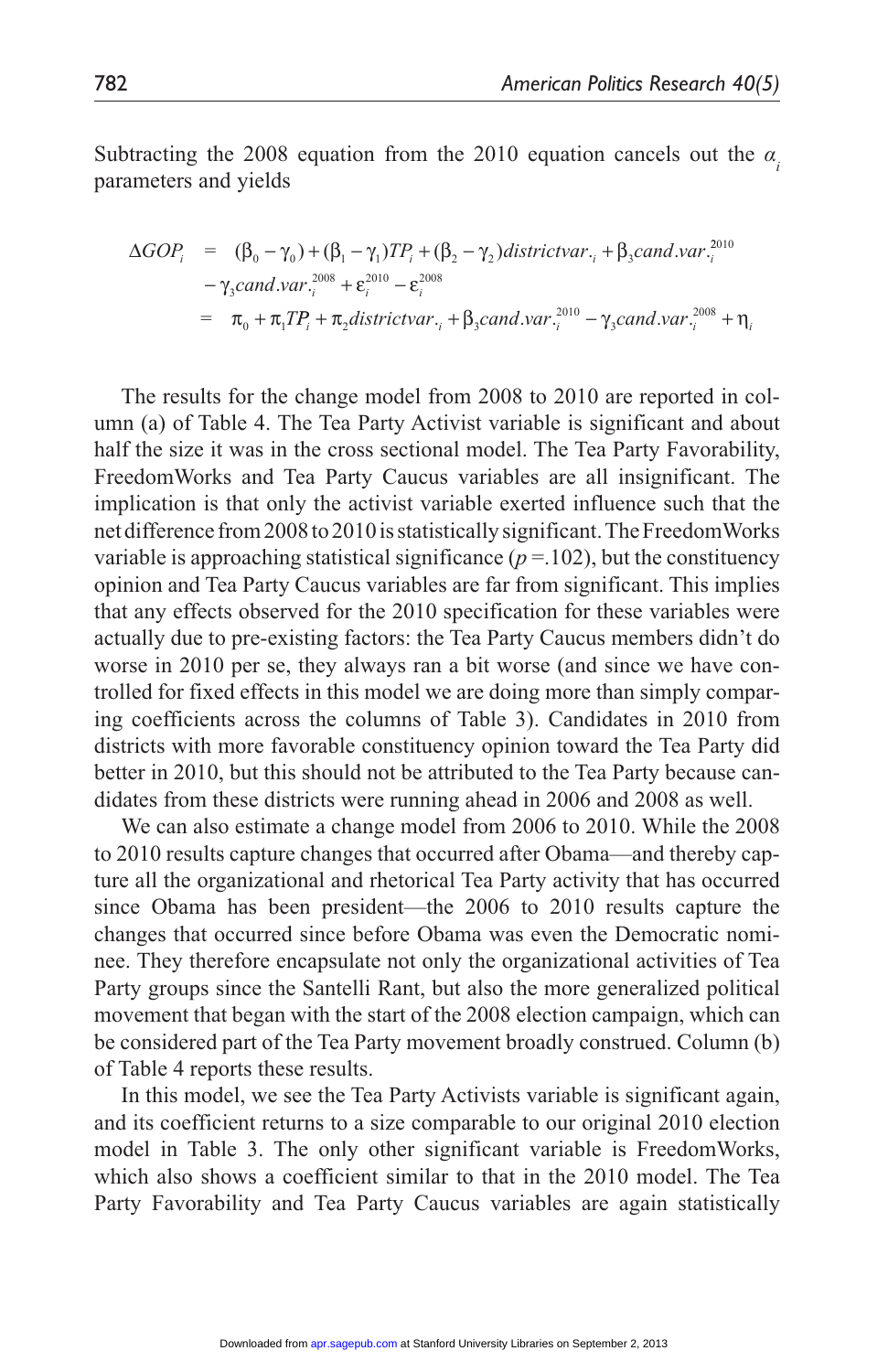Subtracting the 2008 equation from the 2010 equation cancels out the  $\alpha$ <sub>i</sub> parameters and yields

$$
\Delta GOP_i = (\beta_0 - \gamma_0) + (\beta_1 - \gamma_1)TP_i + (\beta_2 - \gamma_2) \text{distributive}_{i} + \beta_3 \text{cand}_{i} \text{var}_{i}^{2010} \n- \gamma_3 \text{cand}_{i} \text{var}_{i}^{2008} + \varepsilon_i^{2010} - \varepsilon_i^{2008} \n= \pi_0 + \pi_1 TP_i + \pi_2 \text{distributive}_{i} + \beta_3 \text{cand}_{i} \text{var}_{i}^{2010} - \gamma_3 \text{cand}_{i} \text{var}_{i}^{2008} + \eta_i
$$

The results for the change model from 2008 to 2010 are reported in column (a) of Table 4. The Tea Party Activist variable is significant and about half the size it was in the cross sectional model. The Tea Party Favorability, FreedomWorks and Tea Party Caucus variables are all insignificant. The implication is that only the activist variable exerted influence such that the net difference from 2008 to 2010 is statistically significant. The FreedomWorks variable is approaching statistical significance  $(p=102)$ , but the constituency opinion and Tea Party Caucus variables are far from significant. This implies that any effects observed for the 2010 specification for these variables were actually due to pre-existing factors: the Tea Party Caucus members didn't do worse in 2010 per se, they always ran a bit worse (and since we have controlled for fixed effects in this model we are doing more than simply comparing coefficients across the columns of Table 3). Candidates in 2010 from districts with more favorable constituency opinion toward the Tea Party did better in 2010, but this should not be attributed to the Tea Party because candidates from these districts were running ahead in 2006 and 2008 as well.

We can also estimate a change model from 2006 to 2010. While the 2008 to 2010 results capture changes that occurred after Obama—and thereby capture all the organizational and rhetorical Tea Party activity that has occurred since Obama has been president—the 2006 to 2010 results capture the changes that occurred since before Obama was even the Democratic nominee. They therefore encapsulate not only the organizational activities of Tea Party groups since the Santelli Rant, but also the more generalized political movement that began with the start of the 2008 election campaign, which can be considered part of the Tea Party movement broadly construed. Column (b) of Table 4 reports these results.

In this model, we see the Tea Party Activists variable is significant again, and its coefficient returns to a size comparable to our original 2010 election model in Table 3. The only other significant variable is FreedomWorks, which also shows a coefficient similar to that in the 2010 model. The Tea Party Favorability and Tea Party Caucus variables are again statistically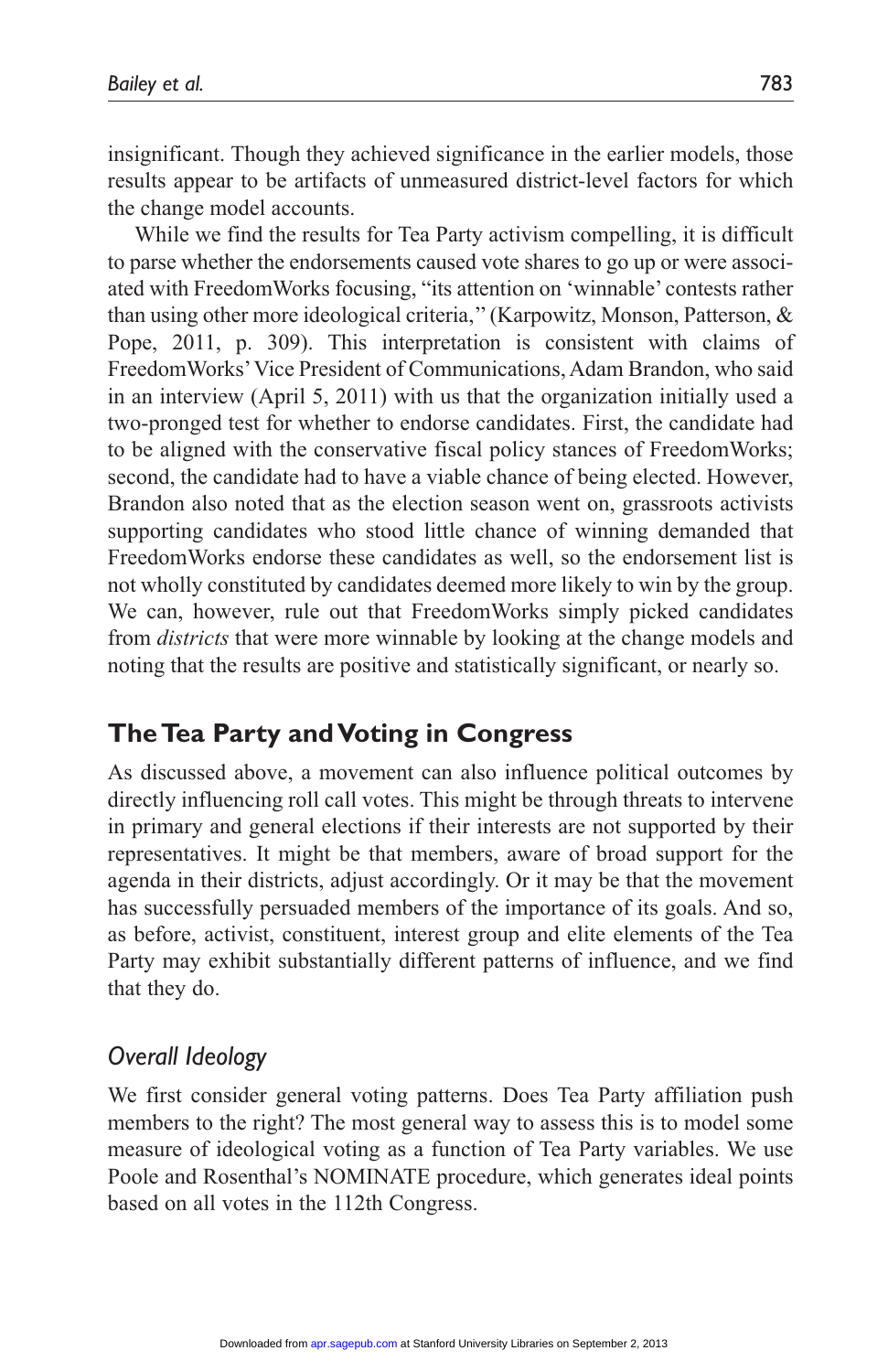insignificant. Though they achieved significance in the earlier models, those results appear to be artifacts of unmeasured district-level factors for which the change model accounts.

While we find the results for Tea Party activism compelling, it is difficult to parse whether the endorsements caused vote shares to go up or were associated with FreedomWorks focusing, "its attention on 'winnable' contests rather than using other more ideological criteria,'' (Karpowitz, Monson, Patterson, & Pope, 2011, p. 309). This interpretation is consistent with claims of FreedomWorks' Vice President of Communications, Adam Brandon, who said in an interview (April 5, 2011) with us that the organization initially used a two-pronged test for whether to endorse candidates. First, the candidate had to be aligned with the conservative fiscal policy stances of FreedomWorks; second, the candidate had to have a viable chance of being elected. However, Brandon also noted that as the election season went on, grassroots activists supporting candidates who stood little chance of winning demanded that FreedomWorks endorse these candidates as well, so the endorsement list is not wholly constituted by candidates deemed more likely to win by the group. We can, however, rule out that FreedomWorks simply picked candidates from *districts* that were more winnable by looking at the change models and noting that the results are positive and statistically significant, or nearly so.

# **The Tea Party and Voting in Congress**

As discussed above, a movement can also influence political outcomes by directly influencing roll call votes. This might be through threats to intervene in primary and general elections if their interests are not supported by their representatives. It might be that members, aware of broad support for the agenda in their districts, adjust accordingly. Or it may be that the movement has successfully persuaded members of the importance of its goals. And so, as before, activist, constituent, interest group and elite elements of the Tea Party may exhibit substantially different patterns of influence, and we find that they do.

# *Overall Ideology*

We first consider general voting patterns. Does Tea Party affiliation push members to the right? The most general way to assess this is to model some measure of ideological voting as a function of Tea Party variables. We use Poole and Rosenthal's NOMINATE procedure, which generates ideal points based on all votes in the 112th Congress.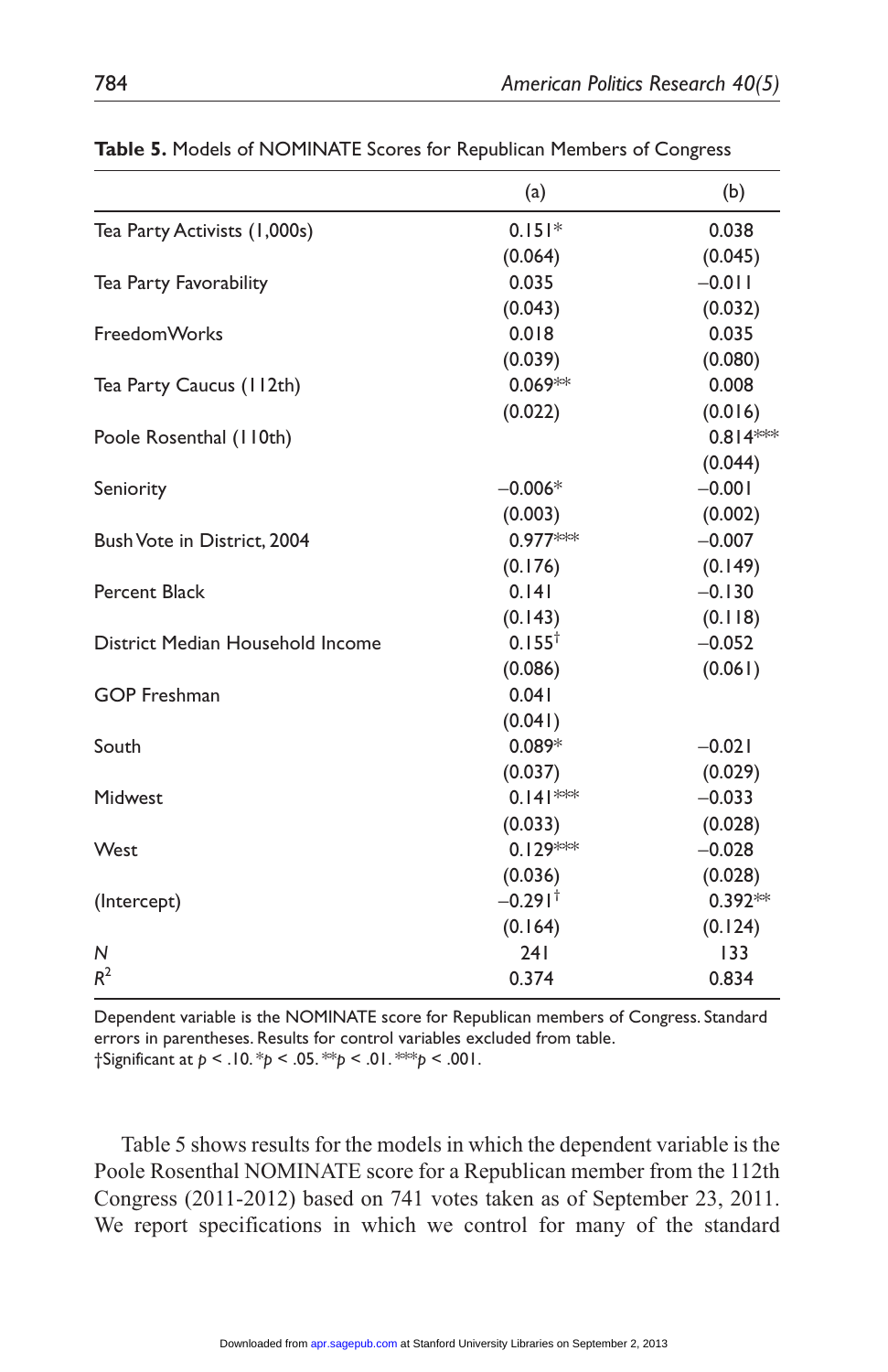|                                  | (a)                   | (b)        |
|----------------------------------|-----------------------|------------|
| Tea Party Activists (1,000s)     | $0.151*$              | 0.038      |
|                                  | (0.064)               | (0.045)    |
| Tea Party Favorability           | 0.035                 | $-0.011$   |
|                                  | (0.043)               | (0.032)    |
| <b>FreedomWorks</b>              | 0.018                 | 0.035      |
|                                  | (0.039)               | (0.080)    |
| Tea Party Caucus (112th)         | $0.069**$             | 0.008      |
|                                  | (0.022)               | (0.016)    |
| Poole Rosenthal (110th)          |                       | $0.814***$ |
|                                  |                       | (0.044)    |
| Seniority                        | $-0.006*$             | $-0.001$   |
|                                  | (0.003)               | (0.002)    |
| Bush Vote in District, 2004      | 0.977***              | $-0.007$   |
|                                  | (0.176)               | (0.149)    |
| <b>Percent Black</b>             | 0.141                 | $-0.130$   |
|                                  | (0.143)               | (0.118)    |
| District Median Household Income | $0.155^{\dagger}$     | $-0.052$   |
|                                  | (0.086)               | (0.061)    |
| <b>GOP</b> Freshman              | 0.041                 |            |
|                                  | (0.041)               |            |
| South                            | $0.089*$              | $-0.021$   |
|                                  | (0.037)               | (0.029)    |
| Midwest                          | $0.141***$            | $-0.033$   |
|                                  | (0.033)               | (0.028)    |
| West                             | $0.129***$            | $-0.028$   |
|                                  | (0.036)               | (0.028)    |
| (Intercept)                      | $-0.291$ <sup>†</sup> | $0.392**$  |
|                                  | (0.164)               | (0.124)    |
| N                                | 241                   | 133        |
| $R^2$                            | 0.374                 | 0.834      |

**Table 5.** Models of NOMINATE Scores for Republican Members of Congress

Dependent variable is the NOMINATE score for Republican members of Congress. Standard errors in parentheses. Results for control variables excluded from table. †Significant at *p* < .10. \**p* < .05. \*\**p* < .01. \*\*\**p* < .001.

Table 5 shows results for the models in which the dependent variable is the Poole Rosenthal NOMINATE score for a Republican member from the 112th Congress (2011-2012) based on 741 votes taken as of September 23, 2011. We report specifications in which we control for many of the standard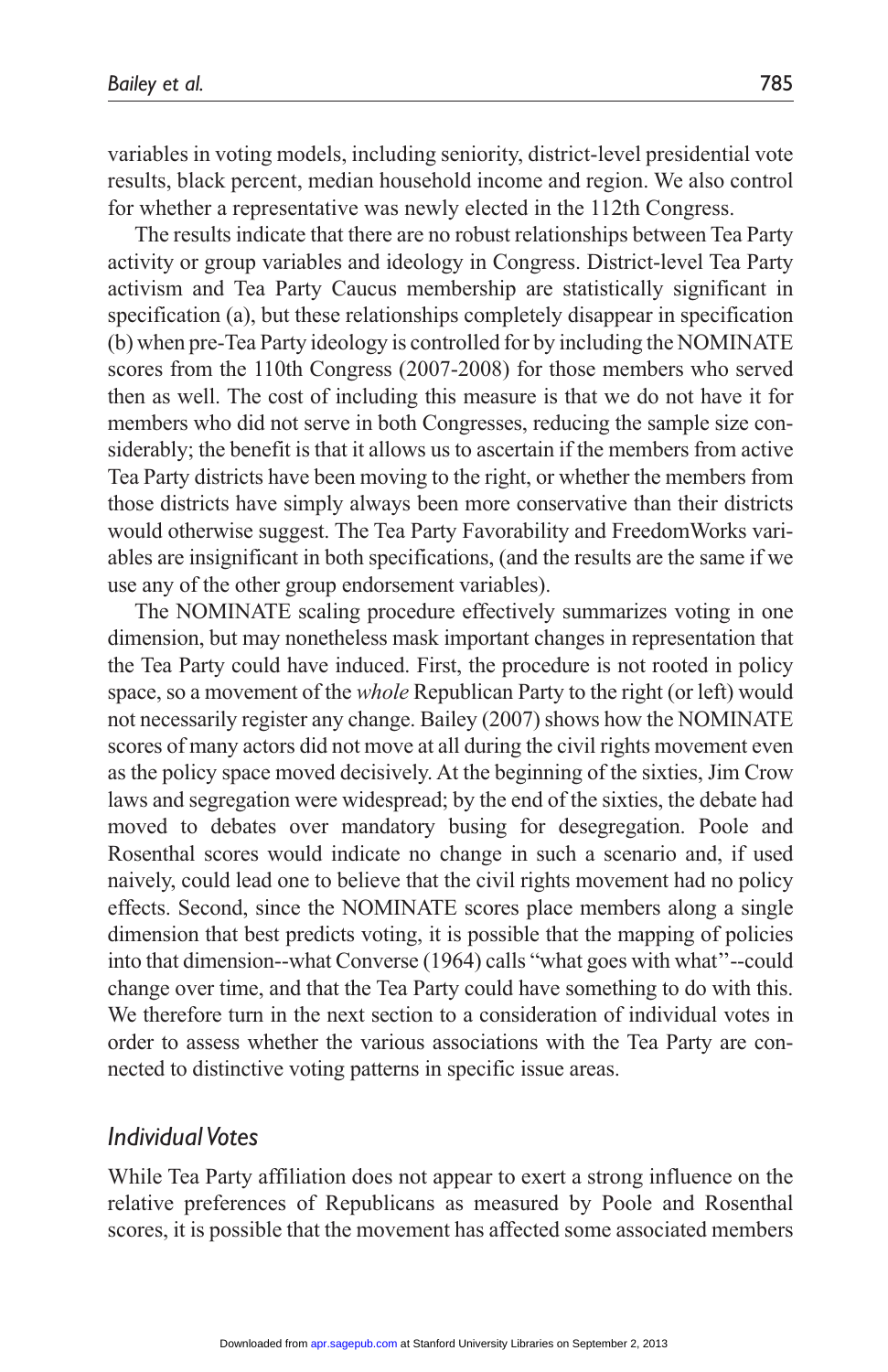variables in voting models, including seniority, district-level presidential vote results, black percent, median household income and region. We also control for whether a representative was newly elected in the 112th Congress.

The results indicate that there are no robust relationships between Tea Party activity or group variables and ideology in Congress. District-level Tea Party activism and Tea Party Caucus membership are statistically significant in specification (a), but these relationships completely disappear in specification (b) when pre-Tea Party ideology is controlled for by including the NOMINATE scores from the 110th Congress (2007-2008) for those members who served then as well. The cost of including this measure is that we do not have it for members who did not serve in both Congresses, reducing the sample size considerably; the benefit is that it allows us to ascertain if the members from active Tea Party districts have been moving to the right, or whether the members from those districts have simply always been more conservative than their districts would otherwise suggest. The Tea Party Favorability and FreedomWorks variables are insignificant in both specifications, (and the results are the same if we use any of the other group endorsement variables).

The NOMINATE scaling procedure effectively summarizes voting in one dimension, but may nonetheless mask important changes in representation that the Tea Party could have induced. First, the procedure is not rooted in policy space, so a movement of the *whole* Republican Party to the right (or left) would not necessarily register any change. Bailey (2007) shows how the NOMINATE scores of many actors did not move at all during the civil rights movement even as the policy space moved decisively. At the beginning of the sixties, Jim Crow laws and segregation were widespread; by the end of the sixties, the debate had moved to debates over mandatory busing for desegregation. Poole and Rosenthal scores would indicate no change in such a scenario and, if used naively, could lead one to believe that the civil rights movement had no policy effects. Second, since the NOMINATE scores place members along a single dimension that best predicts voting, it is possible that the mapping of policies into that dimension--what Converse (1964) calls "what goes with what''--could change over time, and that the Tea Party could have something to do with this. We therefore turn in the next section to a consideration of individual votes in order to assess whether the various associations with the Tea Party are connected to distinctive voting patterns in specific issue areas.

### *Individual Votes*

While Tea Party affiliation does not appear to exert a strong influence on the relative preferences of Republicans as measured by Poole and Rosenthal scores, it is possible that the movement has affected some associated members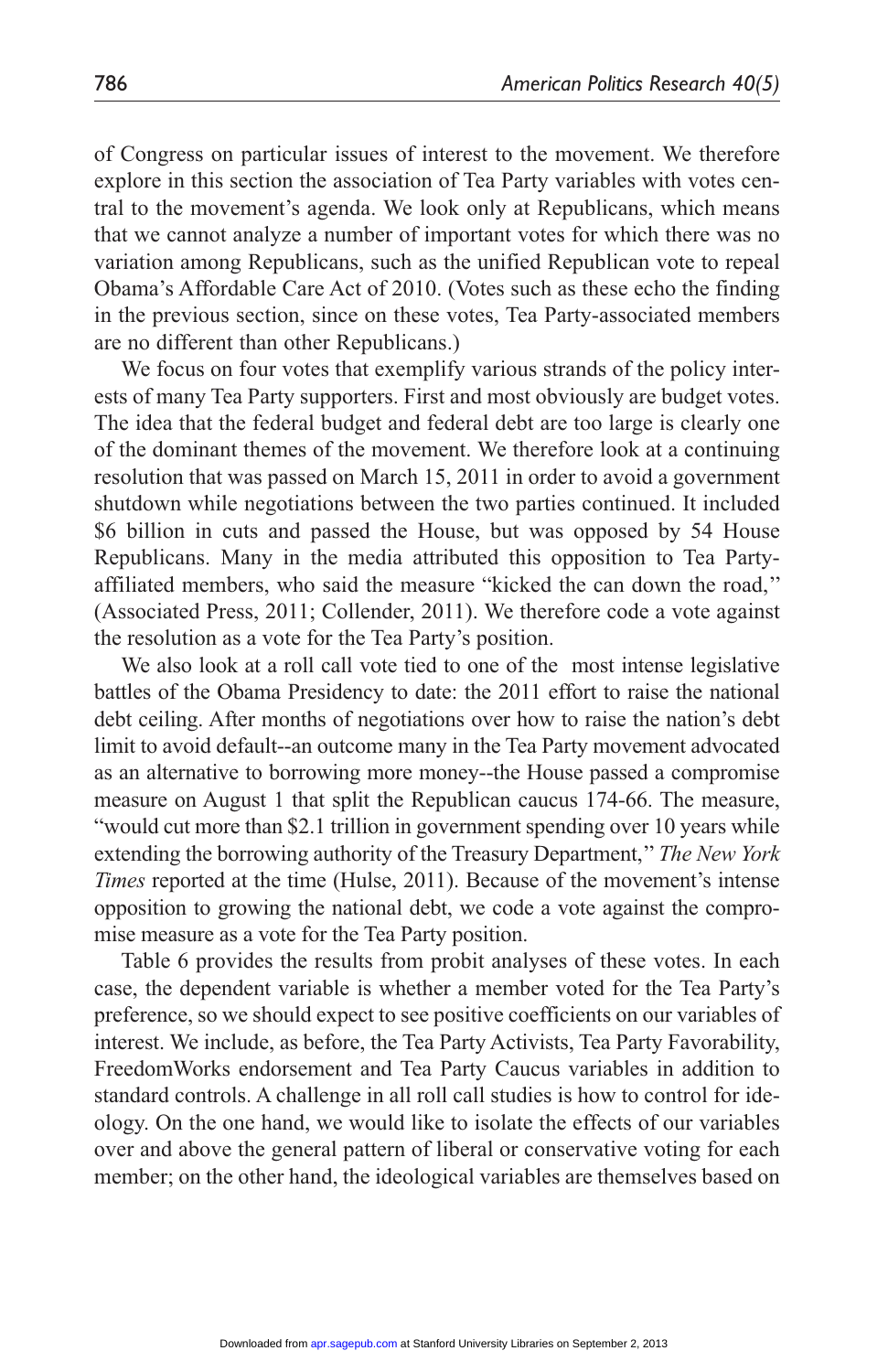of Congress on particular issues of interest to the movement. We therefore explore in this section the association of Tea Party variables with votes central to the movement's agenda. We look only at Republicans, which means that we cannot analyze a number of important votes for which there was no variation among Republicans, such as the unified Republican vote to repeal Obama's Affordable Care Act of 2010. (Votes such as these echo the finding in the previous section, since on these votes, Tea Party-associated members are no different than other Republicans.)

We focus on four votes that exemplify various strands of the policy interests of many Tea Party supporters. First and most obviously are budget votes. The idea that the federal budget and federal debt are too large is clearly one of the dominant themes of the movement. We therefore look at a continuing resolution that was passed on March 15, 2011 in order to avoid a government shutdown while negotiations between the two parties continued. It included \$6 billion in cuts and passed the House, but was opposed by 54 House Republicans. Many in the media attributed this opposition to Tea Partyaffiliated members, who said the measure "kicked the can down the road,'' (Associated Press, 2011; Collender, 2011). We therefore code a vote against the resolution as a vote for the Tea Party's position.

We also look at a roll call vote tied to one of the most intense legislative battles of the Obama Presidency to date: the 2011 effort to raise the national debt ceiling. After months of negotiations over how to raise the nation's debt limit to avoid default--an outcome many in the Tea Party movement advocated as an alternative to borrowing more money--the House passed a compromise measure on August 1 that split the Republican caucus 174-66. The measure, "would cut more than \$2.1 trillion in government spending over 10 years while extending the borrowing authority of the Treasury Department,'' *The New York Times* reported at the time (Hulse, 2011). Because of the movement's intense opposition to growing the national debt, we code a vote against the compromise measure as a vote for the Tea Party position.

Table 6 provides the results from probit analyses of these votes. In each case, the dependent variable is whether a member voted for the Tea Party's preference, so we should expect to see positive coefficients on our variables of interest. We include, as before, the Tea Party Activists, Tea Party Favorability, FreedomWorks endorsement and Tea Party Caucus variables in addition to standard controls. A challenge in all roll call studies is how to control for ideology. On the one hand, we would like to isolate the effects of our variables over and above the general pattern of liberal or conservative voting for each member; on the other hand, the ideological variables are themselves based on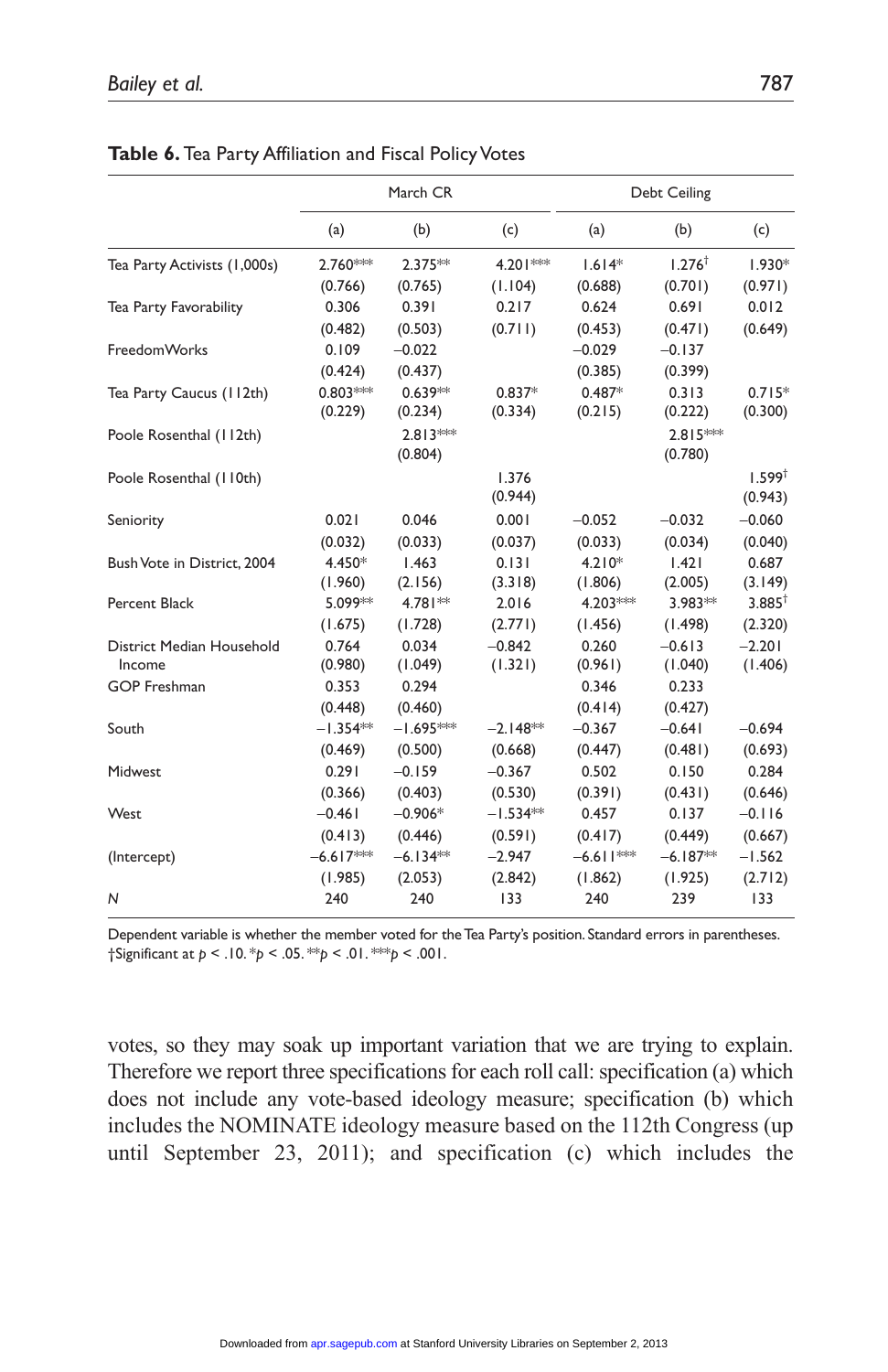|                              | March CR    |             |            | Debt Ceiling    |                   |                   |
|------------------------------|-------------|-------------|------------|-----------------|-------------------|-------------------|
|                              | (a)         | (b)         | (c)        | (a)             | (b)               | (c)               |
| Tea Party Activists (1,000s) | 2.760***    | $2.375**$   | 4.201***   | $1.614*$        | $1.276^{\dagger}$ | $1.930*$          |
|                              | (0.766)     | (0.765)     | (1.104)    | (0.688)         | (0.701)           | (0.971)           |
| Tea Party Favorability       | 0.306       | 0.391       | 0.217      | 0.624           | 0.691             | 0.012             |
|                              | (0.482)     | (0.503)     | (0.711)    | (0.453)         | (0.471)           | (0.649)           |
| <b>FreedomWorks</b>          | 0.109       | $-0.022$    |            | $-0.029$        | $-0.137$          |                   |
|                              | (0.424)     | (0.437)     |            | (0.385)         | (0.399)           |                   |
| Tea Party Caucus (112th)     | $0.803***$  | $0.639**$   | $0.837*$   | $0.487*$        | 0.313             | $0.715*$          |
|                              | (0.229)     | (0.234)     | (0.334)    | (0.215)         | (0.222)           | (0.300)           |
| Poole Rosenthal (112th)      |             | $2.813***$  |            |                 | $2.815***$        |                   |
|                              |             | (0.804)     |            |                 | (0.780)           |                   |
| Poole Rosenthal (110th)      |             |             | 1.376      |                 |                   | $1.599^{\dagger}$ |
|                              |             |             | (0.944)    |                 |                   | (0.943)           |
| Seniority                    | 0.021       | 0.046       | 0.001      | $-0.052$        | $-0.032$          | $-0.060$          |
|                              | (0.032)     | (0.033)     | (0.037)    | (0.033)         | (0.034)           | (0.040)           |
| Bush Vote in District, 2004  | 4.450*      | 1.463       | 0.131      | $4.210*$        | 1.421             | 0.687             |
|                              | (1.960)     | (2.156)     | (3.318)    | (1.806)         | (2.005)           | (3.149)           |
| Percent Black                | 5.099**     | 4.781**     | 2.016      | 4.203***        | 3.983**           | $3.885^{\dagger}$ |
|                              | (1.675)     | (1.728)     | (2.771)    | (1.456)         | (1.498)           | (2.320)           |
| District Median Household    | 0.764       | 0.034       | $-0.842$   | 0.260           | $-0.613$          | $-2.201$          |
| Income                       | (0.980)     | (1.049)     | (1.321)    | (0.961)         | (1.040)           | (1.406)           |
| <b>GOP</b> Freshman          | 0.353       | 0.294       |            | 0.346           | 0.233             |                   |
|                              | (0.448)     | (0.460)     |            | (0.414)         | (0.427)           |                   |
| South                        | $-1.354**$  | $-1.695***$ | $-2.148**$ | $-0.367$        | $-0.641$          | $-0.694$          |
|                              | (0.469)     | (0.500)     | (0.668)    | (0.447)         | (0.481)           | (0.693)           |
| Midwest                      | 0.291       | $-0.159$    | $-0.367$   | 0.502           | 0.150             | 0.284             |
|                              | (0.366)     | (0.403)     | (0.530)    | (0.391)         | (0.431)           | (0.646)           |
| West                         | $-0.461$    | $-0.906*$   | $-1.534**$ | 0.457           | 0.137             | $-0.116$          |
|                              | (0.413)     | (0.446)     | (0.591)    | (0.417)         | (0.449)           | (0.667)           |
| (Intercept)                  | $-6.617***$ | $-6.134**$  | $-2.947$   | $-6.6$     $**$ | $-6.187**$        | $-1.562$          |
|                              | (1.985)     | (2.053)     | (2.842)    | (1.862)         | (1.925)           | (2.712)           |
| N                            | 240         | 240         | 133        | 240             | 239               | 133               |

#### **Table 6.** Tea Party Affiliation and Fiscal Policy Votes

Dependent variable is whether the member voted for the Tea Party's position. Standard errors in parentheses. †Significant at *p* < .10. \**p* < .05. \*\**p* < .01. \*\*\**p* < .001.

votes, so they may soak up important variation that we are trying to explain. Therefore we report three specifications for each roll call: specification (a) which does not include any vote-based ideology measure; specification (b) which includes the NOMINATE ideology measure based on the 112th Congress (up until September 23, 2011); and specification (c) which includes the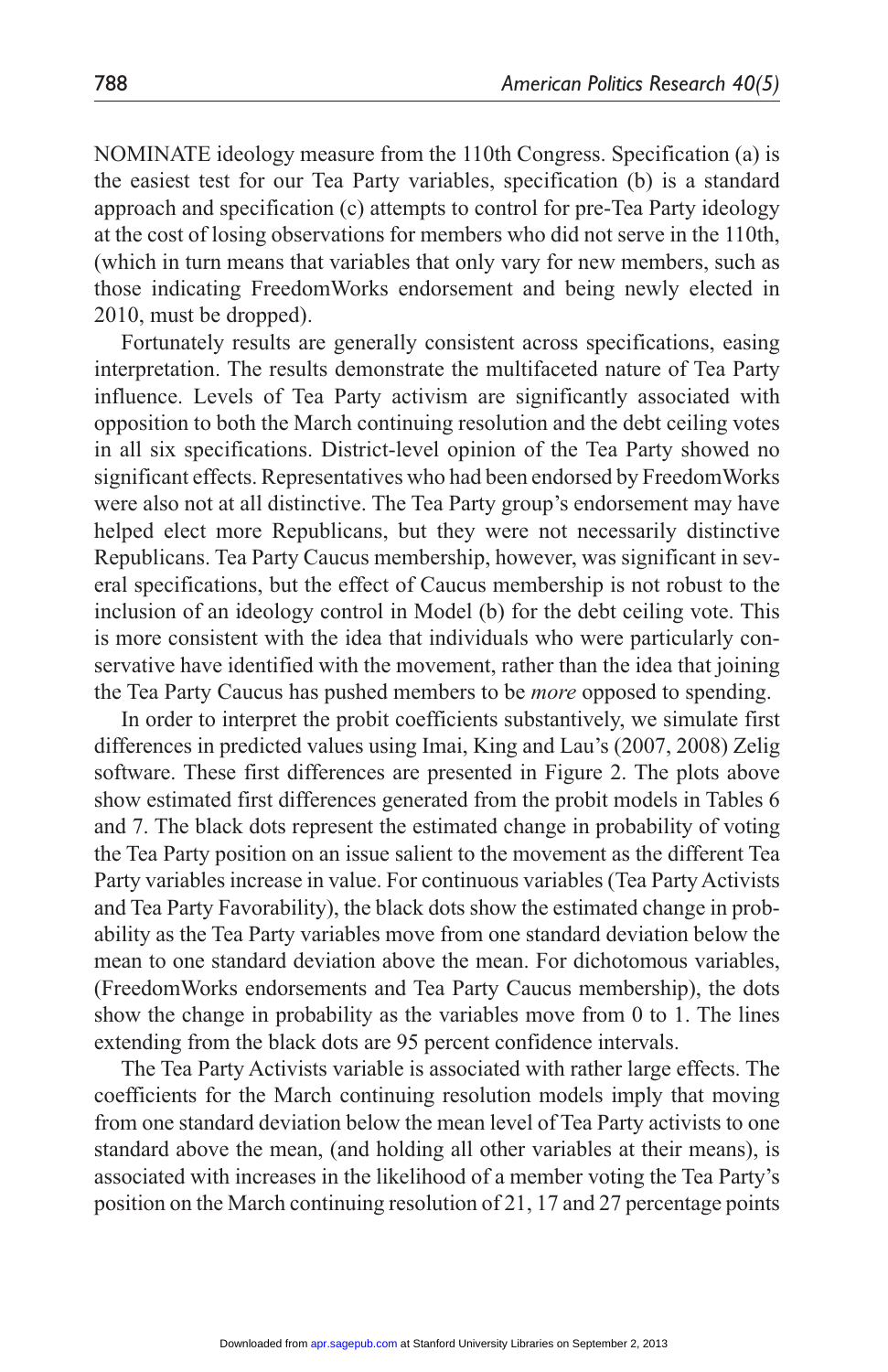NOMINATE ideology measure from the 110th Congress. Specification (a) is the easiest test for our Tea Party variables, specification (b) is a standard approach and specification (c) attempts to control for pre-Tea Party ideology at the cost of losing observations for members who did not serve in the 110th, (which in turn means that variables that only vary for new members, such as those indicating FreedomWorks endorsement and being newly elected in 2010, must be dropped).

Fortunately results are generally consistent across specifications, easing interpretation. The results demonstrate the multifaceted nature of Tea Party influence. Levels of Tea Party activism are significantly associated with opposition to both the March continuing resolution and the debt ceiling votes in all six specifications. District-level opinion of the Tea Party showed no significant effects. Representatives who had been endorsed by FreedomWorks were also not at all distinctive. The Tea Party group's endorsement may have helped elect more Republicans, but they were not necessarily distinctive Republicans. Tea Party Caucus membership, however, was significant in several specifications, but the effect of Caucus membership is not robust to the inclusion of an ideology control in Model (b) for the debt ceiling vote. This is more consistent with the idea that individuals who were particularly conservative have identified with the movement, rather than the idea that joining the Tea Party Caucus has pushed members to be *more* opposed to spending.

In order to interpret the probit coefficients substantively, we simulate first differences in predicted values using Imai, King and Lau's (2007, 2008) Zelig software. These first differences are presented in Figure 2. The plots above show estimated first differences generated from the probit models in Tables 6 and 7. The black dots represent the estimated change in probability of voting the Tea Party position on an issue salient to the movement as the different Tea Party variables increase in value. For continuous variables (Tea Party Activists and Tea Party Favorability), the black dots show the estimated change in probability as the Tea Party variables move from one standard deviation below the mean to one standard deviation above the mean. For dichotomous variables, (FreedomWorks endorsements and Tea Party Caucus membership), the dots show the change in probability as the variables move from 0 to 1. The lines extending from the black dots are 95 percent confidence intervals.

The Tea Party Activists variable is associated with rather large effects. The coefficients for the March continuing resolution models imply that moving from one standard deviation below the mean level of Tea Party activists to one standard above the mean, (and holding all other variables at their means), is associated with increases in the likelihood of a member voting the Tea Party's position on the March continuing resolution of 21, 17 and 27 percentage points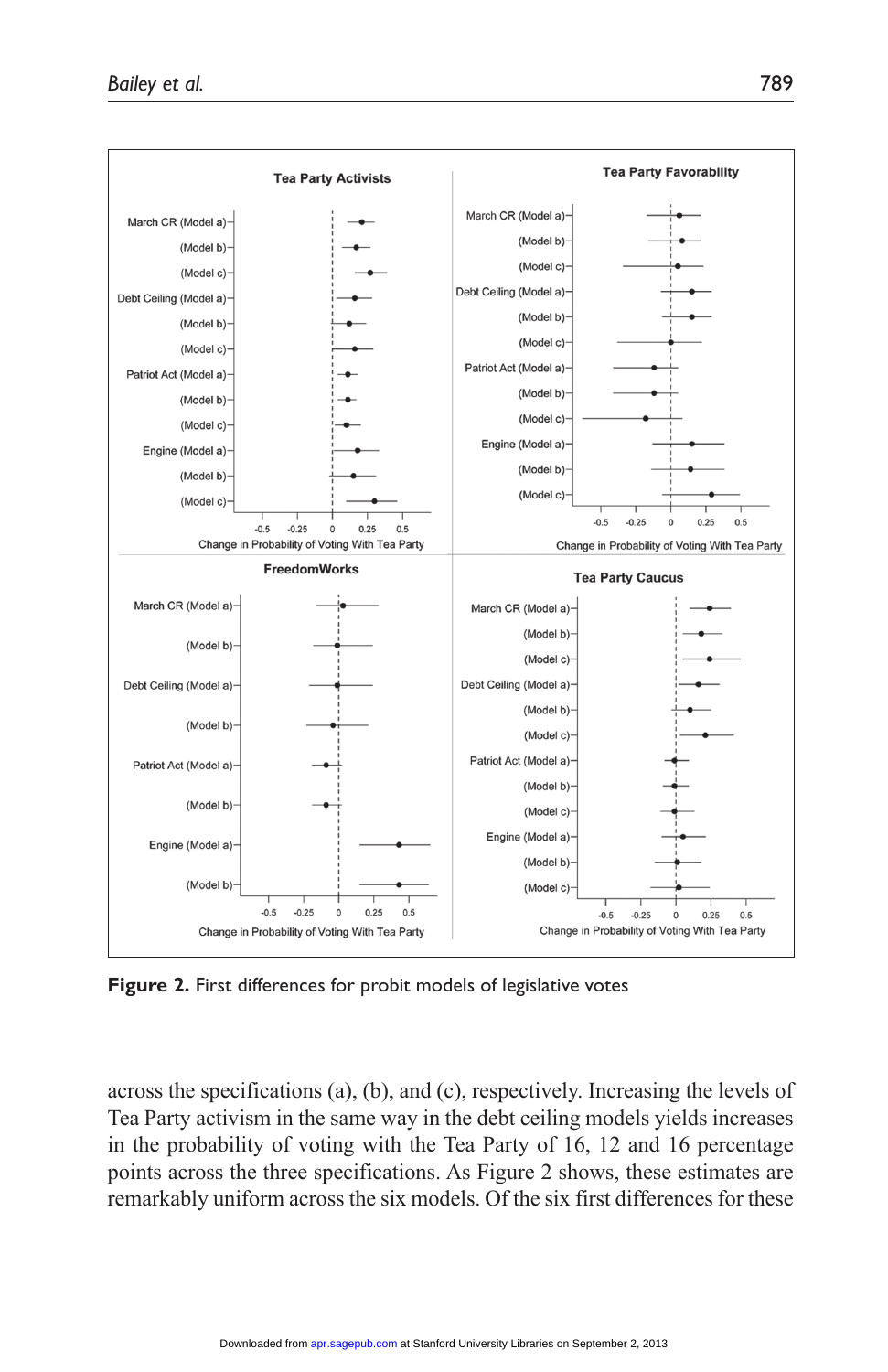

**Figure 2.** First differences for probit models of legislative votes

across the specifications (a), (b), and (c), respectively. Increasing the levels of Tea Party activism in the same way in the debt ceiling models yields increases in the probability of voting with the Tea Party of 16, 12 and 16 percentage points across the three specifications. As Figure 2 shows, these estimates are remarkably uniform across the six models. Of the six first differences for these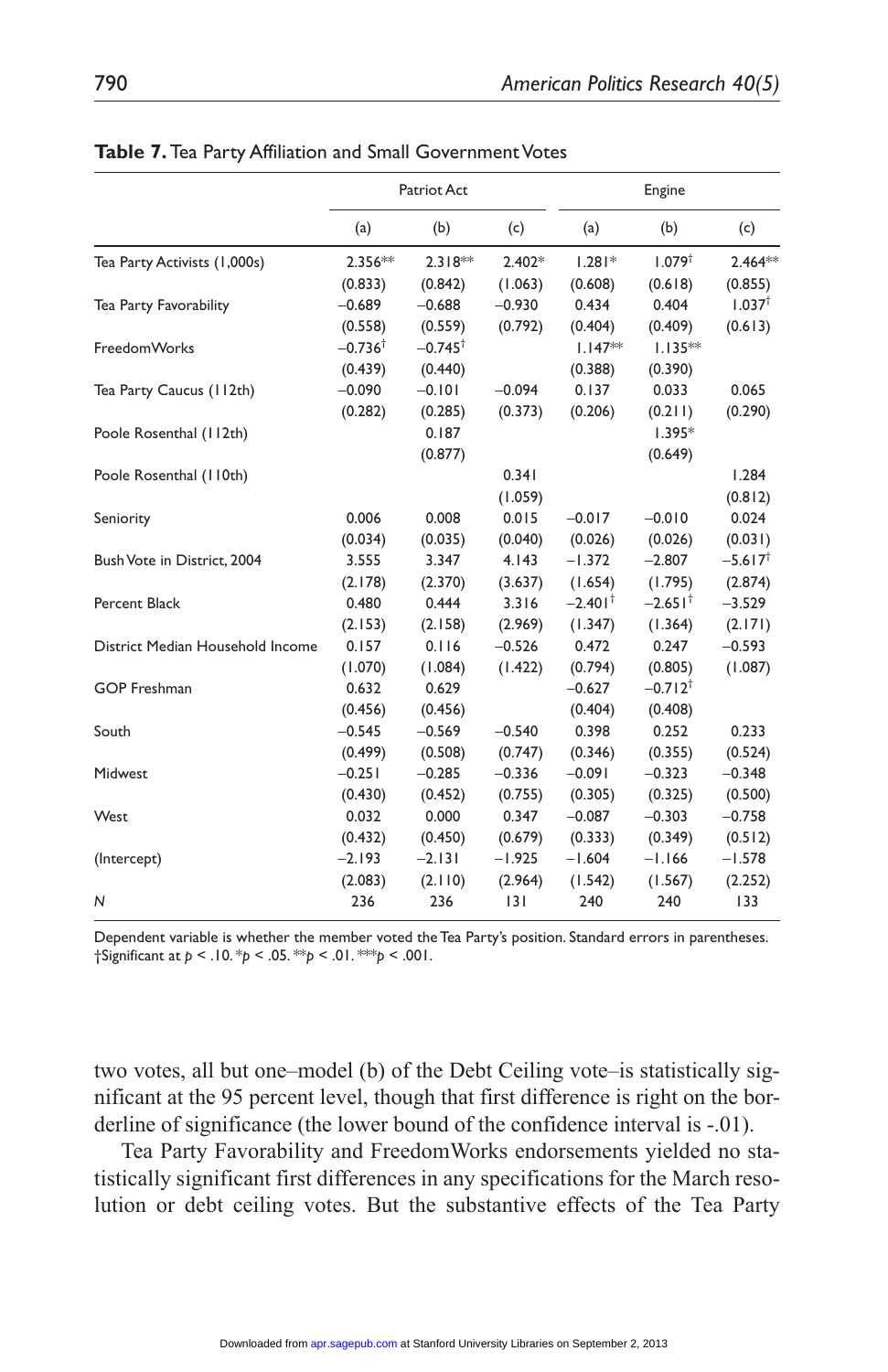|                                  | Patriot Act        |                    |          | Engine                |                       |                       |
|----------------------------------|--------------------|--------------------|----------|-----------------------|-----------------------|-----------------------|
|                                  | (a)                | (b)                | (c)      | (a)                   | (b)                   | (c)                   |
| Tea Party Activists (1,000s)     | $2.356**$          | $2.318**$          | 2.402*   | $1.281*$              | $1.079^{\dagger}$     | 2.464**               |
|                                  | (0.833)            | (0.842)            | (1.063)  | (0.608)               | (0.618)               | (0.855)               |
| Tea Party Favorability           | $-0.689$           | $-0.688$           | $-0.930$ | 0.434                 | 0.404                 | 1.037 <sup>†</sup>    |
|                                  | (0.558)            | (0.559)            | (0.792)  | (0.404)               | (0.409)               | (0.613)               |
| <b>FreedomWorks</b>              | $-0.736^{\dagger}$ | $-0.745^{\dagger}$ |          | $1.147**$             | $1.135***$            |                       |
|                                  | (0.439)            | (0.440)            |          | (0.388)               | (0.390)               |                       |
| Tea Party Caucus (112th)         | $-0.090$           | $-0.101$           | $-0.094$ | 0.137                 | 0.033                 | 0.065                 |
|                                  | (0.282)            | (0.285)            | (0.373)  | (0.206)               | (0.211)               | (0.290)               |
| Poole Rosenthal (112th)          |                    | 0.187              |          |                       | $1.395*$              |                       |
|                                  |                    | (0.877)            |          |                       | (0.649)               |                       |
| Poole Rosenthal (110th)          |                    |                    | 0.341    |                       |                       | 1.284                 |
|                                  |                    |                    | (1.059)  |                       |                       | (0.812)               |
| Seniority                        | 0.006              | 0.008              | 0.015    | $-0.017$              | $-0.010$              | 0.024                 |
|                                  | (0.034)            | (0.035)            | (0.040)  | (0.026)               | (0.026)               | (0.031)               |
| Bush Vote in District, 2004      | 3.555              | 3.347              | 4.143    | $-1.372$              | $-2.807$              | $-5.617$ <sup>t</sup> |
|                                  | (2.178)            | (2.370)            | (3.637)  | (1.654)               | (1.795)               | (2.874)               |
| Percent Black                    | 0.480              | 0.444              | 3.316    | $-2.401$ <sup>†</sup> | $-2.651^{\dagger}$    | $-3.529$              |
|                                  | (2.153)            | (2.158)            | (2.969)  | (1.347)               | (1.364)               | (2.171)               |
| District Median Household Income | 0.157              | 0.116              | $-0.526$ | 0.472                 | 0.247                 | $-0.593$              |
|                                  | (1.070)            | (1.084)            | (1.422)  | (0.794)               | (0.805)               | (1.087)               |
| <b>GOP</b> Freshman              | 0.632              | 0.629              |          | $-0.627$              | $-0.712$ <sup>†</sup> |                       |
|                                  | (0.456)            | (0.456)            |          | (0.404)               | (0.408)               |                       |
| South                            | $-0.545$           | $-0.569$           | $-0.540$ | 0.398                 | 0.252                 | 0.233                 |
|                                  | (0.499)            | (0.508)            | (0.747)  | (0.346)               | (0.355)               | (0.524)               |
| Midwest                          | $-0.251$           | $-0.285$           | $-0.336$ | $-0.091$              | $-0.323$              | $-0.348$              |
|                                  | (0.430)            | (0.452)            | (0.755)  | (0.305)               | (0.325)               | (0.500)               |
| West                             | 0.032              | 0.000              | 0.347    | $-0.087$              | $-0.303$              | $-0.758$              |
|                                  | (0.432)            | (0.450)            | (0.679)  | (0.333)               | (0.349)               | (0.512)               |
| (Intercept)                      | $-2.193$           | $-2.131$           | $-1.925$ | $-1.604$              | $-1.166$              | $-1.578$              |
|                                  | (2.083)            | (2.110)            | (2.964)  | (1.542)               | (1.567)               | (2.252)               |
| N                                | 236                | 236                | 3        | 240                   | 240                   | 133                   |

#### **Table 7.** Tea Party Affiliation and Small Government Votes

Dependent variable is whether the member voted the Tea Party's position. Standard errors in parentheses. †Significant at *p* < .10. \**p* < .05. \*\**p* < .01. \*\*\**p* < .001.

two votes, all but one–model (b) of the Debt Ceiling vote–is statistically significant at the 95 percent level, though that first difference is right on the borderline of significance (the lower bound of the confidence interval is -.01).

Tea Party Favorability and FreedomWorks endorsements yielded no statistically significant first differences in any specifications for the March resolution or debt ceiling votes. But the substantive effects of the Tea Party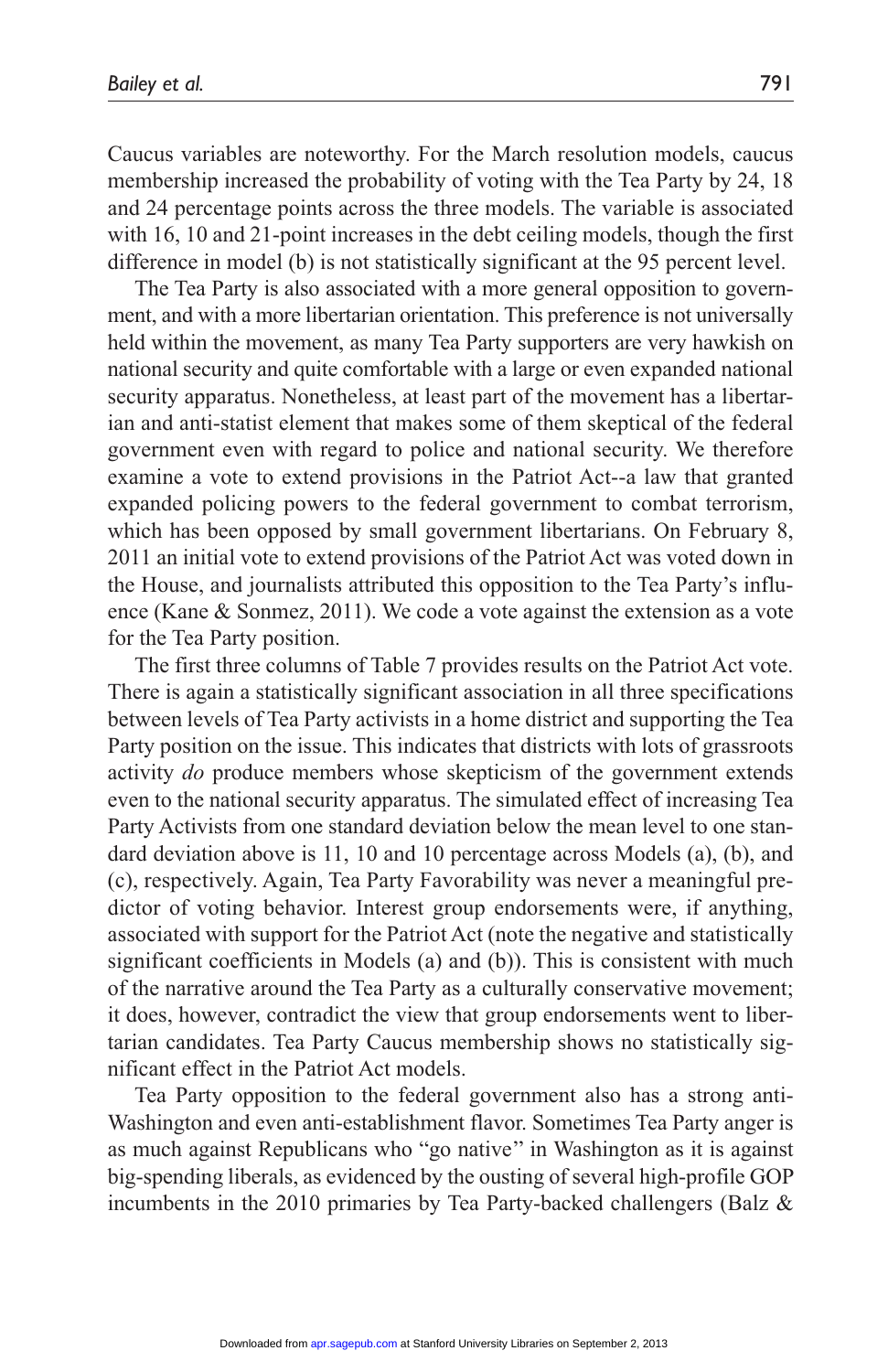Caucus variables are noteworthy. For the March resolution models, caucus membership increased the probability of voting with the Tea Party by 24, 18 and 24 percentage points across the three models. The variable is associated with 16, 10 and 21-point increases in the debt ceiling models, though the first difference in model (b) is not statistically significant at the 95 percent level.

The Tea Party is also associated with a more general opposition to government, and with a more libertarian orientation. This preference is not universally held within the movement, as many Tea Party supporters are very hawkish on national security and quite comfortable with a large or even expanded national security apparatus. Nonetheless, at least part of the movement has a libertarian and anti-statist element that makes some of them skeptical of the federal government even with regard to police and national security. We therefore examine a vote to extend provisions in the Patriot Act--a law that granted expanded policing powers to the federal government to combat terrorism, which has been opposed by small government libertarians. On February 8, 2011 an initial vote to extend provisions of the Patriot Act was voted down in the House, and journalists attributed this opposition to the Tea Party's influence (Kane & Sonmez, 2011). We code a vote against the extension as a vote for the Tea Party position.

The first three columns of Table 7 provides results on the Patriot Act vote. There is again a statistically significant association in all three specifications between levels of Tea Party activists in a home district and supporting the Tea Party position on the issue. This indicates that districts with lots of grassroots activity *do* produce members whose skepticism of the government extends even to the national security apparatus. The simulated effect of increasing Tea Party Activists from one standard deviation below the mean level to one standard deviation above is 11, 10 and 10 percentage across Models (a), (b), and (c), respectively. Again, Tea Party Favorability was never a meaningful predictor of voting behavior. Interest group endorsements were, if anything, associated with support for the Patriot Act (note the negative and statistically significant coefficients in Models (a) and (b)). This is consistent with much of the narrative around the Tea Party as a culturally conservative movement; it does, however, contradict the view that group endorsements went to libertarian candidates. Tea Party Caucus membership shows no statistically significant effect in the Patriot Act models.

Tea Party opposition to the federal government also has a strong anti-Washington and even anti-establishment flavor. Sometimes Tea Party anger is as much against Republicans who "go native'' in Washington as it is against big-spending liberals, as evidenced by the ousting of several high-profile GOP incumbents in the 2010 primaries by Tea Party-backed challengers (Balz &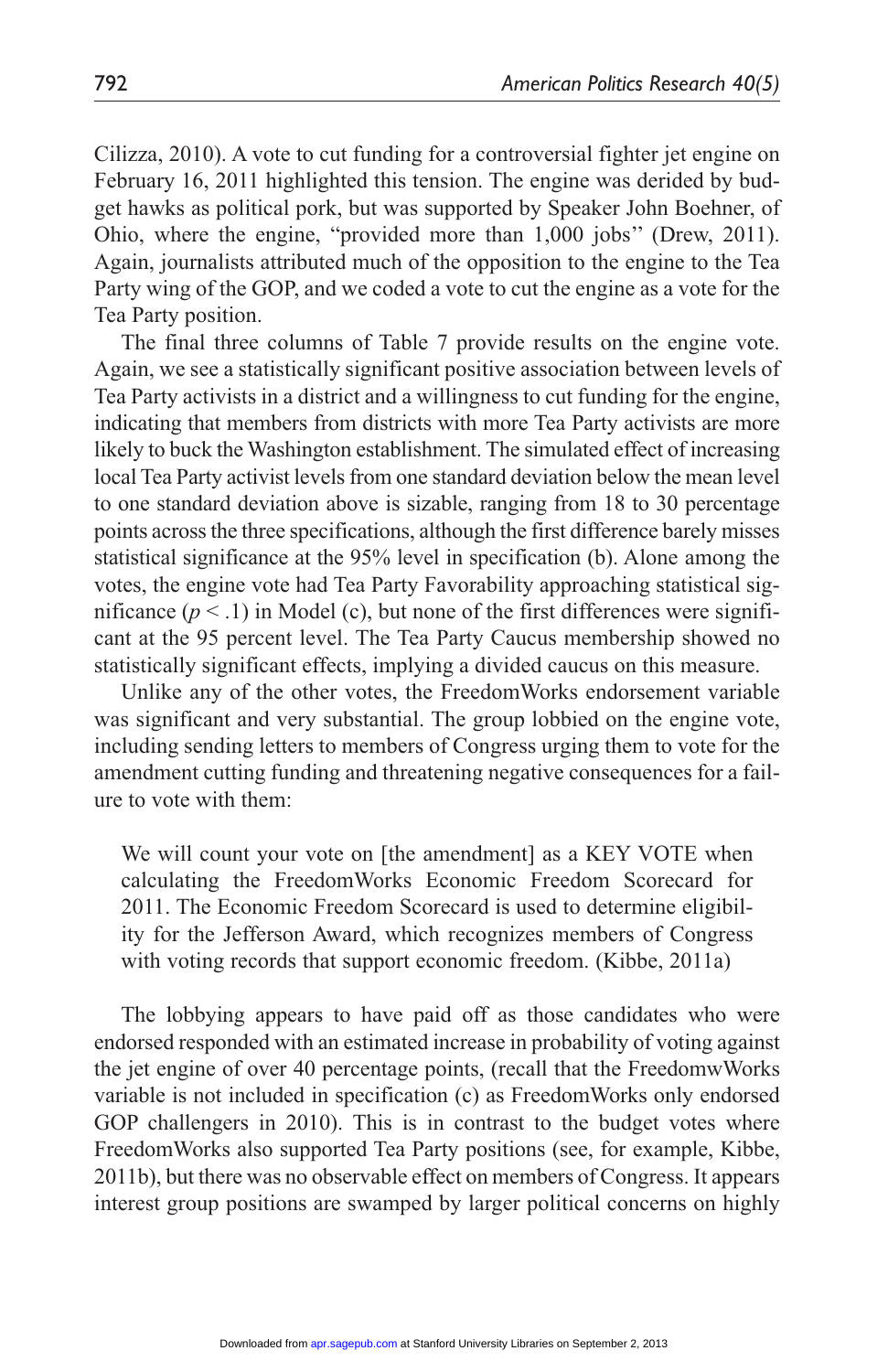Cilizza, 2010). A vote to cut funding for a controversial fighter jet engine on February 16, 2011 highlighted this tension. The engine was derided by budget hawks as political pork, but was supported by Speaker John Boehner, of Ohio, where the engine, "provided more than 1,000 jobs'' (Drew, 2011). Again, journalists attributed much of the opposition to the engine to the Tea Party wing of the GOP, and we coded a vote to cut the engine as a vote for the Tea Party position.

The final three columns of Table 7 provide results on the engine vote. Again, we see a statistically significant positive association between levels of Tea Party activists in a district and a willingness to cut funding for the engine, indicating that members from districts with more Tea Party activists are more likely to buck the Washington establishment. The simulated effect of increasing local Tea Party activist levels from one standard deviation below the mean level to one standard deviation above is sizable, ranging from 18 to 30 percentage points across the three specifications, although the first difference barely misses statistical significance at the 95% level in specification (b). Alone among the votes, the engine vote had Tea Party Favorability approaching statistical significance  $(p < 0.1)$  in Model (c), but none of the first differences were significant at the 95 percent level. The Tea Party Caucus membership showed no statistically significant effects, implying a divided caucus on this measure.

Unlike any of the other votes, the FreedomWorks endorsement variable was significant and very substantial. The group lobbied on the engine vote, including sending letters to members of Congress urging them to vote for the amendment cutting funding and threatening negative consequences for a failure to vote with them:

We will count your vote on [the amendment] as a KEY VOTE when calculating the FreedomWorks Economic Freedom Scorecard for 2011. The Economic Freedom Scorecard is used to determine eligibility for the Jefferson Award, which recognizes members of Congress with voting records that support economic freedom. (Kibbe, 2011a)

The lobbying appears to have paid off as those candidates who were endorsed responded with an estimated increase in probability of voting against the jet engine of over 40 percentage points, (recall that the FreedomwWorks variable is not included in specification (c) as FreedomWorks only endorsed GOP challengers in 2010). This is in contrast to the budget votes where FreedomWorks also supported Tea Party positions (see, for example, Kibbe, 2011b), but there was no observable effect on members of Congress. It appears interest group positions are swamped by larger political concerns on highly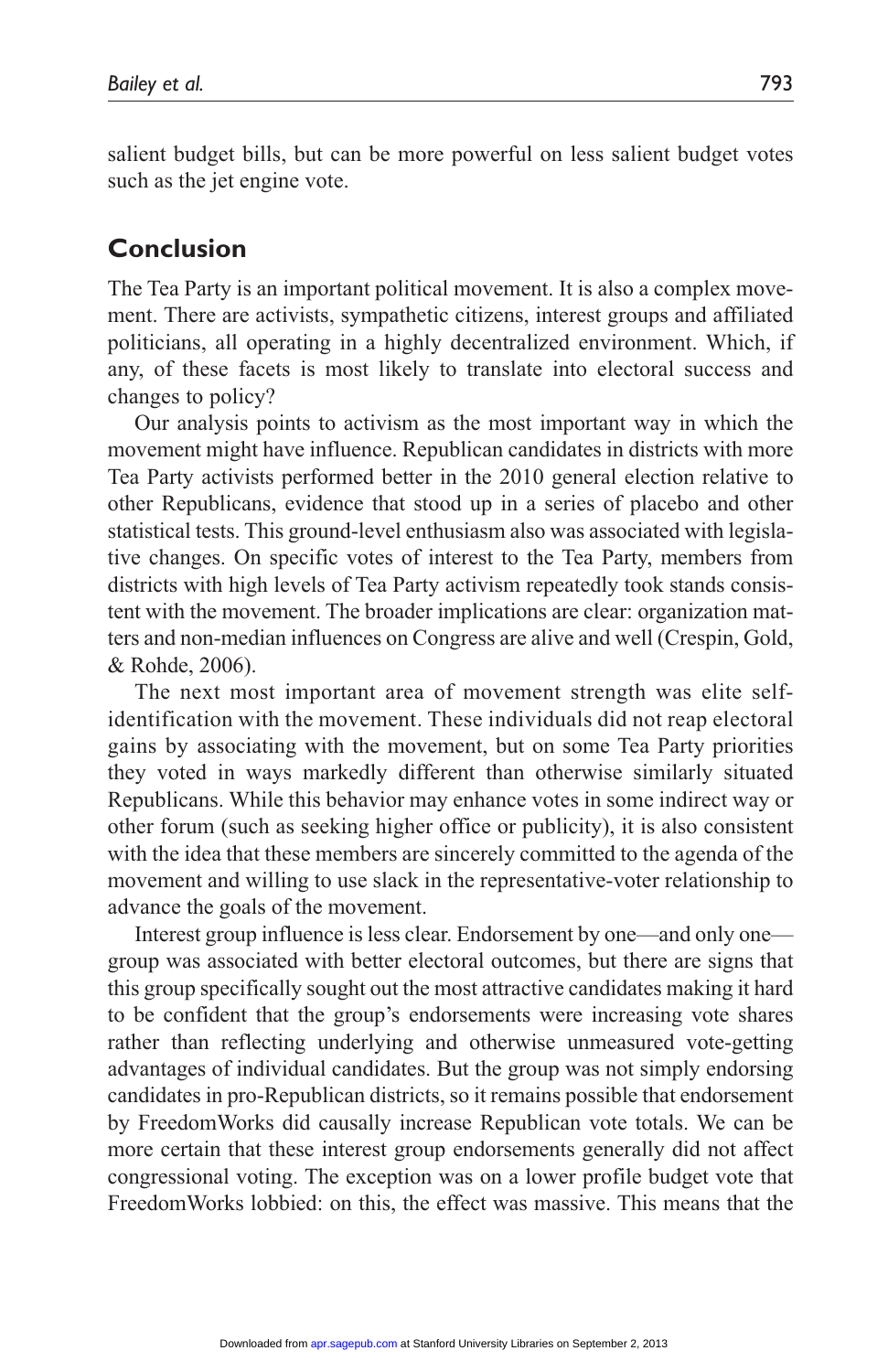salient budget bills, but can be more powerful on less salient budget votes such as the jet engine vote.

# **Conclusion**

The Tea Party is an important political movement. It is also a complex movement. There are activists, sympathetic citizens, interest groups and affiliated politicians, all operating in a highly decentralized environment. Which, if any, of these facets is most likely to translate into electoral success and changes to policy?

Our analysis points to activism as the most important way in which the movement might have influence. Republican candidates in districts with more Tea Party activists performed better in the 2010 general election relative to other Republicans, evidence that stood up in a series of placebo and other statistical tests. This ground-level enthusiasm also was associated with legislative changes. On specific votes of interest to the Tea Party, members from districts with high levels of Tea Party activism repeatedly took stands consistent with the movement. The broader implications are clear: organization matters and non-median influences on Congress are alive and well (Crespin, Gold, & Rohde, 2006).

The next most important area of movement strength was elite selfidentification with the movement. These individuals did not reap electoral gains by associating with the movement, but on some Tea Party priorities they voted in ways markedly different than otherwise similarly situated Republicans. While this behavior may enhance votes in some indirect way or other forum (such as seeking higher office or publicity), it is also consistent with the idea that these members are sincerely committed to the agenda of the movement and willing to use slack in the representative-voter relationship to advance the goals of the movement.

Interest group influence is less clear. Endorsement by one—and only one group was associated with better electoral outcomes, but there are signs that this group specifically sought out the most attractive candidates making it hard to be confident that the group's endorsements were increasing vote shares rather than reflecting underlying and otherwise unmeasured vote-getting advantages of individual candidates. But the group was not simply endorsing candidates in pro-Republican districts, so it remains possible that endorsement by FreedomWorks did causally increase Republican vote totals. We can be more certain that these interest group endorsements generally did not affect congressional voting. The exception was on a lower profile budget vote that FreedomWorks lobbied: on this, the effect was massive. This means that the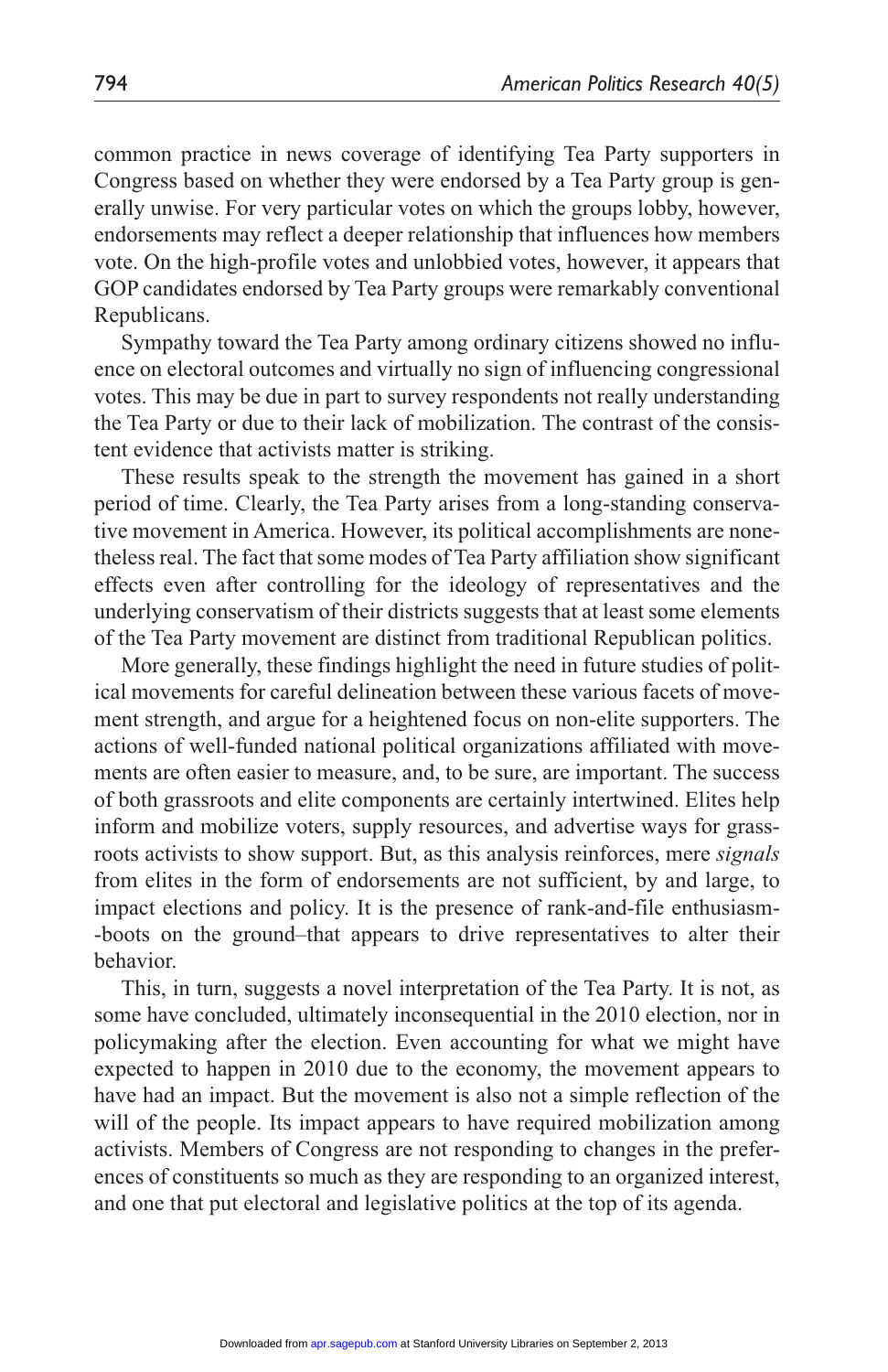common practice in news coverage of identifying Tea Party supporters in Congress based on whether they were endorsed by a Tea Party group is generally unwise. For very particular votes on which the groups lobby, however, endorsements may reflect a deeper relationship that influences how members vote. On the high-profile votes and unlobbied votes, however, it appears that GOP candidates endorsed by Tea Party groups were remarkably conventional Republicans.

Sympathy toward the Tea Party among ordinary citizens showed no influence on electoral outcomes and virtually no sign of influencing congressional votes. This may be due in part to survey respondents not really understanding the Tea Party or due to their lack of mobilization. The contrast of the consistent evidence that activists matter is striking.

These results speak to the strength the movement has gained in a short period of time. Clearly, the Tea Party arises from a long-standing conservative movement in America. However, its political accomplishments are nonetheless real. The fact that some modes of Tea Party affiliation show significant effects even after controlling for the ideology of representatives and the underlying conservatism of their districts suggests that at least some elements of the Tea Party movement are distinct from traditional Republican politics.

More generally, these findings highlight the need in future studies of political movements for careful delineation between these various facets of movement strength, and argue for a heightened focus on non-elite supporters. The actions of well-funded national political organizations affiliated with movements are often easier to measure, and, to be sure, are important. The success of both grassroots and elite components are certainly intertwined. Elites help inform and mobilize voters, supply resources, and advertise ways for grassroots activists to show support. But, as this analysis reinforces, mere *signals* from elites in the form of endorsements are not sufficient, by and large, to impact elections and policy. It is the presence of rank-and-file enthusiasm- -boots on the ground–that appears to drive representatives to alter their behavior.

This, in turn, suggests a novel interpretation of the Tea Party. It is not, as some have concluded, ultimately inconsequential in the 2010 election, nor in policymaking after the election. Even accounting for what we might have expected to happen in 2010 due to the economy, the movement appears to have had an impact. But the movement is also not a simple reflection of the will of the people. Its impact appears to have required mobilization among activists. Members of Congress are not responding to changes in the preferences of constituents so much as they are responding to an organized interest, and one that put electoral and legislative politics at the top of its agenda.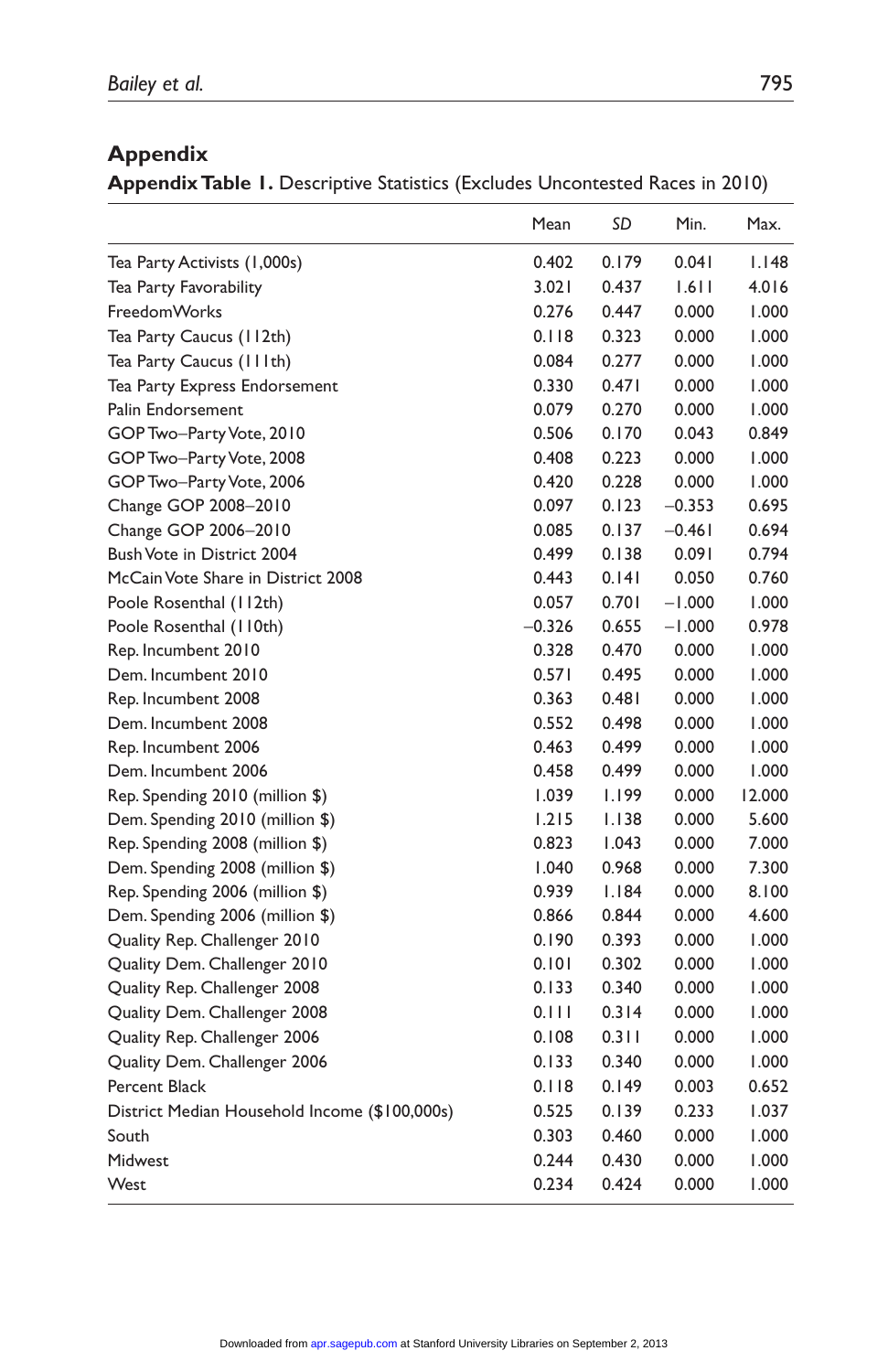## **Appendix**

**Appendix Table 1.** Descriptive Statistics (Excludes Uncontested Races in 2010)

|                                               | Mean     | SD    | Min.     | Max.   |
|-----------------------------------------------|----------|-------|----------|--------|
| Tea Party Activists (1,000s)                  | 0.402    | 0.179 | 0.041    | 1.148  |
| Tea Party Favorability                        | 3.021    | 0.437 | 1.611    | 4.016  |
| <b>FreedomWorks</b>                           | 0.276    | 0.447 | 0.000    | 1.000  |
| Tea Party Caucus (112th)                      | 0.118    | 0.323 | 0.000    | 1.000  |
| Tea Party Caucus (111th)                      | 0.084    | 0.277 | 0.000    | 1.000  |
| Tea Party Express Endorsement                 | 0.330    | 0.471 | 0.000    | 1.000  |
| Palin Endorsement                             | 0.079    | 0.270 | 0.000    | 1.000  |
| GOP Two-Party Vote, 2010                      | 0.506    | 0.170 | 0.043    | 0.849  |
| GOP Two-Party Vote, 2008                      | 0.408    | 0.223 | 0.000    | 1.000  |
| GOP Two-Party Vote, 2006                      | 0.420    | 0.228 | 0.000    | 1.000  |
| Change GOP 2008-2010                          | 0.097    | 0.123 | $-0.353$ | 0.695  |
| Change GOP 2006-2010                          | 0.085    | 0.137 | $-0.461$ | 0.694  |
| Bush Vote in District 2004                    | 0.499    | 0.138 | 0.091    | 0.794  |
| McCain Vote Share in District 2008            | 0.443    | 0.141 | 0.050    | 0.760  |
| Poole Rosenthal (112th)                       | 0.057    | 0.701 | $-1.000$ | 1.000  |
| Poole Rosenthal (110th)                       | $-0.326$ | 0.655 | $-1.000$ | 0.978  |
| Rep. Incumbent 2010                           | 0.328    | 0.470 | 0.000    | 1.000  |
| Dem. Incumbent 2010                           | 0.571    | 0.495 | 0.000    | 1.000  |
| Rep. Incumbent 2008                           | 0.363    | 0.481 | 0.000    | 1.000  |
| Dem. Incumbent 2008                           | 0.552    | 0.498 | 0.000    | 1.000  |
| Rep. Incumbent 2006                           | 0.463    | 0.499 | 0.000    | 1.000  |
| Dem. Incumbent 2006                           | 0.458    | 0.499 | 0.000    | 1.000  |
| Rep. Spending 2010 (million \$)               | 1.039    | 1.199 | 0.000    | 12.000 |
| Dem. Spending 2010 (million \$)               | 1.215    | 1.138 | 0.000    | 5.600  |
| Rep. Spending 2008 (million \$)               | 0.823    | 1.043 | 0.000    | 7.000  |
| Dem. Spending 2008 (million \$)               | 1.040    | 0.968 | 0.000    | 7.300  |
| Rep. Spending 2006 (million \$)               | 0.939    | 1.184 | 0.000    | 8.100  |
| Dem. Spending 2006 (million \$)               | 0.866    | 0.844 | 0.000    | 4.600  |
| Quality Rep. Challenger 2010                  | 0.190    | 0.393 | 0.000    | 1.000  |
| Quality Dem. Challenger 2010                  | 0.101    | 0.302 | 0.000    | 1.000  |
| Quality Rep. Challenger 2008                  | 0.133    | 0.340 | 0.000    | 1.000  |
| Quality Dem. Challenger 2008                  | 0.111    | 0.314 | 0.000    | 1.000  |
| Quality Rep. Challenger 2006                  | 0.108    | 0.311 | 0.000    | 1.000  |
| Quality Dem. Challenger 2006                  | 0.133    | 0.340 | 0.000    | 1.000  |
| Percent Black                                 | 0.118    | 0.149 | 0.003    | 0.652  |
| District Median Household Income (\$100,000s) | 0.525    | 0.139 | 0.233    | 1.037  |
| South                                         | 0.303    | 0.460 | 0.000    | 1.000  |
| Midwest                                       | 0.244    | 0.430 | 0.000    | 1.000  |
| West                                          | 0.234    | 0.424 | 0.000    | 1.000  |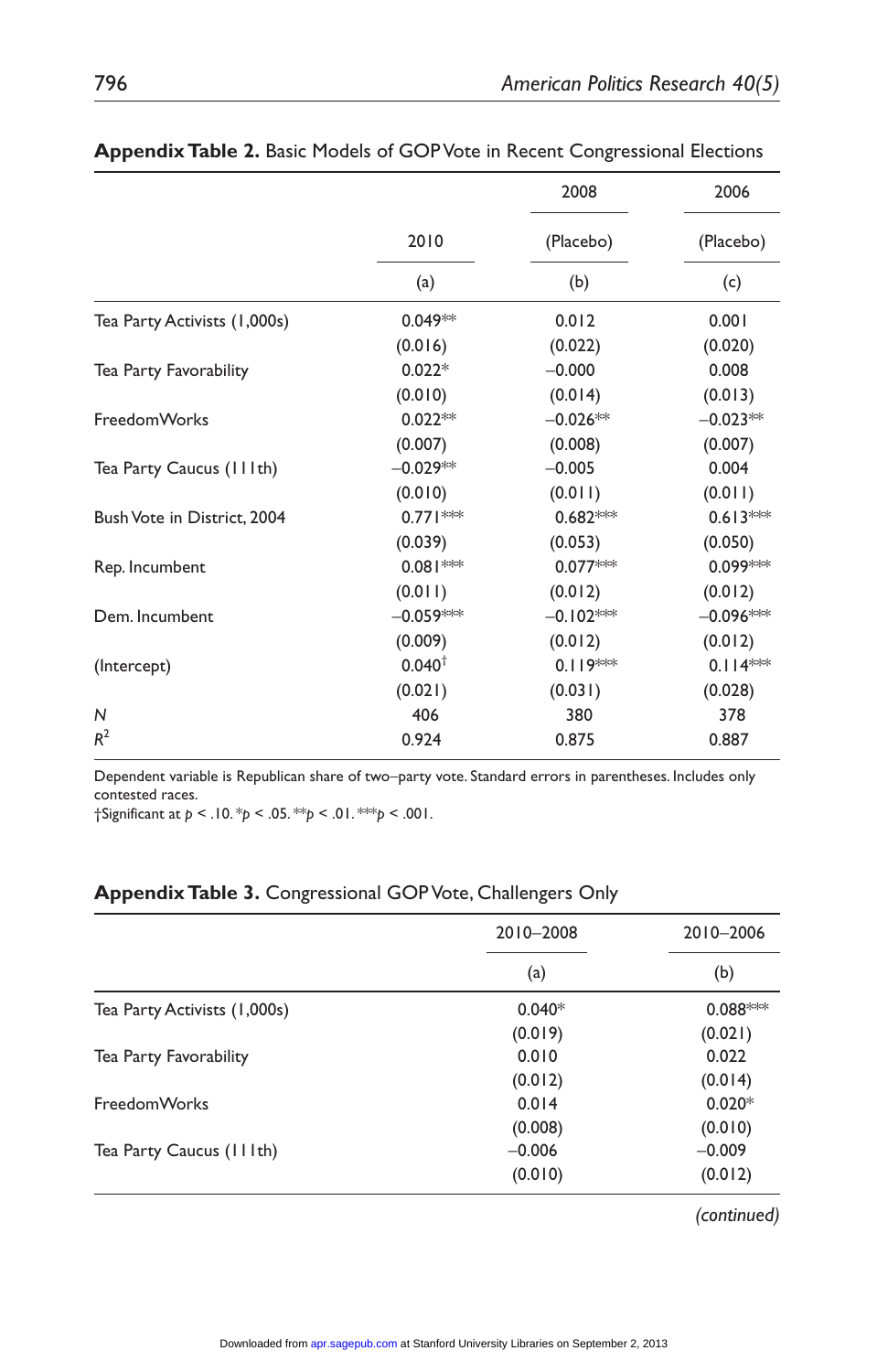|                              |                   | 2008        | 2006        |
|------------------------------|-------------------|-------------|-------------|
|                              | 2010              | (Placebo)   | (Placebo)   |
|                              | (a)               | (b)         | (c)         |
| Tea Party Activists (1,000s) | $0.049**$         | 0.012       | 0.001       |
|                              | (0.016)           | (0.022)     | (0.020)     |
| Tea Party Favorability       | $0.022*$          | $-0.000$    | 0.008       |
|                              | (0.010)           | (0.014)     | (0.013)     |
| <b>FreedomWorks</b>          | $0.022**$         | $-0.026**$  | $-0.023**$  |
|                              | (0.007)           | (0.008)     | (0.007)     |
| Tea Party Caucus (111th)     | $-0.029**$        | $-0.005$    | 0.004       |
|                              | (0.010)           | (0.011)     | (0.011)     |
| Bush Vote in District, 2004  | $0.771***$        | $0.682***$  | $0.613***$  |
|                              | (0.039)           | (0.053)     | (0.050)     |
| Rep. Incumbent               | $0.081***$        | $0.077***$  | 0.099***    |
|                              | (0.011)           | (0.012)     | (0.012)     |
| Dem. Incumbent               | $-0.059***$       | $-0.102***$ | $-0.096***$ |
|                              | (0.009)           | (0.012)     | (0.012)     |
| (Intercept)                  | $0.040^{\dagger}$ | $0.119***$  | $0.114***$  |
|                              | (0.021)           | (0.031)     | (0.028)     |
| N                            | 406               | 380         | 378         |
| $R^2$                        | 0.924             | 0.875       | 0.887       |
|                              |                   |             |             |

### **Appendix Table 2.** Basic Models of GOP Vote in Recent Congressional Elections

Dependent variable is Republican share of two-party vote. Standard errors in parentheses. Includes only contested races.

†Significant at *p* < .10. \**p* < .05. \*\**p* < .01. \*\*\**p* < .001.

#### **Appendix Table 3.** Congressional GOP Vote, Challengers Only

|                              | 2010-2008 | 2010-2006  |  |
|------------------------------|-----------|------------|--|
|                              | (a)       | (b)        |  |
| Tea Party Activists (1,000s) | $0.040*$  | $0.088***$ |  |
|                              | (0.019)   | (0.021)    |  |
| Tea Party Favorability       | 0.010     | 0.022      |  |
|                              | (0.012)   | (0.014)    |  |
| FreedomWorks                 | 0.014     | $0.020*$   |  |
|                              | (0.008)   | (0.010)    |  |
| Tea Party Caucus (111th)     | $-0.006$  | $-0.009$   |  |
|                              | (0.010)   | (0.012)    |  |

*(continued)*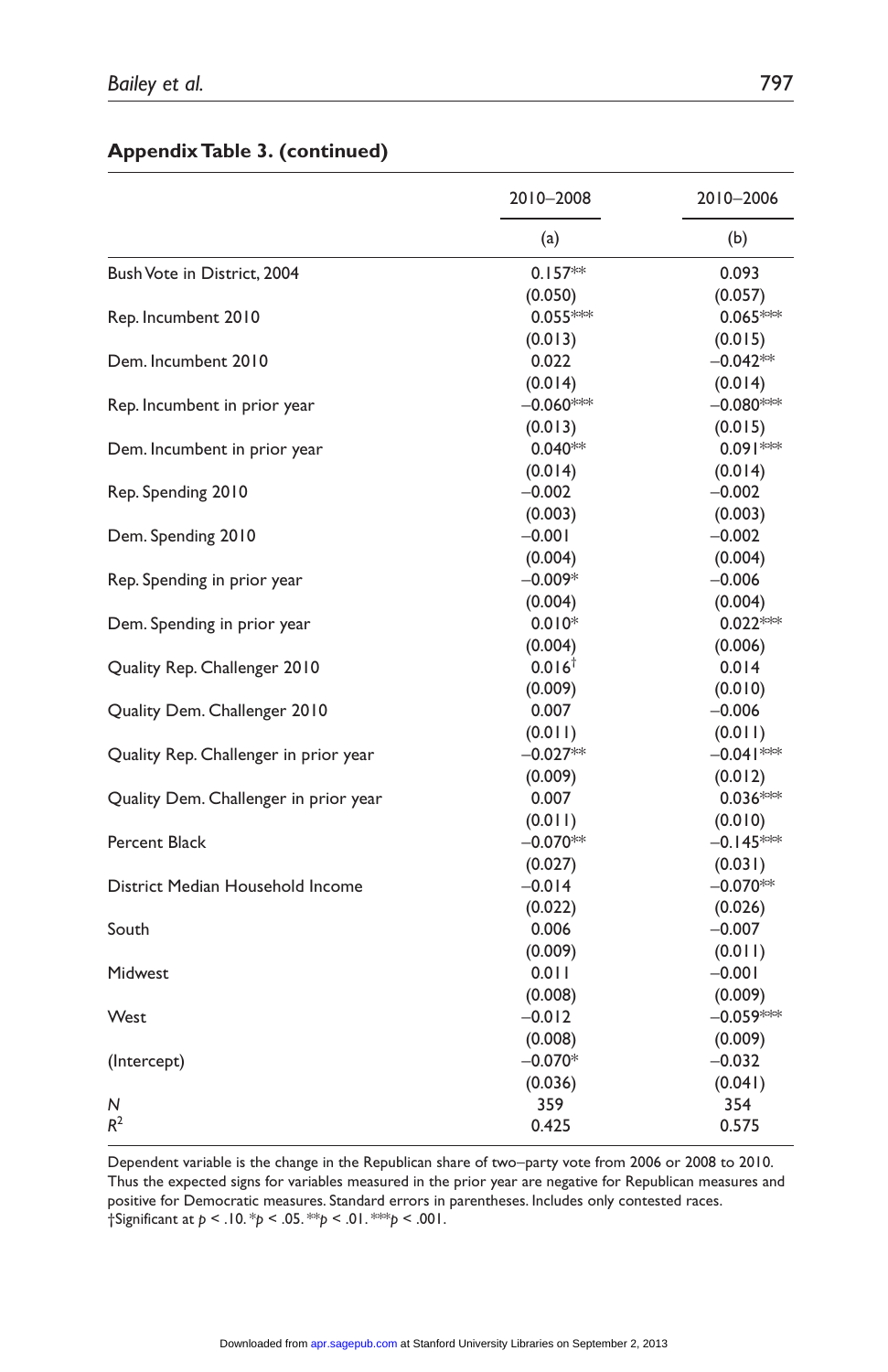|                                       | 2010-2008         | 2010-2006   |
|---------------------------------------|-------------------|-------------|
|                                       | (a)               | (b)         |
| Bush Vote in District, 2004           | $0.157**$         | 0.093       |
|                                       | (0.050)           | (0.057)     |
| Rep. Incumbent 2010                   | $0.055***$        | $0.065***$  |
|                                       | (0.013)           | (0.015)     |
| Dem. Incumbent 2010                   | 0.022             | $-0.042**$  |
|                                       | (0.014)           | (0.014)     |
| Rep. Incumbent in prior year          | $-0.060***$       | $-0.080***$ |
|                                       | (0.013)           | (0.015)     |
| Dem. Incumbent in prior year          | $0.040**$         | $0.091***$  |
|                                       | (0.014)           | (0.014)     |
| Rep. Spending 2010                    | $-0.002$          | $-0.002$    |
|                                       | (0.003)           | (0.003)     |
| Dem. Spending 2010                    | $-0.001$          | $-0.002$    |
|                                       | (0.004)           | (0.004)     |
| Rep. Spending in prior year           | $-0.009*$         | $-0.006$    |
|                                       | (0.004)           | (0.004)     |
| Dem. Spending in prior year           | $0.010*$          | $0.022***$  |
|                                       | (0.004)           | (0.006)     |
| Quality Rep. Challenger 2010          | $0.016^{\dagger}$ | 0.014       |
|                                       | (0.009)           | (0.010)     |
| Quality Dem. Challenger 2010          | 0.007             | $-0.006$    |
|                                       | (0.011)           | (0.011)     |
| Quality Rep. Challenger in prior year | $-0.027**$        | $-0.041***$ |
|                                       | (0.009)           | (0.012)     |
| Quality Dem. Challenger in prior year | 0.007             | $0.036***$  |
|                                       | (0.011)           | (0.010)     |
| Percent Black                         | $-0.070**$        | $-0.145***$ |
|                                       | (0.027)           | (0.031)     |
| District Median Household Income      | $-0.014$          | $-0.070**$  |
|                                       | (0.022)           | (0.026)     |
| South                                 | 0.006             | $-0.007$    |
|                                       | (0.009)           | (0.011)     |
| Midwest                               | 0.011             | $-0.001$    |
|                                       | (0.008)           | (0.009)     |
| West                                  | $-0.012$          | $-0.059***$ |
|                                       | (0.008)           | (0.009)     |
| (Intercept)                           | $-0.070*$         | $-0.032$    |
|                                       | (0.036)           | (0.041)     |

### **Appendix Table 3. (continued)**

Dependent variable is the change in the Republican share of two-party vote from 2006 or 2008 to 2010. Thus the expected signs for variables measured in the prior year are negative for Republican measures and positive for Democratic measures. Standard errors in parentheses. Includes only contested races. †Significant at *p* < .10. \**p* < .05. \*\**p* < .01. \*\*\**p* < .001.

*N* 359 354  $R^2$  0.425 0.575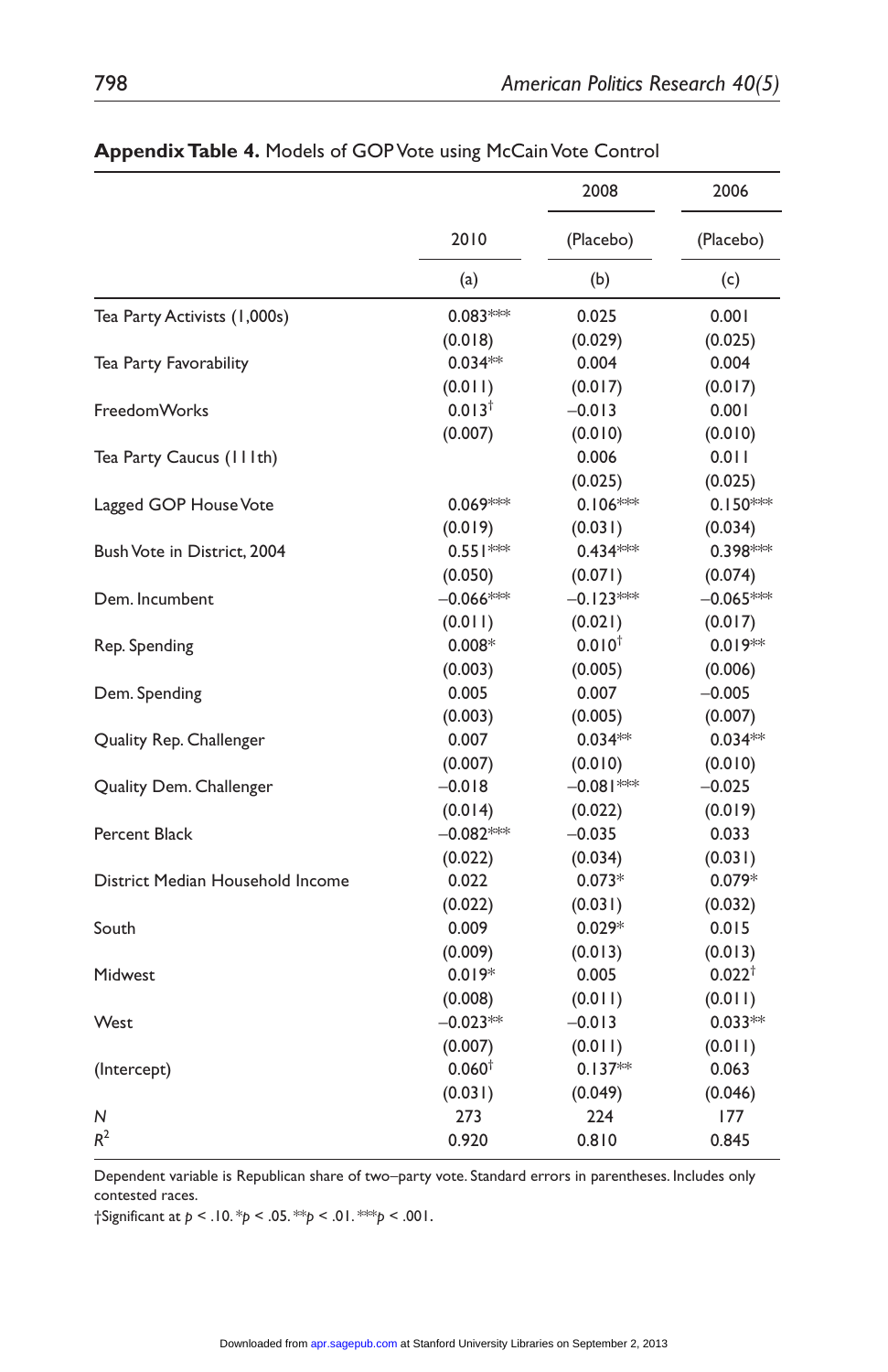|                                  |                    | 2008        | 2006        |
|----------------------------------|--------------------|-------------|-------------|
|                                  | 2010               | (Placebo)   | (Placebo)   |
|                                  | (a)                | (b)         | (c)         |
| Tea Party Activists (1,000s)     | $0.083***$         | 0.025       | 0.001       |
|                                  | (0.018)            | (0.029)     | (0.025)     |
| Tea Party Favorability           | $0.034**$          | 0.004       | 0.004       |
|                                  | (0.011)            | (0.017)     | (0.017)     |
| <b>FreedomWorks</b>              | 0.013 <sup>†</sup> | $-0.013$    | 0.001       |
|                                  | (0.007)            | (0.010)     | (0.010)     |
| Tea Party Caucus (111th)         |                    | 0.006       | 0.011       |
|                                  |                    | (0.025)     | (0.025)     |
| Lagged GOP House Vote            | $0.069***$         | $0.106***$  | $0.150***$  |
|                                  | (0.019)            | (0.031)     | (0.034)     |
| Bush Vote in District, 2004      | $0.551***$         | $0.434***$  | 0.398***    |
|                                  | (0.050)            | (0.071)     | (0.074)     |
| Dem. Incumbent                   | $-0.066***$        | $-0.123***$ | $-0.065***$ |
|                                  | (0.011)            | (0.021)     | (0.017)     |
| Rep. Spending                    | $0.008*$           | $0.010^{+}$ | $0.019**$   |
|                                  | (0.003)            | (0.005)     | (0.006)     |
| Dem. Spending                    | 0.005              | 0.007       | $-0.005$    |
|                                  | (0.003)            | (0.005)     | (0.007)     |
| Quality Rep. Challenger          | 0.007              | $0.034**$   | $0.034**$   |
|                                  | (0.007)            | (0.010)     | (0.010)     |
| Quality Dem. Challenger          | $-0.018$           | $-0.081***$ | $-0.025$    |
|                                  | (0.014)            | (0.022)     | (0.019)     |
| <b>Percent Black</b>             | $-0.082***$        | $-0.035$    | 0.033       |
|                                  | (0.022)            | (0.034)     | (0.031)     |
| District Median Household Income | 0.022              | $0.073*$    | $0.079*$    |
|                                  | (0.022)            | (0.031)     | (0.032)     |
| South                            | 0.009              | $0.029*$    | 0.015       |
|                                  | (0.009)            | (0.013)     | (0.013)     |
| Midwest                          | $0.019*$           | 0.005       | $0.022^+$   |
|                                  | (0.008)            | (0.011)     | (0.011)     |
| West                             | $-0.023**$         | $-0.013$    | $0.033**$   |
|                                  | (0.007)            | (0.011)     | (0.011)     |
| (Intercept)                      | $0.060^{\dagger}$  | $0.137**$   | 0.063       |
|                                  | (0.031)            | (0.049)     | (0.046)     |
| Ν                                | 273                | 224         | 177         |
| $R^2$                            | 0.920              | 0.810       | 0.845       |

# **Appendix Table 4.** Models of GOP Vote using McCain Vote Control

Dependent variable is Republican share of two-party vote. Standard errors in parentheses. Includes only contested races.

†Significant at *p* < .10. \**p* < .05. \*\**p* < .01. \*\*\**p* < .001.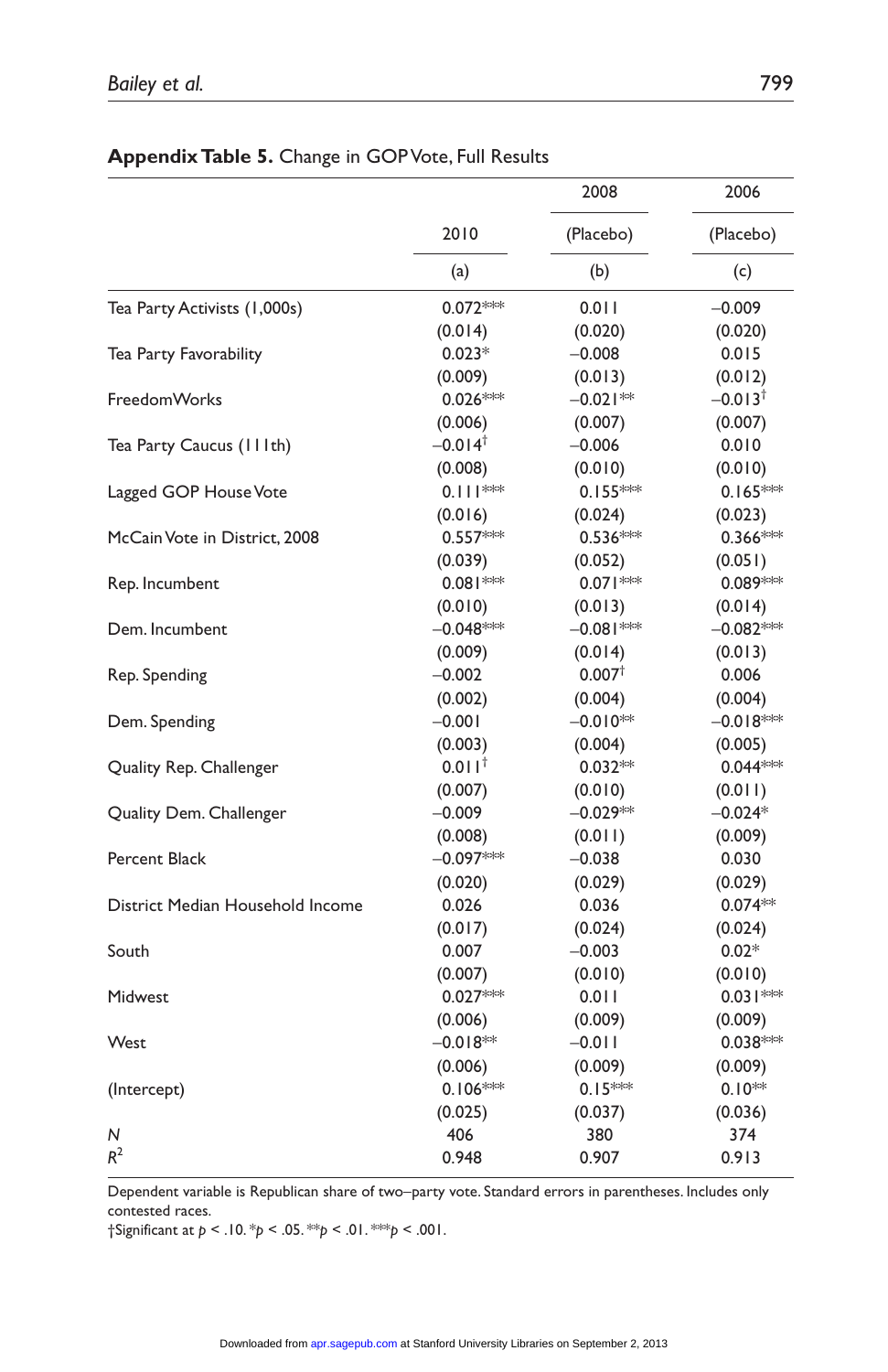|                                  | 2010<br>(a)        | 2008<br>(Placebo)<br>(b) | 2006<br>(Placebo)<br>(c) |
|----------------------------------|--------------------|--------------------------|--------------------------|
|                                  |                    |                          |                          |
|                                  |                    |                          |                          |
| Tea Party Activists (1,000s)     | $0.072***$         | 0.011                    | $-0.009$                 |
|                                  | (0.014)            | (0.020)                  | (0.020)                  |
| Tea Party Favorability           | $0.023*$           | $-0.008$                 | 0.015                    |
|                                  | (0.009)            | (0.013)                  | (0.012)                  |
| <b>FreedomWorks</b>              | $0.026***$         | $-0.021**$               | $-0.013^{\dagger}$       |
|                                  | (0.006)            | (0.007)                  | (0.007)                  |
| Tea Party Caucus (111th)         | $-0.014^{\dagger}$ | $-0.006$                 | 0.010                    |
|                                  | (0.008)            | (0.010)                  | (0.010)                  |
| Lagged GOP House Vote            | $0.111***$         | $0.155***$               | $0.165***$               |
|                                  | (0.016)            | (0.024)                  | (0.023)                  |
| McCain Vote in District, 2008    | $0.557***$         | $0.536***$               | $0.366***$               |
|                                  | (0.039)            | (0.052)                  | (0.051)                  |
| Rep. Incumbent                   | $0.081***$         | $0.071***$               | 0.089***                 |
|                                  | (0.010)            | (0.013)                  | (0.014)                  |
| Dem. Incumbent                   | $-0.048***$        | $-0.081***$              | $-0.082***$              |
|                                  | (0.009)            | (0.014)                  | (0.013)                  |
| Rep. Spending                    | $-0.002$           | $0.007^{\dagger}$        | 0.006                    |
|                                  | (0.002)            | (0.004)                  | (0.004)                  |
| Dem. Spending                    | $-0.001$           | $-0.010**$               | $-0.018***$              |
|                                  | (0.003)            | (0.004)                  | (0.005)                  |
| Quality Rep. Challenger          | $0.011^+$          | $0.032**$                | $0.044***$               |
|                                  | (0.007)            | (0.010)                  | (0.011)                  |
| Quality Dem. Challenger          | $-0.009$           | $-0.029**$               | $-0.024*$                |
|                                  | (0.008)            | (0.011)                  | (0.009)                  |
| Percent Black                    | $-0.097***$        | $-0.038$                 | 0.030                    |
|                                  | (0.020)            | (0.029)                  | (0.029)                  |
| District Median Household Income | 0.026              | 0.036                    | $0.074**$                |
|                                  | (0.017)            | (0.024)                  | (0.024)                  |
| South                            | 0.007              | $-0.003$                 | $0.02*$                  |
|                                  | (0.007)            | (0.010)                  | (0.010)                  |
| Midwest                          | $0.027***$         | 0.011                    | $0.031***$               |
|                                  | (0.006)            | (0.009)                  | (0.009)                  |
| West                             | $-0.018**$         | $-0.011$                 | $0.038***$               |
|                                  | (0.006)            | (0.009)                  | (0.009)                  |
| (Intercept)                      | $0.106***$         | $0.15***$                | $0.10**$                 |
|                                  | (0.025)            | (0.037)                  | (0.036)                  |
| Ν                                | 406                | 380                      | 374                      |
| $R^2$                            | 0.948              | 0.907                    | 0.913                    |
|                                  |                    |                          |                          |

### **Appendix Table 5.** Change in GOP Vote, Full Results

Dependent variable is Republican share of two-party vote. Standard errors in parentheses. Includes only contested races.

†Significant at *p* < .10. \**p* < .05. \*\**p* < .01. \*\*\**p* < .001.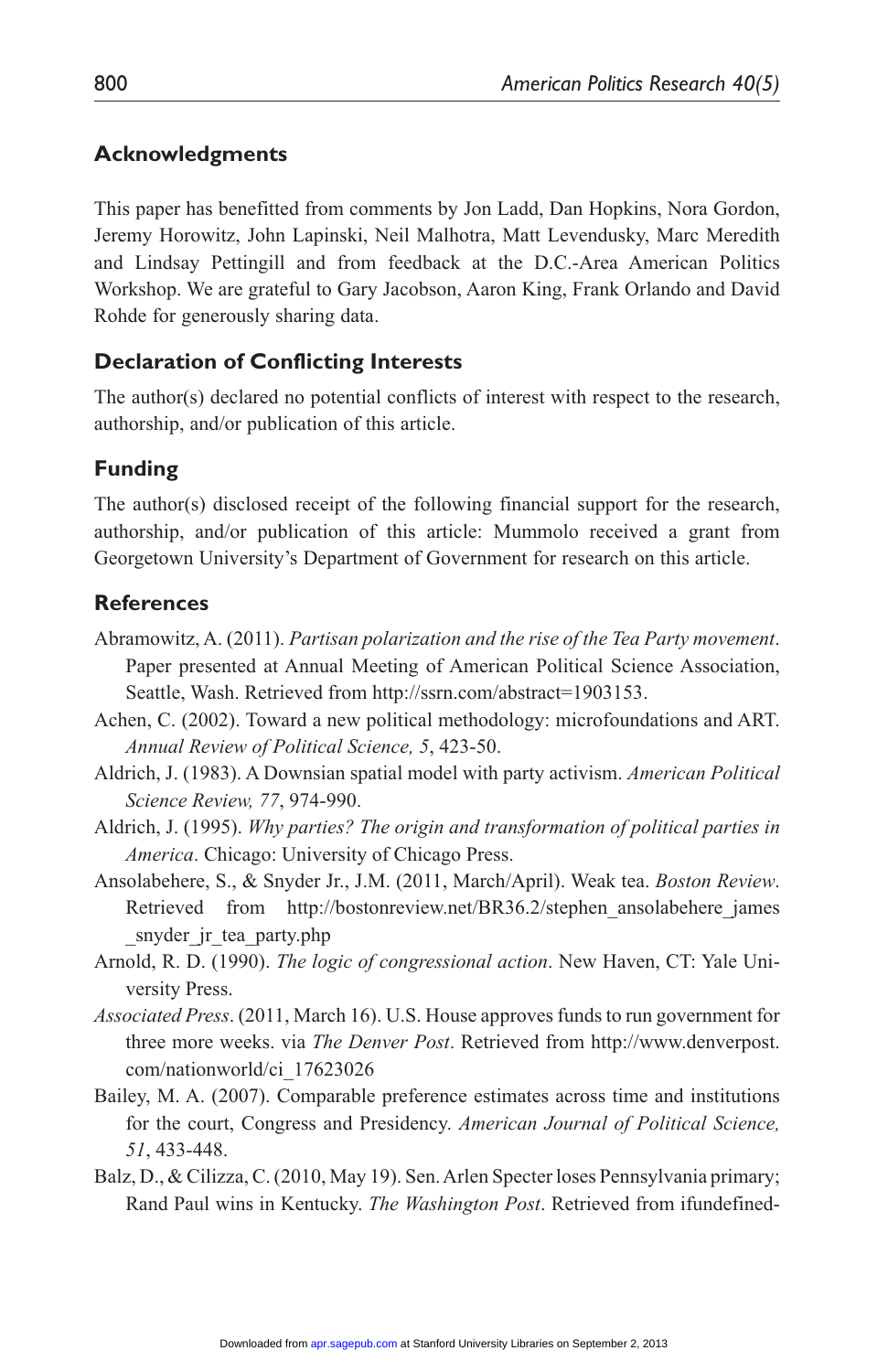# **Acknowledgments**

This paper has benefitted from comments by Jon Ladd, Dan Hopkins, Nora Gordon, Jeremy Horowitz, John Lapinski, Neil Malhotra, Matt Levendusky, Marc Meredith and Lindsay Pettingill and from feedback at the D.C.-Area American Politics Workshop. We are grateful to Gary Jacobson, Aaron King, Frank Orlando and David Rohde for generously sharing data.

## **Declaration of Conflicting Interests**

The author(s) declared no potential conflicts of interest with respect to the research, authorship, and/or publication of this article.

# **Funding**

The author(s) disclosed receipt of the following financial support for the research, authorship, and/or publication of this article: Mummolo received a grant from Georgetown University's Department of Government for research on this article.

# **References**

- Abramowitz, A. (2011). *Partisan polarization and the rise of the Tea Party movement*. Paper presented at Annual Meeting of American Political Science Association, Seattle, Wash. Retrieved from http://ssrn.com/abstract=1903153.
- Achen, C. (2002). Toward a new political methodology: microfoundations and ART. *Annual Review of Political Science, 5*, 423-50.
- Aldrich, J. (1983). A Downsian spatial model with party activism. *American Political Science Review, 77*, 974-990.
- Aldrich, J. (1995). *Why parties? The origin and transformation of political parties in America*. Chicago: University of Chicago Press.
- Ansolabehere, S., & Snyder Jr., J.M. (2011, March/April). Weak tea. *Boston Review*. Retrieved from http://bostonreview.net/BR36.2/stephen ansolabehere james snyder jr tea party.php
- Arnold, R. D. (1990). *The logic of congressional action*. New Haven, CT: Yale University Press.
- *Associated Press*. (2011, March 16). U.S. House approves funds to run government for three more weeks. via *The Denver Post*. Retrieved from http://www.denverpost. com/nationworld/ci\_17623026
- Bailey, M. A. (2007). Comparable preference estimates across time and institutions for the court, Congress and Presidency. *American Journal of Political Science, 51*, 433-448.
- Balz, D., & Cilizza, C. (2010, May 19). Sen. Arlen Specter loses Pennsylvania primary; Rand Paul wins in Kentucky. *The Washington Post*. Retrieved from ifundefined-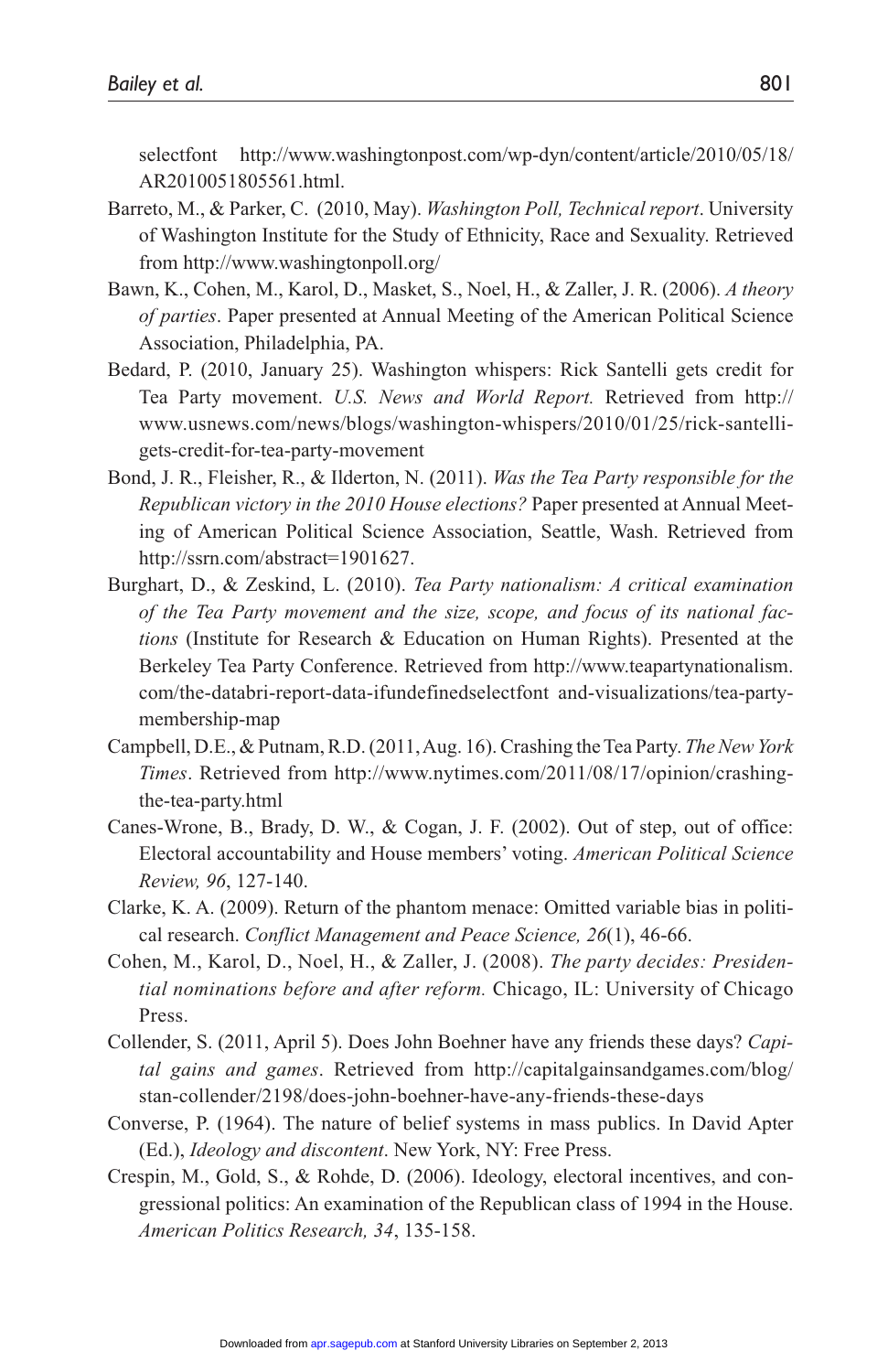selectfont http://www.washingtonpost.com/wp-dyn/content/article/2010/05/18/ AR2010051805561.html.

- Barreto, M., & Parker, C. (2010, May). *Washington Poll, Technical report*. University of Washington Institute for the Study of Ethnicity, Race and Sexuality. Retrieved from http://www.washingtonpoll.org/
- Bawn, K., Cohen, M., Karol, D., Masket, S., Noel, H., & Zaller, J. R. (2006). *A theory of parties*. Paper presented at Annual Meeting of the American Political Science Association, Philadelphia, PA.
- Bedard, P. (2010, January 25). Washington whispers: Rick Santelli gets credit for Tea Party movement. *U.S. News and World Report.* Retrieved from http:// www.usnews.com/news/blogs/washington-whispers/2010/01/25/rick-santelligets-credit-for-tea-party-movement
- Bond, J. R., Fleisher, R., & Ilderton, N. (2011). *Was the Tea Party responsible for the Republican victory in the 2010 House elections?* Paper presented at Annual Meeting of American Political Science Association, Seattle, Wash. Retrieved from http://ssrn.com/abstract=1901627.
- Burghart, D., & Zeskind, L. (2010). *Tea Party nationalism: A critical examination of the Tea Party movement and the size, scope, and focus of its national factions* (Institute for Research & Education on Human Rights). Presented at the Berkeley Tea Party Conference. Retrieved from http://www.teapartynationalism. com/the-databri-report-data-ifundefinedselectfont and-visualizations/tea-partymembership-map
- Campbell, D.E., & Putnam, R.D. (2011, Aug. 16). Crashing the Tea Party. *The New York Times*. Retrieved from http://www.nytimes.com/2011/08/17/opinion/crashingthe-tea-party.html
- Canes-Wrone, B., Brady, D. W., & Cogan, J. F. (2002). Out of step, out of office: Electoral accountability and House members' voting. *American Political Science Review, 96*, 127-140.
- Clarke, K. A. (2009). Return of the phantom menace: Omitted variable bias in political research. *Conflict Management and Peace Science, 26*(1), 46-66.
- Cohen, M., Karol, D., Noel, H., & Zaller, J. (2008). *The party decides: Presidential nominations before and after reform.* Chicago, IL: University of Chicago Press.
- Collender, S. (2011, April 5). Does John Boehner have any friends these days? *Capital gains and games*. Retrieved from http://capitalgainsandgames.com/blog/ stan-collender/2198/does-john-boehner-have-any-friends-these-days
- Converse, P. (1964). The nature of belief systems in mass publics. In David Apter (Ed.), *Ideology and discontent*. New York, NY: Free Press.
- Crespin, M., Gold, S., & Rohde, D. (2006). Ideology, electoral incentives, and congressional politics: An examination of the Republican class of 1994 in the House. *American Politics Research, 34*, 135-158.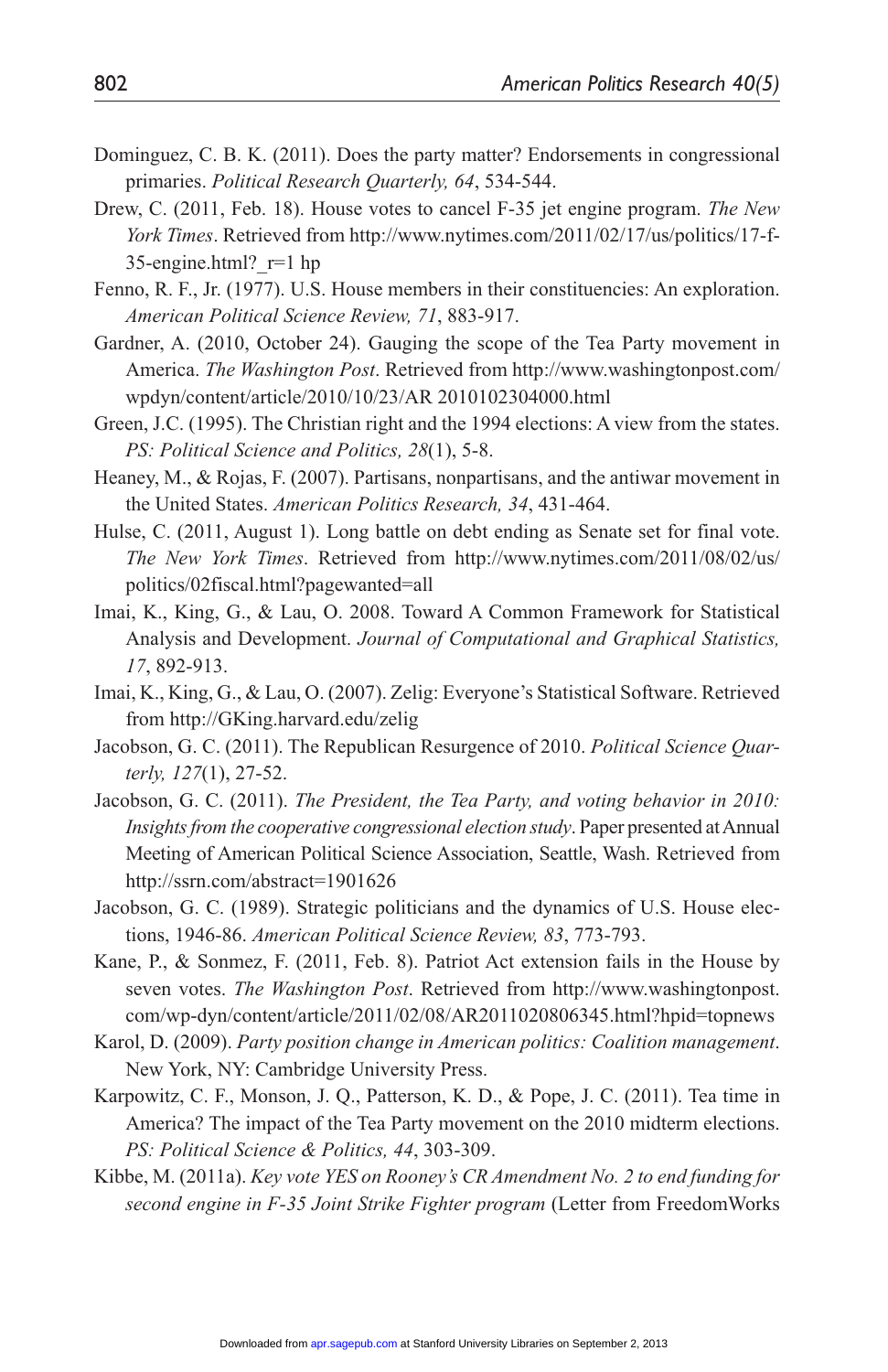- Dominguez, C. B. K. (2011). Does the party matter? Endorsements in congressional primaries. *Political Research Quarterly, 64*, 534-544.
- Drew, C. (2011, Feb. 18). House votes to cancel F-35 jet engine program. *The New York Times*. Retrieved from http://www.nytimes.com/2011/02/17/us/politics/17-f-35-engine.html? $r=1$  hp
- Fenno, R. F., Jr. (1977). U.S. House members in their constituencies: An exploration. *American Political Science Review, 71*, 883-917.
- Gardner, A. (2010, October 24). Gauging the scope of the Tea Party movement in America. *The Washington Post*. Retrieved from http://www.washingtonpost.com/ wpdyn/content/article/2010/10/23/AR 2010102304000.html
- Green, J.C. (1995). The Christian right and the 1994 elections: A view from the states. *PS: Political Science and Politics, 28*(1), 5-8.
- Heaney, M., & Rojas, F. (2007). Partisans, nonpartisans, and the antiwar movement in the United States. *American Politics Research, 34*, 431-464.
- Hulse, C. (2011, August 1). Long battle on debt ending as Senate set for final vote. *The New York Times*. Retrieved from http://www.nytimes.com/2011/08/02/us/ politics/02fiscal.html?pagewanted=all
- Imai, K., King, G., & Lau, O. 2008. Toward A Common Framework for Statistical Analysis and Development. *Journal of Computational and Graphical Statistics, 17*, 892-913.
- Imai, K., King, G., & Lau, O. (2007). Zelig: Everyone's Statistical Software. Retrieved from http://GKing.harvard.edu/zelig
- Jacobson, G. C. (2011). The Republican Resurgence of 2010. *Political Science Quarterly, 127*(1), 27-52.
- Jacobson, G. C. (2011). *The President, the Tea Party, and voting behavior in 2010: Insights from the cooperative congressional election study*. Paper presented at Annual Meeting of American Political Science Association, Seattle, Wash. Retrieved from http://ssrn.com/abstract=1901626
- Jacobson, G. C. (1989). Strategic politicians and the dynamics of U.S. House elections, 1946-86. *American Political Science Review, 83*, 773-793.
- Kane, P., & Sonmez, F. (2011, Feb. 8). Patriot Act extension fails in the House by seven votes. *The Washington Post*. Retrieved from http://www.washingtonpost. com/wp-dyn/content/article/2011/02/08/AR2011020806345.html?hpid=topnews
- Karol, D. (2009). *Party position change in American politics: Coalition management*. New York, NY: Cambridge University Press.
- Karpowitz, C. F., Monson, J. Q., Patterson, K. D., & Pope, J. C. (2011). Tea time in America? The impact of the Tea Party movement on the 2010 midterm elections. *PS: Political Science & Politics, 44*, 303-309.
- Kibbe, M. (2011a). *Key vote YES on Rooney's CR Amendment No. 2 to end funding for second engine in F-35 Joint Strike Fighter program* (Letter from FreedomWorks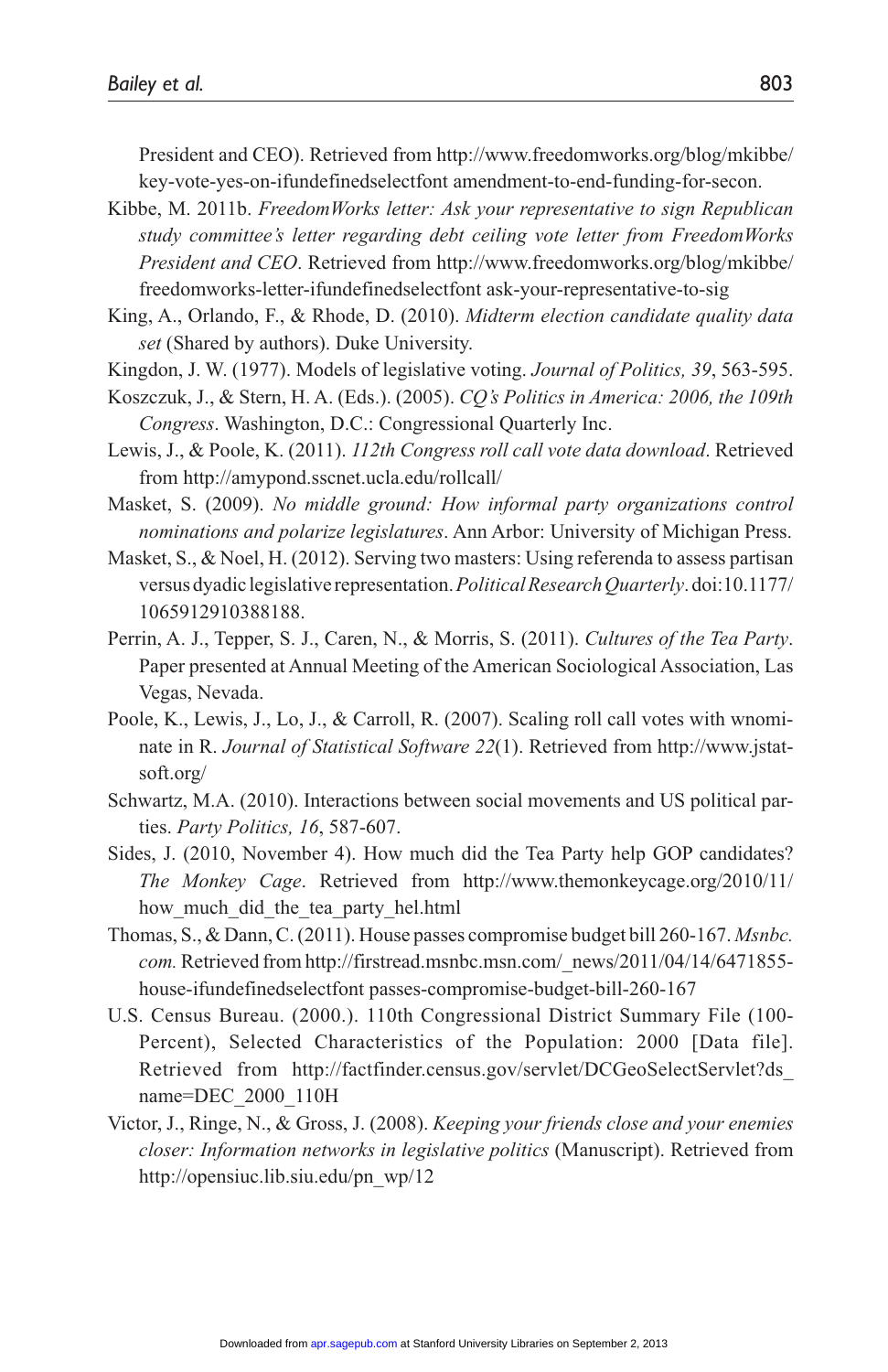President and CEO). Retrieved from http://www.freedomworks.org/blog/mkibbe/ key-vote-yes-on-ifundefinedselectfont amendment-to-end-funding-for-secon.

- Kibbe, M. 2011b. *FreedomWorks letter: Ask your representative to sign Republican study committee's letter regarding debt ceiling vote letter from FreedomWorks President and CEO*. Retrieved from http://www.freedomworks.org/blog/mkibbe/ freedomworks-letter-ifundefinedselectfont ask-your-representative-to-sig
- King, A., Orlando, F., & Rhode, D. (2010). *Midterm election candidate quality data set* (Shared by authors). Duke University.
- Kingdon, J. W. (1977). Models of legislative voting. *Journal of Politics, 39*, 563-595.
- Koszczuk, J., & Stern, H. A. (Eds.). (2005). *CQ's Politics in America: 2006, the 109th Congress*. Washington, D.C.: Congressional Quarterly Inc.
- Lewis, J., & Poole, K. (2011). *112th Congress roll call vote data download*. Retrieved from http://amypond.sscnet.ucla.edu/rollcall/
- Masket, S. (2009). *No middle ground: How informal party organizations control nominations and polarize legislatures*. Ann Arbor: University of Michigan Press.
- Masket, S., & Noel, H. (2012). Serving two masters: Using referenda to assess partisan versus dyadic legislative representation. *Political Research Quarterly*. doi:10.1177/ 1065912910388188.
- Perrin, A. J., Tepper, S. J., Caren, N., & Morris, S. (2011). *Cultures of the Tea Party*. Paper presented at Annual Meeting of the American Sociological Association, Las Vegas, Nevada.
- Poole, K., Lewis, J., Lo, J., & Carroll, R. (2007). Scaling roll call votes with wnominate in R. *Journal of Statistical Software 22*(1). Retrieved from http://www.jstatsoft.org/
- Schwartz, M.A. (2010). Interactions between social movements and US political parties. *Party Politics, 16*, 587-607.
- Sides, J. (2010, November 4). How much did the Tea Party help GOP candidates? *The Monkey Cage*. Retrieved from http://www.themonkeycage.org/2010/11/ how much did the tea party hel.html
- Thomas, S., & Dann, C. (2011). House passes compromise budget bill 260-167. *Msnbc. com.* Retrieved from http://firstread.msnbc.msn.com/\_news/2011/04/14/6471855 house-ifundefinedselectfont passes-compromise-budget-bill-260-167
- U.S. Census Bureau. (2000.). 110th Congressional District Summary File (100- Percent), Selected Characteristics of the Population: 2000 [Data file]. Retrieved from http://factfinder.census.gov/servlet/DCGeoSelectServlet?ds\_ name=DEC\_2000\_110H
- Victor, J., Ringe, N., & Gross, J. (2008). *Keeping your friends close and your enemies closer: Information networks in legislative politics* (Manuscript). Retrieved from http://opensiuc.lib.siu.edu/pn\_wp/12